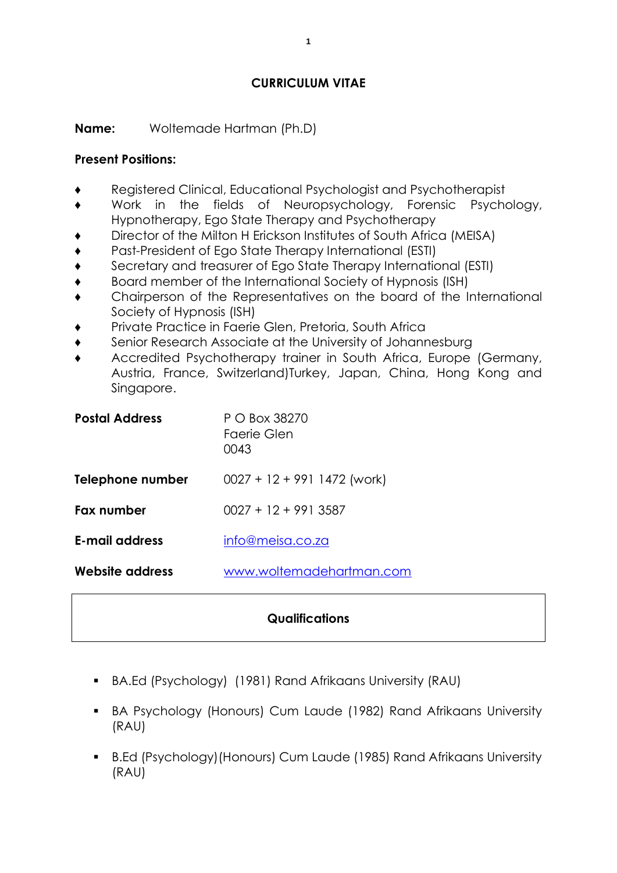### **CURRICULUM VITAE**

**Name:** Woltemade Hartman (Ph.D)

#### **Present Positions:**

- Registered Clinical, Educational Psychologist and Psychotherapist
- Work in the fields of Neuropsychology, Forensic Psychology, Hypnotherapy, Ego State Therapy and Psychotherapy
- Director of the Milton H Erickson Institutes of South Africa (MEISA)
- Past-President of Ego State Therapy International (ESTI)
- Secretary and treasurer of Ego State Therapy International (ESTI)
- Board member of the International Society of Hypnosis (ISH)
- Chairperson of the Representatives on the board of the International Society of Hypnosis (ISH)
- Private Practice in Faerie Glen, Pretoria, South Africa
- Senior Research Associate at the University of Johannesburg
- Accredited Psychotherapy trainer in South Africa, Europe (Germany, Austria, France, Switzerland)Turkey, Japan, China, Hong Kong and Singapore.

| <b>Postal Address</b> | P O Box 38270<br>Faerie Glen<br>0043 |
|-----------------------|--------------------------------------|
| Telephone number      | $0027 + 12 + 991$ 1472 (work)        |
| Fax number            | $0027 + 12 + 9913587$                |
| <b>E-mail address</b> | info@meisa.co.za                     |
| Website address       | www.woltemadehartman.com             |

### **Qualifications**

- BA.Ed (Psychology) (1981) Rand Afrikaans University (RAU)
- BA Psychology (Honours) Cum Laude (1982) Rand Afrikaans University (RAU)
- B.Ed (Psychology)(Honours) Cum Laude (1985) Rand Afrikaans University (RAU)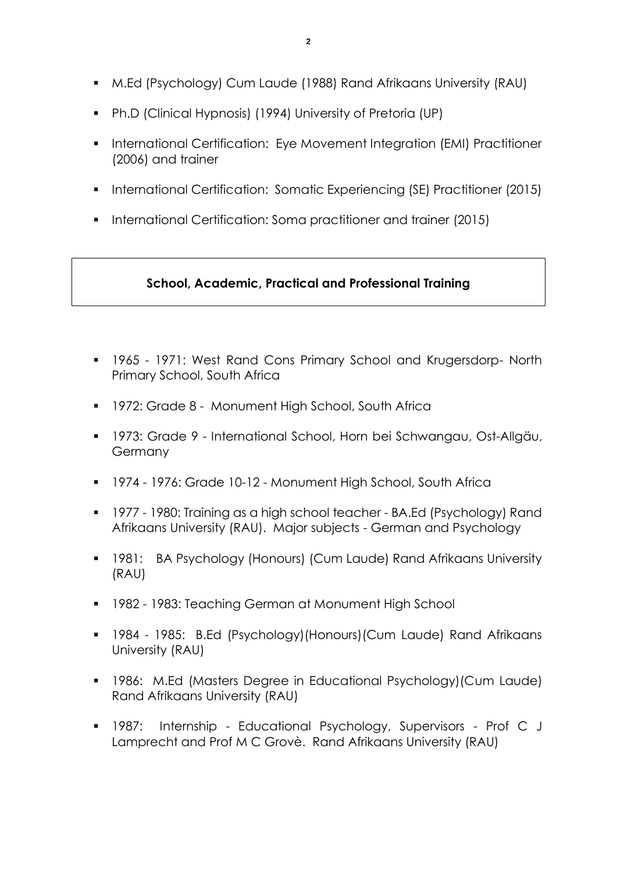- M.Ed (Psychology) Cum Laude (1988) Rand Afrikaans University (RAU)
- Ph.D (Clinical Hypnosis) (1994) University of Pretoria (UP)
- **International Certification: Eye Movement Integration (EMI) Practitioner** (2006) and trainer
- **International Certification: Somatic Experiencing (SE) Practitioner (2015)**
- **International Certification: Soma practitioner and trainer (2015)**

## **School, Academic, Practical and Professional Training**

- 1965 1971: West Rand Cons Primary School and Krugersdorp- North Primary School, South Africa
- **1972: Grade 8 Monument High School, South Africa**
- 1973: Grade 9 International School, Horn bei Schwangau, Ost-Allgäu, Germany
- 1974 1976: Grade 10-12 Monument High School, South Africa
- 1977 1980: Training as a high school teacher BA.Ed (Psychology) Rand Afrikaans University (RAU). Major subjects - German and Psychology
- 1981: BA Psychology (Honours) (Cum Laude) Rand Afrikaans University (RAU)
- 1982 1983: Teaching German at Monument High School
- 1984 1985: B.Ed (Psychology)(Honours)(Cum Laude) Rand Afrikaans University (RAU)
- 1986: M.Ed (Masters Degree in Educational Psychology)(Cum Laude) Rand Afrikaans University (RAU)
- 1987: Internship Educational Psychology, Supervisors Prof C J Lamprecht and Prof M C Grovè. Rand Afrikaans University (RAU)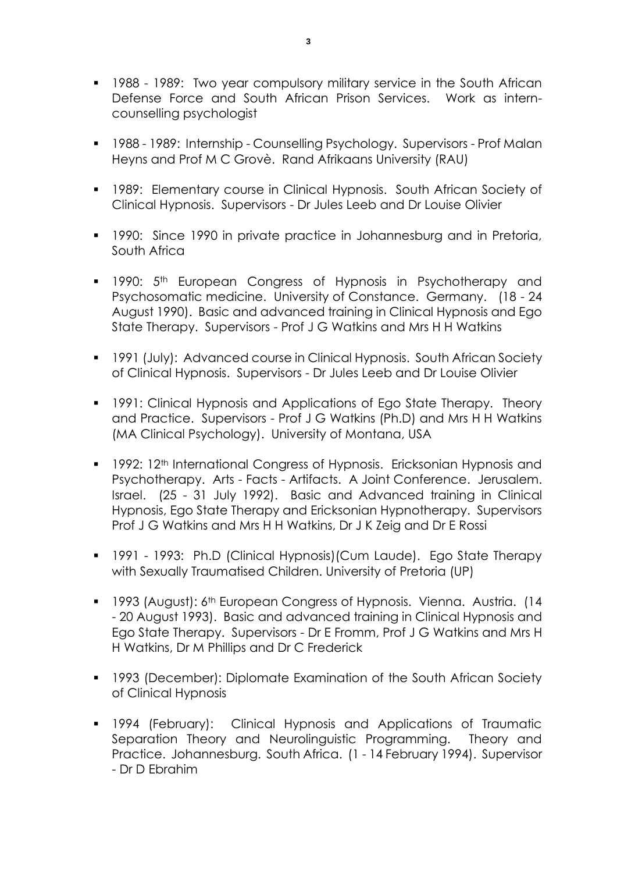- 1988 1989: Two year compulsory military service in the South African Defense Force and South African Prison Services. Work as interncounselling psychologist
- 1988 1989: Internship Counselling Psychology. Supervisors Prof Malan Heyns and Prof M C Grovè. Rand Afrikaans University (RAU)
- **1989: Elementary course in Clinical Hypnosis. South African Society of** Clinical Hypnosis. Supervisors - Dr Jules Leeb and Dr Louise Olivier
- **1990: Since 1990 in private practice in Johannesburg and in Pretoria,** South Africa
- **1990:** 5<sup>th</sup> European Congress of Hypnosis in Psychotherapy and Psychosomatic medicine. University of Constance. Germany. (18 - 24 August 1990). Basic and advanced training in Clinical Hypnosis and Ego State Therapy. Supervisors - Prof J G Watkins and Mrs H H Watkins
- **1991 (July): Advanced course in Clinical Hypnosis. South African Society** of Clinical Hypnosis. Supervisors - Dr Jules Leeb and Dr Louise Olivier
- **1991: Clinical Hypnosis and Applications of Ego State Therapy. Theory** and Practice. Supervisors - Prof J G Watkins (Ph.D) and Mrs H H Watkins (MA Clinical Psychology). University of Montana, USA
- 1992: 12<sup>th</sup> International Congress of Hypnosis. Ericksonian Hypnosis and Psychotherapy. Arts - Facts - Artifacts. A Joint Conference. Jerusalem. Israel. (25 - 31 July 1992). Basic and Advanced training in Clinical Hypnosis, Ego State Therapy and Ericksonian Hypnotherapy. Supervisors Prof J G Watkins and Mrs H H Watkins, Dr J K Zeig and Dr E Rossi
- 1991 1993: Ph.D (Clinical Hypnosis)(Cum Laude). Ego State Therapy with Sexually Traumatised Children. University of Pretoria (UP)
- **1993 (August): 6th European Congress of Hypnosis. Vienna. Austria. (14** - 20 August 1993). Basic and advanced training in Clinical Hypnosis and Ego State Therapy. Supervisors - Dr E Fromm, Prof J G Watkins and Mrs H H Watkins, Dr M Phillips and Dr C Frederick
- 1993 (December): Diplomate Examination of the South African Society of Clinical Hypnosis
- 1994 (February): Clinical Hypnosis and Applications of Traumatic Separation Theory and Neurolinguistic Programming. Theory and Practice. Johannesburg. South Africa. (1 - 14 February 1994). Supervisor - Dr D Ebrahim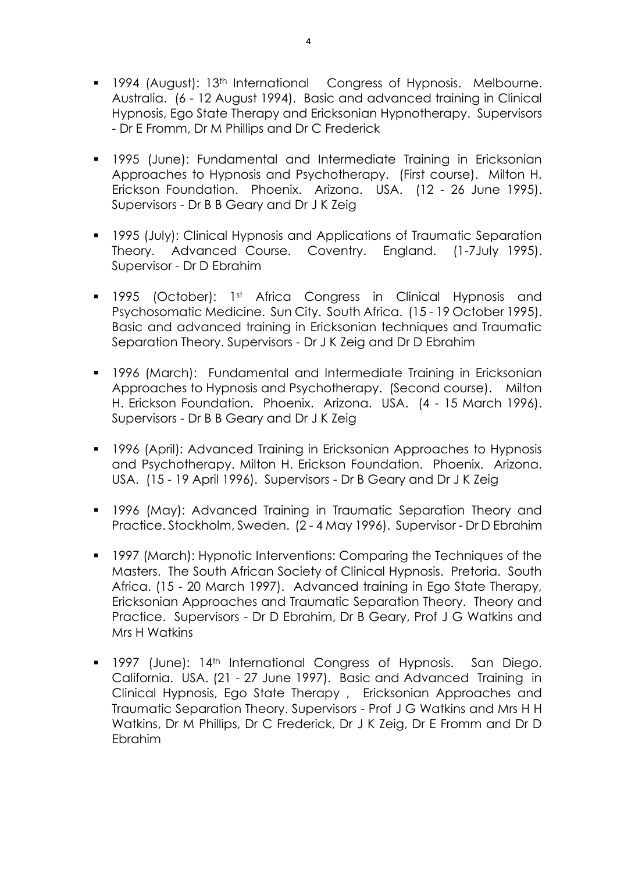- **1994 (August): 13th International Congress of Hypnosis. Melbourne.** Australia. (6 - 12 August 1994). Basic and advanced training in Clinical Hypnosis, Ego State Therapy and Ericksonian Hypnotherapy. Supervisors - Dr E Fromm, Dr M Phillips and Dr C Frederick
- 1995 (June): Fundamental and Intermediate Training in Ericksonian Approaches to Hypnosis and Psychotherapy. (First course). Milton H. Erickson Foundation. Phoenix. Arizona. USA. (12 - 26 June 1995). Supervisors - Dr B B Geary and Dr J K Zeig
- **1995 (July): Clinical Hypnosis and Applications of Traumatic Separation** Theory. Advanced Course. Coventry. England. (1-7July 1995). Supervisor - Dr D Ebrahim
- **1995 (October):** 1st Africa Congress in Clinical Hypnosis and Psychosomatic Medicine. Sun City. South Africa. (15 - 19 October 1995). Basic and advanced training in Ericksonian techniques and Traumatic Separation Theory. Supervisors - Dr J K Zeig and Dr D Ebrahim
- 1996 (March): Fundamental and Intermediate Training in Ericksonian Approaches to Hypnosis and Psychotherapy. (Second course). Milton H. Erickson Foundation. Phoenix. Arizona. USA. (4 - 15 March 1996). Supervisors - Dr B B Geary and Dr J K Zeig
- **1996 (April): Advanced Training in Ericksonian Approaches to Hypnosis** and Psychotherapy. Milton H. Erickson Foundation. Phoenix. Arizona. USA. (15 - 19 April 1996). Supervisors - Dr B Geary and Dr J K Zeig
- 1996 (May): Advanced Training in Traumatic Separation Theory and Practice. Stockholm, Sweden. (2 - 4 May 1996). Supervisor - Dr D Ebrahim
- **1997 (March): Hypnotic Interventions: Comparing the Techniques of the** Masters. The South African Society of Clinical Hypnosis. Pretoria. South Africa. (15 - 20 March 1997). Advanced training in Ego State Therapy, Ericksonian Approaches and Traumatic Separation Theory. Theory and Practice. Supervisors - Dr D Ebrahim, Dr B Geary, Prof J G Watkins and Mrs H Watkins
- **1997** (June): 14<sup>th</sup> International Congress of Hypnosis. San Diego. California. USA. (21 - 27 June 1997). Basic and Advanced Training in Clinical Hypnosis, Ego State Therapy , Ericksonian Approaches and Traumatic Separation Theory. Supervisors - Prof J G Watkins and Mrs H H Watkins, Dr M Phillips, Dr C Frederick, Dr J K Zeig, Dr E Fromm and Dr D Ebrahim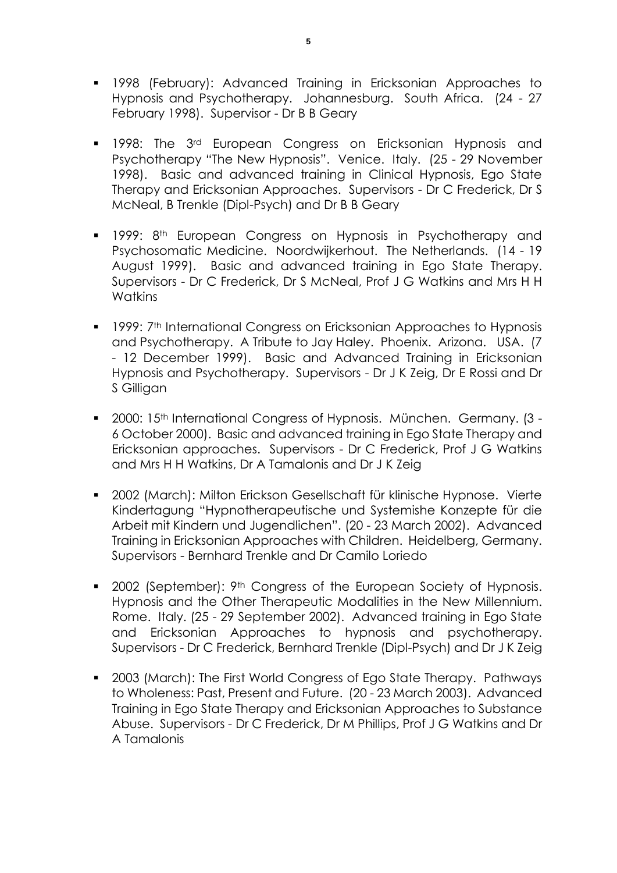- 1998 (February): Advanced Training in Ericksonian Approaches to Hypnosis and Psychotherapy. Johannesburg. South Africa. (24 - 27 February 1998). Supervisor - Dr B B Geary
- **1998:** The 3<sup>rd</sup> European Congress on Ericksonian Hypnosis and Psychotherapy "The New Hypnosis". Venice. Italy. (25 - 29 November 1998). Basic and advanced training in Clinical Hypnosis, Ego State Therapy and Ericksonian Approaches. Supervisors - Dr C Frederick, Dr S McNeal, B Trenkle (Dipl-Psych) and Dr B B Geary
- **1999: 8th European Congress on Hypnosis in Psychotherapy and** Psychosomatic Medicine. Noordwijkerhout. The Netherlands. (14 - 19 August 1999). Basic and advanced training in Ego State Therapy. Supervisors - Dr C Frederick, Dr S McNeal, Prof J G Watkins and Mrs H H **Watkins**
- **1999: 7th International Congress on Ericksonian Approaches to Hypnosis** and Psychotherapy. A Tribute to Jay Haley. Phoenix. Arizona. USA. (7 - 12 December 1999). Basic and Advanced Training in Ericksonian Hypnosis and Psychotherapy. Supervisors - Dr J K Zeig, Dr E Rossi and Dr S Gilligan
- 2000: 15<sup>th</sup> International Congress of Hypnosis. München. Germany. (3 -6 October 2000). Basic and advanced training in Ego State Therapy and Ericksonian approaches. Supervisors - Dr C Frederick, Prof J G Watkins and Mrs H H Watkins, Dr A Tamalonis and Dr J K Zeig
- 2002 (March): Milton Erickson Gesellschaft für klinische Hypnose. Vierte Kindertagung "Hypnotherapeutische und Systemishe Konzepte für die Arbeit mit Kindern und Jugendlichen". (20 - 23 March 2002). Advanced Training in Ericksonian Approaches with Children. Heidelberg, Germany. Supervisors - Bernhard Trenkle and Dr Camilo Loriedo
- 2002 (September): 9<sup>th</sup> Congress of the European Society of Hypnosis. Hypnosis and the Other Therapeutic Modalities in the New Millennium. Rome. Italy. (25 - 29 September 2002). Advanced training in Ego State and Ericksonian Approaches to hypnosis and psychotherapy. Supervisors - Dr C Frederick, Bernhard Trenkle (Dipl-Psych) and Dr J K Zeig
- 2003 (March): The First World Congress of Ego State Therapy. Pathways to Wholeness: Past, Present and Future. (20 - 23 March 2003). Advanced Training in Ego State Therapy and Ericksonian Approaches to Substance Abuse. Supervisors - Dr C Frederick, Dr M Phillips, Prof J G Watkins and Dr A Tamalonis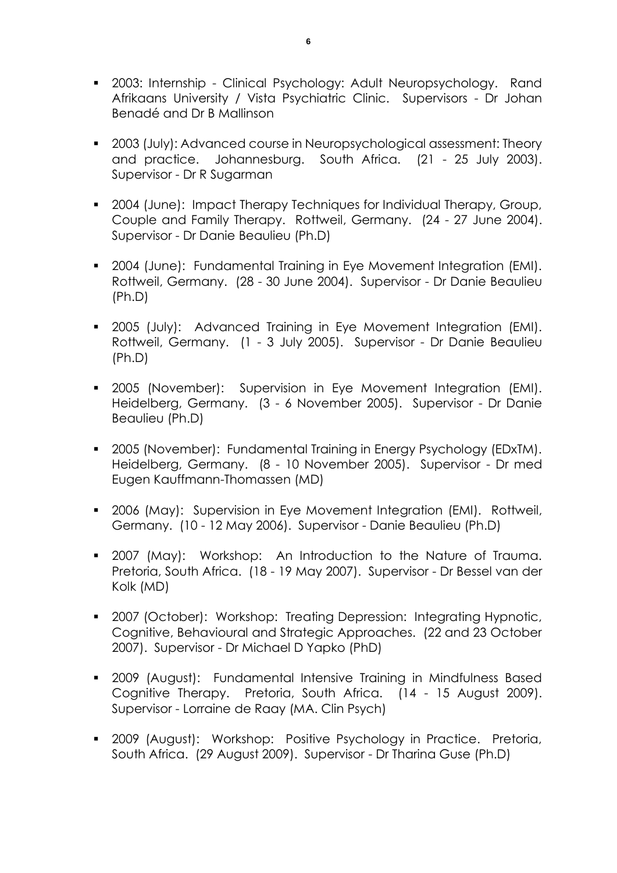- **2003: Internship Clinical Psychology: Adult Neuropsychology. Rand** Afrikaans University / Vista Psychiatric Clinic. Supervisors - Dr Johan Benadé and Dr B Mallinson
- 2003 (July): Advanced course in Neuropsychological assessment: Theory and practice. Johannesburg. South Africa. (21 - 25 July 2003). Supervisor - Dr R Sugarman
- 2004 (June): Impact Therapy Techniques for Individual Therapy, Group, Couple and Family Therapy. Rottweil, Germany. (24 - 27 June 2004). Supervisor - Dr Danie Beaulieu (Ph.D)
- **2004 (June): Fundamental Training in Eye Movement Integration (EMI).** Rottweil, Germany. (28 - 30 June 2004). Supervisor - Dr Danie Beaulieu (Ph.D)
- **2005 (July):** Advanced Training in Eye Movement Integration (EMI). Rottweil, Germany. (1 - 3 July 2005). Supervisor - Dr Danie Beaulieu (Ph.D)
- 2005 (November): Supervision in Eye Movement Integration (EMI). Heidelberg, Germany. (3 - 6 November 2005). Supervisor - Dr Danie Beaulieu (Ph.D)
- 2005 (November): Fundamental Training in Energy Psychology (EDxTM). Heidelberg, Germany. (8 - 10 November 2005). Supervisor - Dr med Eugen Kauffmann-Thomassen (MD)
- 2006 (May): Supervision in Eye Movement Integration (EMI). Rottweil, Germany. (10 - 12 May 2006). Supervisor - Danie Beaulieu (Ph.D)
- 2007 (May): Workshop: An Introduction to the Nature of Trauma. Pretoria, South Africa. (18 - 19 May 2007). Supervisor - Dr Bessel van der Kolk (MD)
- 2007 (October): Workshop: Treating Depression: Integrating Hypnotic, Cognitive, Behavioural and Strategic Approaches. (22 and 23 October 2007). Supervisor - Dr Michael D Yapko (PhD)
- 2009 (August): Fundamental Intensive Training in Mindfulness Based Cognitive Therapy. Pretoria, South Africa. (14 - 15 August 2009). Supervisor - Lorraine de Raay (MA. Clin Psych)
- 2009 (August): Workshop: Positive Psychology in Practice. Pretoria, South Africa. (29 August 2009). Supervisor - Dr Tharina Guse (Ph.D)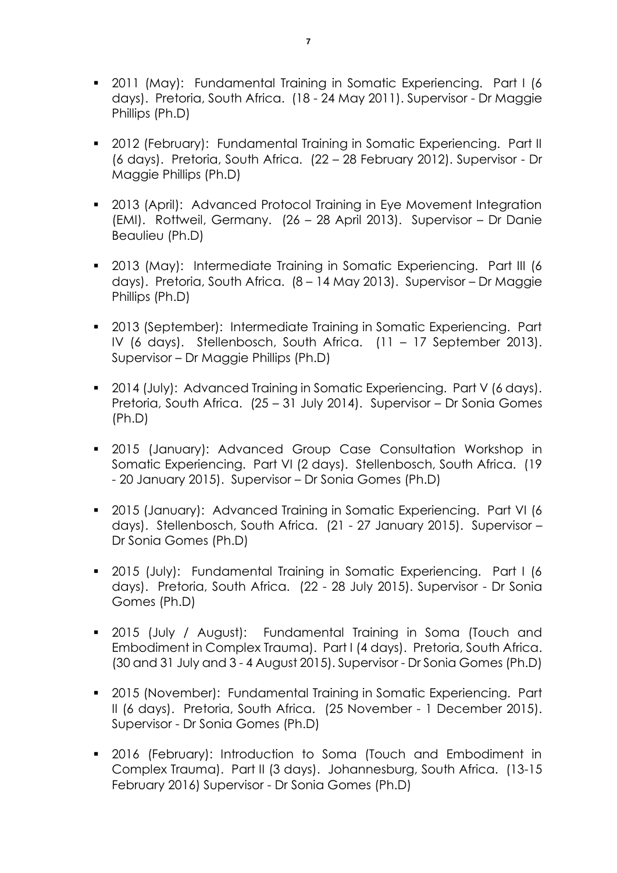- 2011 (May): Fundamental Training in Somatic Experiencing. Part I (6 days). Pretoria, South Africa. (18 - 24 May 2011). Supervisor - Dr Maggie Phillips (Ph.D)
- 2012 (February): Fundamental Training in Somatic Experiencing. Part II (6 days). Pretoria, South Africa. (22 – 28 February 2012). Supervisor - Dr Maggie Phillips (Ph.D)
- **2013 (April): Advanced Protocol Training in Eye Movement Integration** (EMI). Rottweil, Germany. (26 – 28 April 2013). Supervisor – Dr Danie Beaulieu (Ph.D)
- 2013 (May): Intermediate Training in Somatic Experiencing. Part III (6 days). Pretoria, South Africa. (8 – 14 May 2013). Supervisor – Dr Maggie Phillips (Ph.D)
- 2013 (September): Intermediate Training in Somatic Experiencing. Part IV (6 days). Stellenbosch, South Africa. (11 – 17 September 2013). Supervisor – Dr Maggie Phillips (Ph.D)
- **2014 (July): Advanced Training in Somatic Experiencing. Part V (6 days).** Pretoria, South Africa. (25 – 31 July 2014). Supervisor – Dr Sonia Gomes (Ph.D)
- 2015 (January): Advanced Group Case Consultation Workshop in Somatic Experiencing. Part VI (2 days). Stellenbosch, South Africa. (19 - 20 January 2015). Supervisor – Dr Sonia Gomes (Ph.D)
- 2015 (January): Advanced Training in Somatic Experiencing. Part VI (6 days). Stellenbosch, South Africa. (21 - 27 January 2015). Supervisor – Dr Sonia Gomes (Ph.D)
- 2015 (July): Fundamental Training in Somatic Experiencing. Part I (6 days). Pretoria, South Africa. (22 - 28 July 2015). Supervisor - Dr Sonia Gomes (Ph.D)
- 2015 (July / August): Fundamental Training in Soma (Touch and Embodiment in Complex Trauma). Part I (4 days). Pretoria, South Africa. (30 and 31 July and 3 - 4 August 2015). Supervisor - Dr Sonia Gomes (Ph.D)
- 2015 (November): Fundamental Training in Somatic Experiencing. Part II (6 days). Pretoria, South Africa. (25 November - 1 December 2015). Supervisor - Dr Sonia Gomes (Ph.D)
- 2016 (February): Introduction to Soma (Touch and Embodiment in Complex Trauma). Part II (3 days). Johannesburg, South Africa. (13-15 February 2016) Supervisor - Dr Sonia Gomes (Ph.D)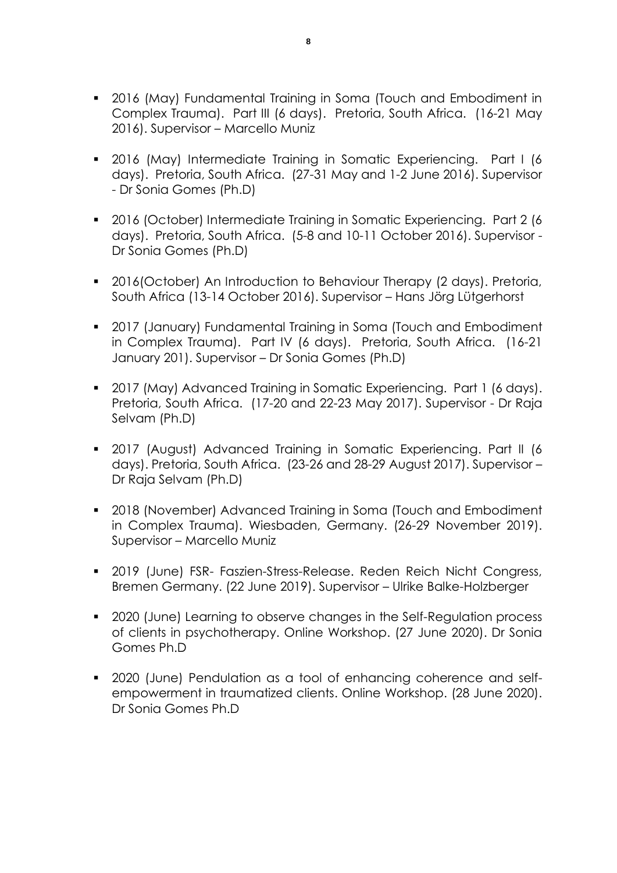- 2016 (May) Fundamental Training in Soma (Touch and Embodiment in Complex Trauma). Part III (6 days). Pretoria, South Africa. (16-21 May 2016). Supervisor – Marcello Muniz
- 2016 (May) Intermediate Training in Somatic Experiencing. Part I (6 days). Pretoria, South Africa. (27-31 May and 1-2 June 2016). Supervisor - Dr Sonia Gomes (Ph.D)
- 2016 (October) Intermediate Training in Somatic Experiencing. Part 2 (6 days). Pretoria, South Africa. (5-8 and 10-11 October 2016). Supervisor - Dr Sonia Gomes (Ph.D)
- 2016(October) An Introduction to Behaviour Therapy (2 days). Pretoria, South Africa (13-14 October 2016). Supervisor – Hans Jörg Lütgerhorst
- 2017 (January) Fundamental Training in Soma (Touch and Embodiment in Complex Trauma). Part IV (6 days). Pretoria, South Africa. (16-21 January 201). Supervisor – Dr Sonia Gomes (Ph.D)
- 2017 (May) Advanced Training in Somatic Experiencing. Part 1 (6 days). Pretoria, South Africa. (17-20 and 22-23 May 2017). Supervisor - Dr Raja Selvam (Ph.D)
- 2017 (August) Advanced Training in Somatic Experiencing. Part II (6 days). Pretoria, South Africa. (23-26 and 28-29 August 2017). Supervisor – Dr Raja Selvam (Ph.D)
- 2018 (November) Advanced Training in Soma (Touch and Embodiment in Complex Trauma). Wiesbaden, Germany. (26-29 November 2019). Supervisor – Marcello Muniz
- 2019 (June) FSR- Faszien-Stress-Release. Reden Reich Nicht Congress, Bremen Germany. (22 June 2019). Supervisor – Ulrike Balke-Holzberger
- 2020 (June) Learning to observe changes in the Self-Regulation process of clients in psychotherapy. Online Workshop. (27 June 2020). Dr Sonia Gomes Ph.D
- 2020 (June) Pendulation as a tool of enhancing coherence and selfempowerment in traumatized clients. Online Workshop. (28 June 2020). Dr Sonia Gomes Ph.D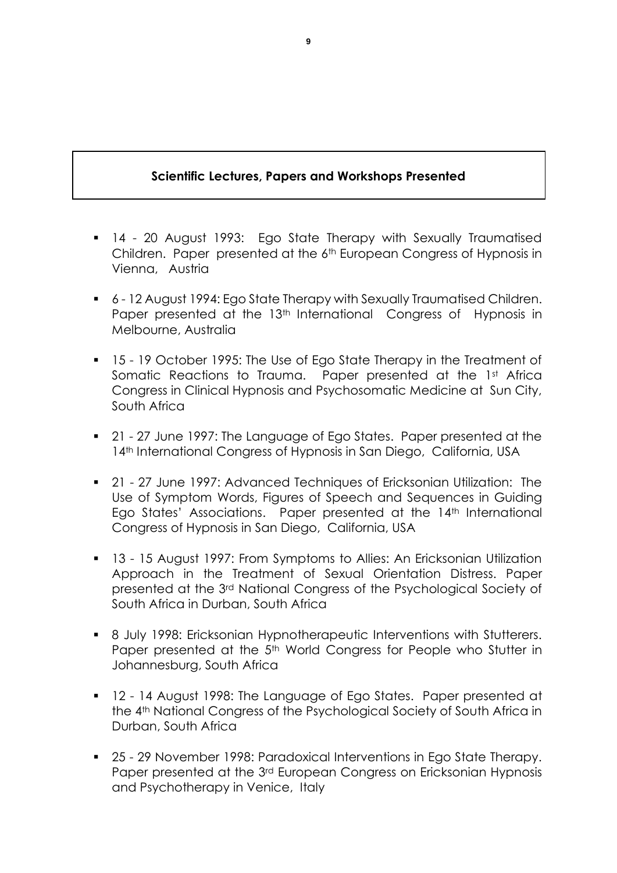# **Scientific Lectures, Papers and Workshops Presented**

- 14 20 August 1993: Ego State Therapy with Sexually Traumatised Children. Paper presented at the 6th European Congress of Hypnosis in Vienna, Austria
- 6 12 August 1994: Ego State Therapy with Sexually Traumatised Children. Paper presented at the 13<sup>th</sup> International Congress of Hypnosis in Melbourne, Australia
- 15 19 October 1995: The Use of Ego State Therapy in the Treatment of Somatic Reactions to Trauma. Paper presented at the 1st Africa Congress in Clinical Hypnosis and Psychosomatic Medicine at Sun City, South Africa
- 21 27 June 1997: The Language of Ego States. Paper presented at the 14<sup>th</sup> International Congress of Hypnosis in San Diego, California, USA
- 21 27 June 1997: Advanced Techniques of Ericksonian Utilization: The Use of Symptom Words, Figures of Speech and Sequences in Guiding Ego States' Associations. Paper presented at the 14<sup>th</sup> International Congress of Hypnosis in San Diego, California, USA
- 13 15 August 1997: From Symptoms to Allies: An Ericksonian Utilization Approach in the Treatment of Sexual Orientation Distress. Paper presented at the 3rd National Congress of the Psychological Society of South Africa in Durban, South Africa
- 8 July 1998: Ericksonian Hypnotherapeutic Interventions with Stutterers. Paper presented at the 5<sup>th</sup> World Congress for People who Stutter in Johannesburg, South Africa
- 12 14 August 1998: The Language of Ego States. Paper presented at the 4th National Congress of the Psychological Society of South Africa in Durban, South Africa
- 25 29 November 1998: Paradoxical Interventions in Ego State Therapy. Paper presented at the 3<sup>rd</sup> European Congress on Ericksonian Hypnosis and Psychotherapy in Venice, Italy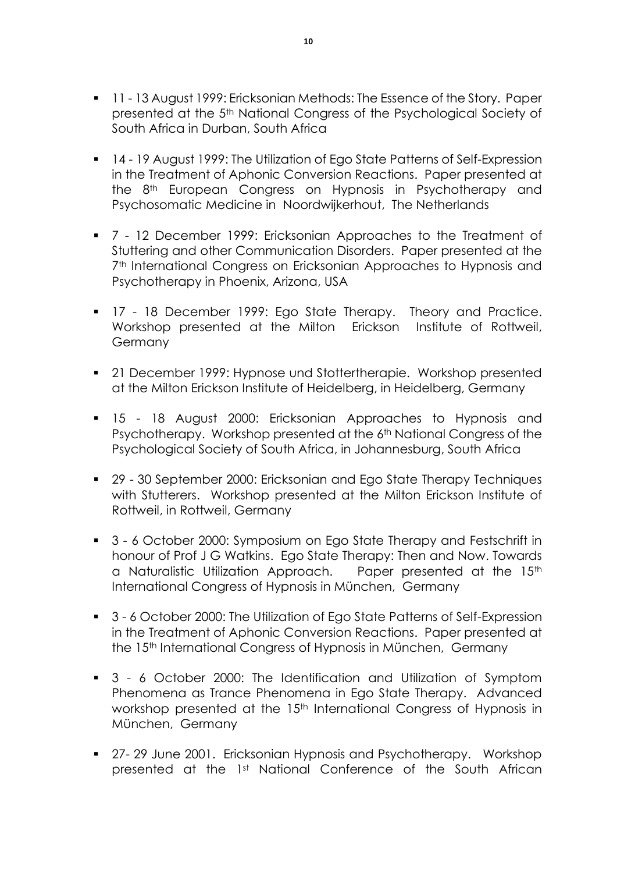- **11 13 August 1999: Ericksonian Methods: The Essence of the Story. Paper** presented at the 5th National Congress of the Psychological Society of South Africa in Durban, South Africa
- 14 19 August 1999: The Utilization of Ego State Patterns of Self-Expression in the Treatment of Aphonic Conversion Reactions. Paper presented at the 8<sup>th</sup> European Congress on Hypnosis in Psychotherapy and Psychosomatic Medicine in Noordwijkerhout, The Netherlands
- 7 12 December 1999: Ericksonian Approaches to the Treatment of Stuttering and other Communication Disorders. Paper presented at the 7<sup>th</sup> International Congress on Ericksonian Approaches to Hypnosis and Psychotherapy in Phoenix, Arizona, USA
- **17 18 December 1999: Ego State Therapy. Theory and Practice.** Workshop presented at the Milton Erickson Institute of Rottweil, Germany
- 21 December 1999: Hypnose und Stottertherapie. Workshop presented at the Milton Erickson Institute of Heidelberg, in Heidelberg, Germany
- **15 18 August 2000: Ericksonian Approaches to Hypnosis and** Psychotherapy. Workshop presented at the 6<sup>th</sup> National Congress of the Psychological Society of South Africa, in Johannesburg, South Africa
- 29 30 September 2000: Ericksonian and Ego State Therapy Techniques with Stutterers. Workshop presented at the Milton Erickson Institute of Rottweil, in Rottweil, Germany
- 3 6 October 2000: Symposium on Ego State Therapy and Festschrift in honour of Prof J G Watkins. Ego State Therapy: Then and Now. Towards a Naturalistic Utilization Approach. Paper presented at the 15<sup>th</sup> International Congress of Hypnosis in München, Germany
- 3 6 October 2000: The Utilization of Ego State Patterns of Self-Expression in the Treatment of Aphonic Conversion Reactions. Paper presented at the 15th International Congress of Hypnosis in München, Germany
- 3 6 October 2000: The Identification and Utilization of Symptom Phenomena as Trance Phenomena in Ego State Therapy. Advanced workshop presented at the 15<sup>th</sup> International Congress of Hypnosis in München, Germany
- 27-29 June 2001. Ericksonian Hypnosis and Psychotherapy. Workshop presented at the 1st National Conference of the South African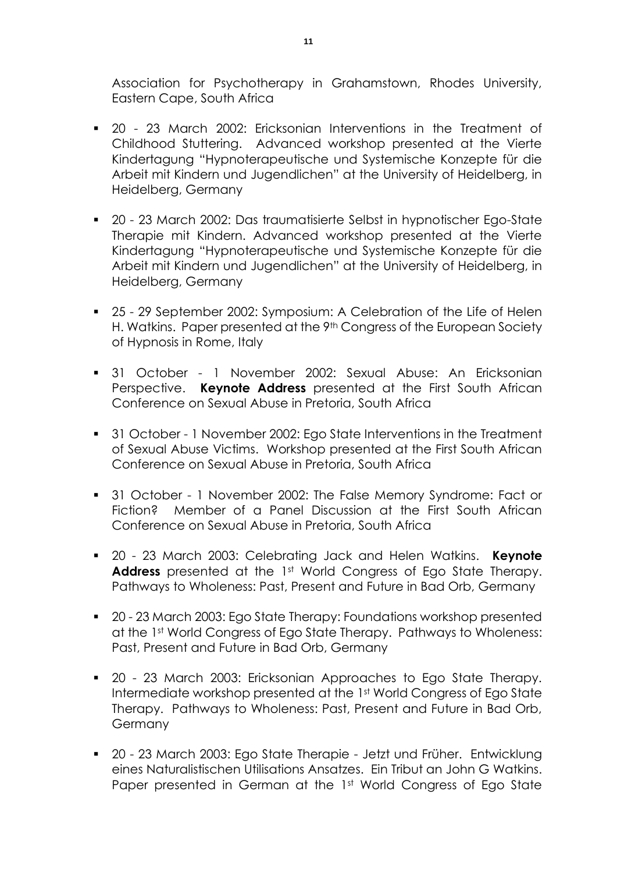Association for Psychotherapy in Grahamstown, Rhodes University, Eastern Cape, South Africa

- 20 23 March 2002: Ericksonian Interventions in the Treatment of Childhood Stuttering. Advanced workshop presented at the Vierte Kindertagung "Hypnoterapeutische und Systemische Konzepte für die Arbeit mit Kindern und Jugendlichen" at the University of Heidelberg, in Heidelberg, Germany
- 20 23 March 2002: Das traumatisierte Selbst in hypnotischer Ego-State Therapie mit Kindern. Advanced workshop presented at the Vierte Kindertagung "Hypnoterapeutische und Systemische Konzepte für die Arbeit mit Kindern und Jugendlichen" at the University of Heidelberg, in Heidelberg, Germany
- 25 29 September 2002: Symposium: A Celebration of the Life of Helen H. Watkins. Paper presented at the 9<sup>th</sup> Congress of the European Society of Hypnosis in Rome, Italy
- 31 October 1 November 2002: Sexual Abuse: An Ericksonian Perspective. **Keynote Address** presented at the First South African Conference on Sexual Abuse in Pretoria, South Africa
- 31 October 1 November 2002: Ego State Interventions in the Treatment of Sexual Abuse Victims. Workshop presented at the First South African Conference on Sexual Abuse in Pretoria, South Africa
- 31 October 1 November 2002: The False Memory Syndrome: Fact or Fiction? Member of a Panel Discussion at the First South African Conference on Sexual Abuse in Pretoria, South Africa
- 20 23 March 2003: Celebrating Jack and Helen Watkins. **Keynote Address** presented at the 1st World Congress of Ego State Therapy. Pathways to Wholeness: Past, Present and Future in Bad Orb, Germany
- 20 23 March 2003: Ego State Therapy: Foundations workshop presented at the 1st World Congress of Ego State Therapy. Pathways to Wholeness: Past, Present and Future in Bad Orb, Germany
- 20 23 March 2003: Ericksonian Approaches to Ego State Therapy. Intermediate workshop presented at the 1st World Congress of Ego State Therapy. Pathways to Wholeness: Past, Present and Future in Bad Orb, **Germany**
- 20 23 March 2003: Ego State Therapie Jetzt und Früher. Entwicklung eines Naturalistischen Utilisations Ansatzes. Ein Tribut an John G Watkins. Paper presented in German at the 1st World Congress of Ego State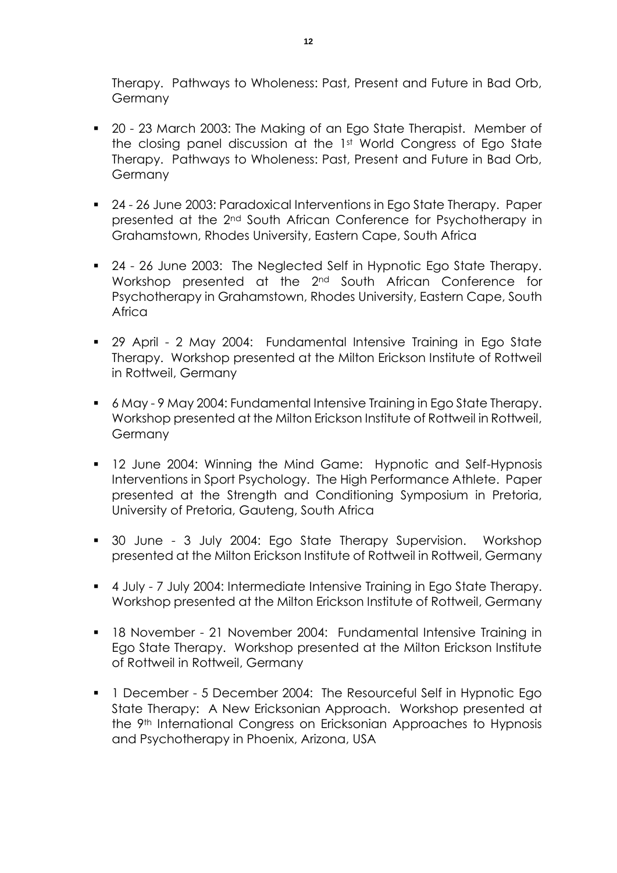Therapy. Pathways to Wholeness: Past, Present and Future in Bad Orb, Germany

- 20 23 March 2003: The Making of an Ego State Therapist. Member of the closing panel discussion at the 1st World Congress of Ego State Therapy. Pathways to Wholeness: Past, Present and Future in Bad Orb, Germany
- 24 26 June 2003: Paradoxical Interventions in Ego State Therapy. Paper presented at the 2nd South African Conference for Psychotherapy in Grahamstown, Rhodes University, Eastern Cape, South Africa
- 24 26 June 2003: The Neglected Self in Hypnotic Ego State Therapy. Workshop presented at the 2nd South African Conference for Psychotherapy in Grahamstown, Rhodes University, Eastern Cape, South **Africa**
- 29 April 2 May 2004: Fundamental Intensive Training in Ego State Therapy. Workshop presented at the Milton Erickson Institute of Rottweil in Rottweil, Germany
- 6 May 9 May 2004: Fundamental Intensive Training in Ego State Therapy. Workshop presented at the Milton Erickson Institute of Rottweil in Rottweil, Germany
- **12 June 2004: Winning the Mind Game: Hypnotic and Self-Hypnosis** Interventions in Sport Psychology. The High Performance Athlete. Paper presented at the Strength and Conditioning Symposium in Pretoria, University of Pretoria, Gauteng, South Africa
- 30 June 3 July 2004: Ego State Therapy Supervision. Workshop presented at the Milton Erickson Institute of Rottweil in Rottweil, Germany
- 4 July 7 July 2004: Intermediate Intensive Training in Ego State Therapy. Workshop presented at the Milton Erickson Institute of Rottweil, Germany
- 18 November 21 November 2004: Fundamental Intensive Training in Ego State Therapy. Workshop presented at the Milton Erickson Institute of Rottweil in Rottweil, Germany
- **1** December 5 December 2004: The Resourceful Self in Hypnotic Ego State Therapy: A New Ericksonian Approach. Workshop presented at the 9th International Congress on Ericksonian Approaches to Hypnosis and Psychotherapy in Phoenix, Arizona, USA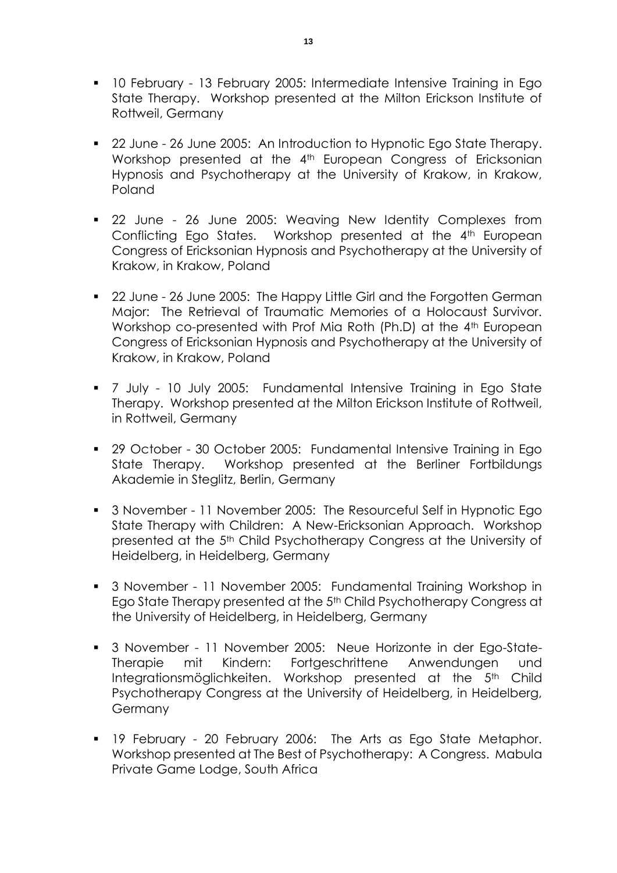- **10 February 13 February 2005: Intermediate Intensive Training in Ego** State Therapy. Workshop presented at the Milton Erickson Institute of Rottweil, Germany
- 22 June 26 June 2005: An Introduction to Hypnotic Ego State Therapy. Workshop presented at the 4<sup>th</sup> European Congress of Ericksonian Hypnosis and Psychotherapy at the University of Krakow, in Krakow, Poland
- 22 June 26 June 2005: Weaving New Identity Complexes from Conflicting Ego States. Workshop presented at the 4<sup>th</sup> European Congress of Ericksonian Hypnosis and Psychotherapy at the University of Krakow, in Krakow, Poland
- 22 June 26 June 2005: The Happy Little Girl and the Forgotten German Major: The Retrieval of Traumatic Memories of a Holocaust Survivor. Workshop co-presented with Prof Mia Roth (Ph.D) at the 4<sup>th</sup> European Congress of Ericksonian Hypnosis and Psychotherapy at the University of Krakow, in Krakow, Poland
- 7 July 10 July 2005: Fundamental Intensive Training in Ego State Therapy. Workshop presented at the Milton Erickson Institute of Rottweil, in Rottweil, Germany
- 29 October 30 October 2005: Fundamental Intensive Training in Ego State Therapy. Workshop presented at the Berliner Fortbildungs Akademie in Steglitz, Berlin, Germany
- 3 November 11 November 2005: The Resourceful Self in Hypnotic Ego State Therapy with Children: A New-Ericksonian Approach. Workshop presented at the 5th Child Psychotherapy Congress at the University of Heidelberg, in Heidelberg, Germany
- 3 November 11 November 2005: Fundamental Training Workshop in Ego State Therapy presented at the 5<sup>th</sup> Child Psychotherapy Congress at the University of Heidelberg, in Heidelberg, Germany
- 3 November 11 November 2005: Neue Horizonte in der Ego-State-Therapie mit Kindern: Fortgeschrittene Anwendungen und Integrationsmöglichkeiten. Workshop presented at the 5<sup>th</sup> Child Psychotherapy Congress at the University of Heidelberg, in Heidelberg, **Germany**
- **19 February 20 February 2006: The Arts as Ego State Metaphor.** Workshop presented at The Best of Psychotherapy: A Congress. Mabula Private Game Lodge, South Africa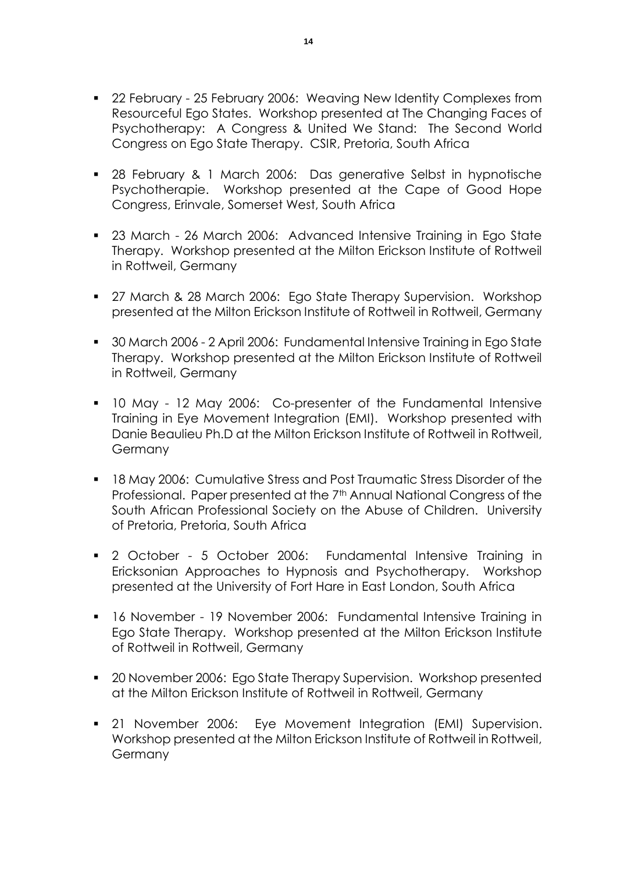- 22 February 25 February 2006: Weaving New Identity Complexes from Resourceful Ego States. Workshop presented at The Changing Faces of Psychotherapy: A Congress & United We Stand: The Second World Congress on Ego State Therapy. CSIR, Pretoria, South Africa
- 28 February & 1 March 2006: Das generative Selbst in hypnotische Psychotherapie. Workshop presented at the Cape of Good Hope Congress, Erinvale, Somerset West, South Africa
- 23 March 26 March 2006: Advanced Intensive Training in Ego State Therapy. Workshop presented at the Milton Erickson Institute of Rottweil in Rottweil, Germany
- 27 March & 28 March 2006: Ego State Therapy Supervision. Workshop presented at the Milton Erickson Institute of Rottweil in Rottweil, Germany
- 30 March 2006 2 April 2006: Fundamental Intensive Training in Ego State Therapy. Workshop presented at the Milton Erickson Institute of Rottweil in Rottweil, Germany
- 10 May 12 May 2006: Co-presenter of the Fundamental Intensive Training in Eye Movement Integration (EMI). Workshop presented with Danie Beaulieu Ph.D at the Milton Erickson Institute of Rottweil in Rottweil, Germany
- **18 May 2006: Cumulative Stress and Post Traumatic Stress Disorder of the** Professional. Paper presented at the 7<sup>th</sup> Annual National Congress of the South African Professional Society on the Abuse of Children. University of Pretoria, Pretoria, South Africa
- 2 October 5 October 2006: Fundamental Intensive Training in Ericksonian Approaches to Hypnosis and Psychotherapy. Workshop presented at the University of Fort Hare in East London, South Africa
- 16 November 19 November 2006: Fundamental Intensive Training in Ego State Therapy. Workshop presented at the Milton Erickson Institute of Rottweil in Rottweil, Germany
- 20 November 2006: Ego State Therapy Supervision. Workshop presented at the Milton Erickson Institute of Rottweil in Rottweil, Germany
- 21 November 2006: Eye Movement Integration (EMI) Supervision. Workshop presented at the Milton Erickson Institute of Rottweil in Rottweil, **Germany**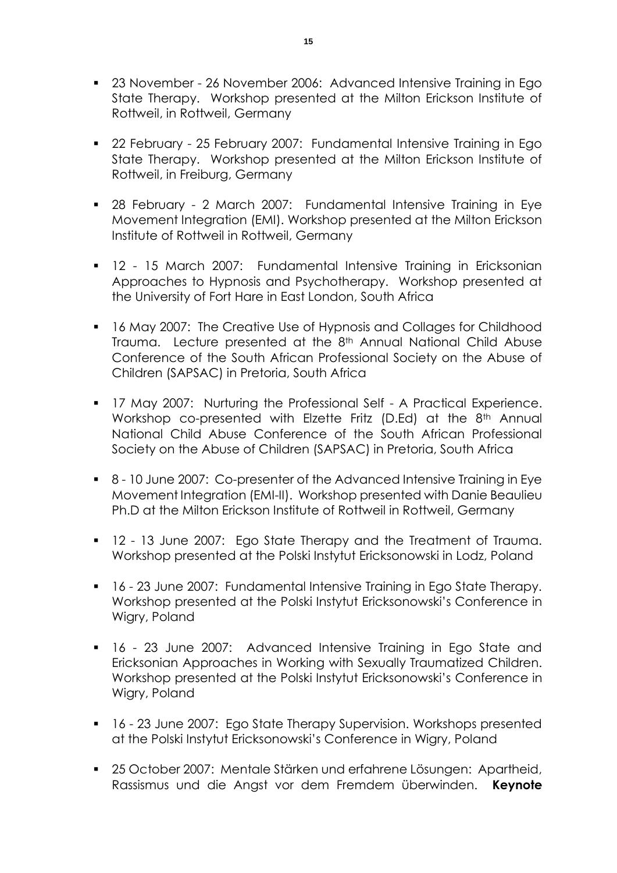- 23 November 26 November 2006: Advanced Intensive Training in Ego State Therapy. Workshop presented at the Milton Erickson Institute of Rottweil, in Rottweil, Germany
- 22 February 25 February 2007: Fundamental Intensive Training in Ego State Therapy. Workshop presented at the Milton Erickson Institute of Rottweil, in Freiburg, Germany
- 28 February 2 March 2007: Fundamental Intensive Training in Eye Movement Integration (EMI). Workshop presented at the Milton Erickson Institute of Rottweil in Rottweil, Germany
- **12 15 March 2007: Fundamental Intensive Training in Ericksonian** Approaches to Hypnosis and Psychotherapy. Workshop presented at the University of Fort Hare in East London, South Africa
- **16 May 2007: The Creative Use of Hypnosis and Collages for Childhood** Trauma. Lecture presented at the 8th Annual National Child Abuse Conference of the South African Professional Society on the Abuse of Children (SAPSAC) in Pretoria, South Africa
- **17 May 2007: Nurturing the Professional Self A Practical Experience.** Workshop co-presented with Elzette Fritz (D.Ed) at the 8<sup>th</sup> Annual National Child Abuse Conference of the South African Professional Society on the Abuse of Children (SAPSAC) in Pretoria, South Africa
- 8 10 June 2007: Co-presenter of the Advanced Intensive Training in Eye Movement Integration (EMI-II). Workshop presented with Danie Beaulieu Ph.D at the Milton Erickson Institute of Rottweil in Rottweil, Germany
- **12 13 June 2007: Ego State Therapy and the Treatment of Trauma.** Workshop presented at the Polski Instytut Ericksonowski in Lodz, Poland
- 16 23 June 2007: Fundamental Intensive Training in Ego State Therapy. Workshop presented at the Polski Instytut Ericksonowski's Conference in Wigry, Poland
- 16 23 June 2007: Advanced Intensive Training in Ego State and Ericksonian Approaches in Working with Sexually Traumatized Children. Workshop presented at the Polski Instytut Ericksonowski's Conference in Wigry, Poland
- 16 23 June 2007: Ego State Therapy Supervision. Workshops presented at the Polski Instytut Ericksonowski's Conference in Wigry, Poland
- 25 October 2007: Mentale Stärken und erfahrene Lösungen: Apartheid, Rassismus und die Angst vor dem Fremdem überwinden. **Keynote**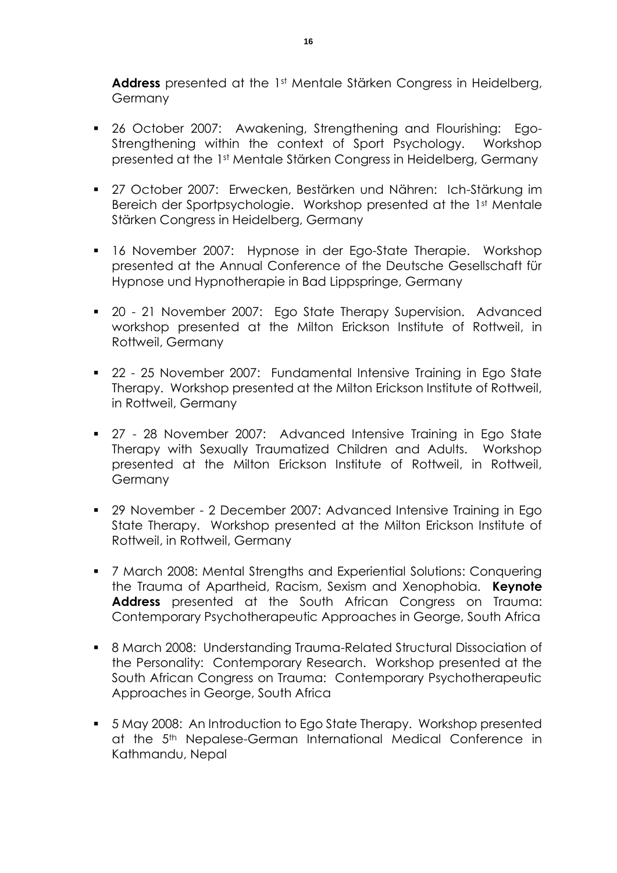**Address** presented at the 1st Mentale Stärken Congress in Heidelberg, Germany

- 26 October 2007: Awakening, Strengthening and Flourishing: Ego-Strengthening within the context of Sport Psychology. Workshop presented at the 1st Mentale Stärken Congress in Heidelberg, Germany
- 27 October 2007: Erwecken, Bestärken und Nähren: Ich-Stärkung im Bereich der Sportpsychologie. Workshop presented at the 1st Mentale Stärken Congress in Heidelberg, Germany
- 16 November 2007: Hypnose in der Ego-State Therapie. Workshop presented at the Annual Conference of the Deutsche Gesellschaft für Hypnose und Hypnotherapie in Bad Lippspringe, Germany
- 20 21 November 2007: Ego State Therapy Supervision. Advanced workshop presented at the Milton Erickson Institute of Rottweil, in Rottweil, Germany
- 22 25 November 2007: Fundamental Intensive Training in Ego State Therapy. Workshop presented at the Milton Erickson Institute of Rottweil, in Rottweil, Germany
- 27 28 November 2007: Advanced Intensive Training in Ego State Therapy with Sexually Traumatized Children and Adults. Workshop presented at the Milton Erickson Institute of Rottweil, in Rottweil, **Germany**
- 29 November 2 December 2007: Advanced Intensive Training in Ego State Therapy. Workshop presented at the Milton Erickson Institute of Rottweil, in Rottweil, Germany
- **7** March 2008: Mental Strengths and Experiential Solutions: Conquering the Trauma of Apartheid, Racism, Sexism and Xenophobia. **Keynote Address** presented at the South African Congress on Trauma: Contemporary Psychotherapeutic Approaches in George, South Africa
- 8 March 2008: Understanding Trauma-Related Structural Dissociation of the Personality: Contemporary Research. Workshop presented at the South African Congress on Trauma: Contemporary Psychotherapeutic Approaches in George, South Africa
- 5 May 2008: An Introduction to Ego State Therapy. Workshop presented at the 5<sup>th</sup> Nepalese-German International Medical Conference in Kathmandu, Nepal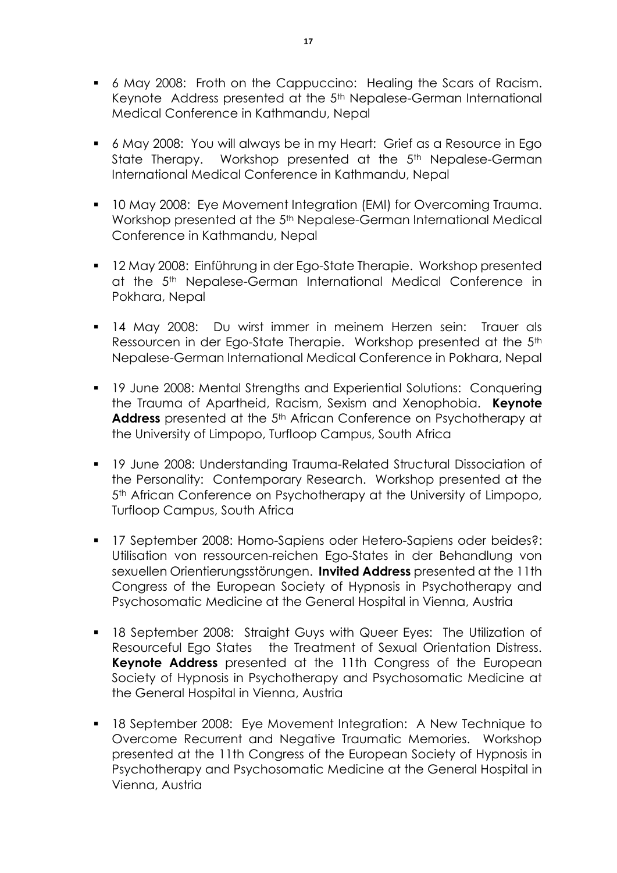- 6 May 2008: Froth on the Cappuccino: Healing the Scars of Racism. Keynote Address presented at the 5th Nepalese-German International Medical Conference in Kathmandu, Nepal
- 6 May 2008: You will always be in my Heart: Grief as a Resource in Ego State Therapy. Workshop presented at the 5<sup>th</sup> Nepalese-German International Medical Conference in Kathmandu, Nepal
- **10 May 2008: Eye Movement Integration (EMI) for Overcoming Trauma.** Workshop presented at the 5<sup>th</sup> Nepalese-German International Medical Conference in Kathmandu, Nepal
- 12 May 2008: Einführung in der Ego-State Therapie. Workshop presented at the 5th Nepalese-German International Medical Conference in Pokhara, Nepal
- 14 May 2008: Du wirst immer in meinem Herzen sein: Trauer als Ressourcen in der Ego-State Therapie. Workshop presented at the 5th Nepalese-German International Medical Conference in Pokhara, Nepal
- **19 June 2008: Mental Strengths and Experiential Solutions: Conquering** the Trauma of Apartheid, Racism, Sexism and Xenophobia. **Keynote**  Address presented at the 5<sup>th</sup> African Conference on Psychotherapy at the University of Limpopo, Turfloop Campus, South Africa
- 19 June 2008: Understanding Trauma-Related Structural Dissociation of the Personality: Contemporary Research. Workshop presented at the 5<sup>th</sup> African Conference on Psychotherapy at the University of Limpopo, Turfloop Campus, South Africa
- 17 September 2008: Homo-Sapiens oder Hetero-Sapiens oder beides?: Utilisation von ressourcen-reichen Ego-States in der Behandlung von sexuellen Orientierungsstörungen. **Invited Address** presented at the 11th Congress of the European Society of Hypnosis in Psychotherapy and Psychosomatic Medicine at the General Hospital in Vienna, Austria
- **18 September 2008: Straight Guys with Queer Eyes: The Utilization of** Resourceful Ego States the Treatment of Sexual Orientation Distress. **Keynote Address** presented at the 11th Congress of the European Society of Hypnosis in Psychotherapy and Psychosomatic Medicine at the General Hospital in Vienna, Austria
- 18 September 2008: Eye Movement Integration: A New Technique to Overcome Recurrent and Negative Traumatic Memories. Workshop presented at the 11th Congress of the European Society of Hypnosis in Psychotherapy and Psychosomatic Medicine at the General Hospital in Vienna, Austria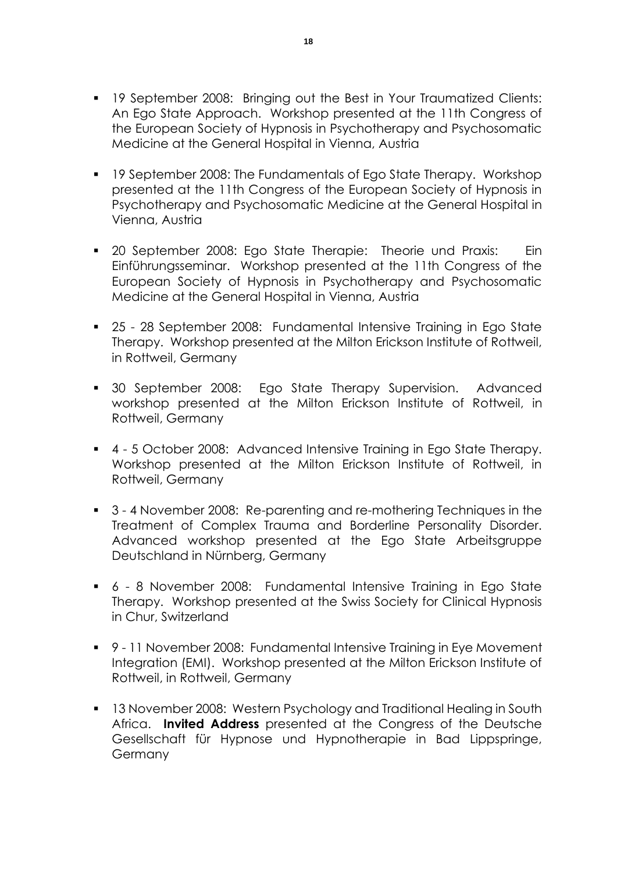- **19 September 2008: Bringing out the Best in Your Traumatized Clients:** An Ego State Approach. Workshop presented at the 11th Congress of the European Society of Hypnosis in Psychotherapy and Psychosomatic Medicine at the General Hospital in Vienna, Austria
- 19 September 2008: The Fundamentals of Ego State Therapy. Workshop presented at the 11th Congress of the European Society of Hypnosis in Psychotherapy and Psychosomatic Medicine at the General Hospital in Vienna, Austria
- **20 September 2008: Ego State Therapie: Theorie und Praxis:** Ein Einführungsseminar. Workshop presented at the 11th Congress of the European Society of Hypnosis in Psychotherapy and Psychosomatic Medicine at the General Hospital in Vienna, Austria
- 25 28 September 2008: Fundamental Intensive Training in Ego State Therapy. Workshop presented at the Milton Erickson Institute of Rottweil, in Rottweil, Germany
- 30 September 2008: Ego State Therapy Supervision. Advanced workshop presented at the Milton Erickson Institute of Rottweil, in Rottweil, Germany
- 4 5 October 2008: Advanced Intensive Training in Ego State Therapy. Workshop presented at the Milton Erickson Institute of Rottweil, in Rottweil, Germany
- 3 4 November 2008: Re-parenting and re-mothering Techniques in the Treatment of Complex Trauma and Borderline Personality Disorder. Advanced workshop presented at the Ego State Arbeitsgruppe Deutschland in Nürnberg, Germany
- 6 8 November 2008: Fundamental Intensive Training in Ego State Therapy. Workshop presented at the Swiss Society for Clinical Hypnosis in Chur, Switzerland
- 9 11 November 2008: Fundamental Intensive Training in Eye Movement Integration (EMI). Workshop presented at the Milton Erickson Institute of Rottweil, in Rottweil, Germany
- **13 November 2008: Western Psychology and Traditional Healing in South** Africa. **Invited Address** presented at the Congress of the Deutsche Gesellschaft für Hypnose und Hypnotherapie in Bad Lippspringe, **Germany**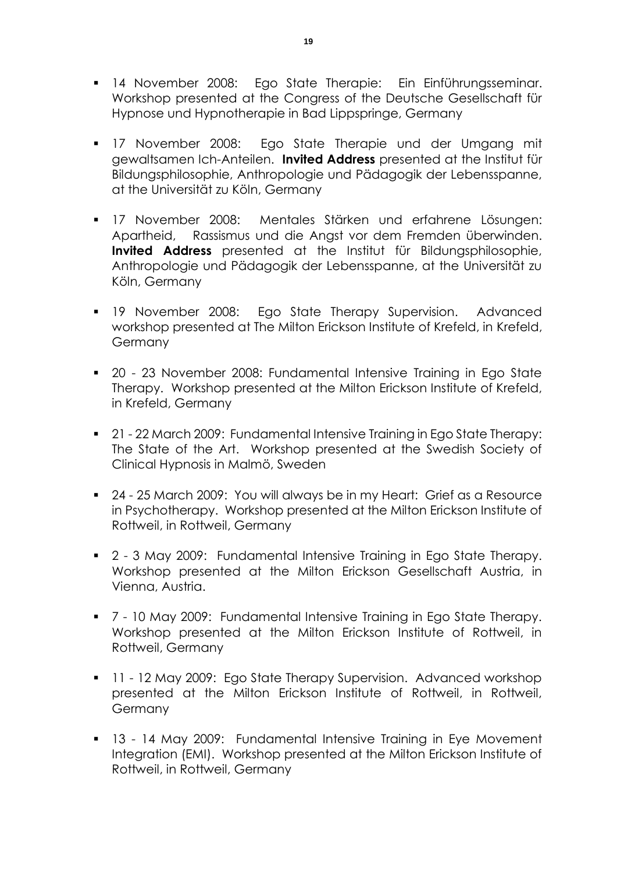- 14 November 2008: Ego State Therapie: Ein Einführungsseminar. Workshop presented at the Congress of the Deutsche Gesellschaft für Hypnose und Hypnotherapie in Bad Lippspringe, Germany
- 17 November 2008: Ego State Therapie und der Umgang mit gewaltsamen Ich-Anteilen. **Invited Address** presented at the Institut für Bildungsphilosophie, Anthropologie und Pädagogik der Lebensspanne, at the Universität zu Köln, Germany
- 17 November 2008: Mentales Stärken und erfahrene Lösungen: Apartheid, Rassismus und die Angst vor dem Fremden überwinden. **Invited Address** presented at the Institut für Bildungsphilosophie, Anthropologie und Pädagogik der Lebensspanne, at the Universität zu Köln, Germany
- 19 November 2008: Ego State Therapy Supervision. Advanced workshop presented at The Milton Erickson Institute of Krefeld, in Krefeld, Germany
- 20 23 November 2008: Fundamental Intensive Training in Ego State Therapy. Workshop presented at the Milton Erickson Institute of Krefeld, in Krefeld, Germany
- 21 22 March 2009: Fundamental Intensive Training in Ego State Therapy: The State of the Art. Workshop presented at the Swedish Society of Clinical Hypnosis in Malmö, Sweden
- 24 25 March 2009: You will always be in my Heart: Grief as a Resource in Psychotherapy. Workshop presented at the Milton Erickson Institute of Rottweil, in Rottweil, Germany
- 2 3 May 2009: Fundamental Intensive Training in Ego State Therapy. Workshop presented at the Milton Erickson Gesellschaft Austria, in Vienna, Austria.
- 7 10 May 2009: Fundamental Intensive Training in Ego State Therapy. Workshop presented at the Milton Erickson Institute of Rottweil, in Rottweil, Germany
- **11 12 May 2009: Ego State Therapy Supervision. Advanced workshop** presented at the Milton Erickson Institute of Rottweil, in Rottweil, **Germany**
- 13 14 May 2009: Fundamental Intensive Training in Eye Movement Integration (EMI). Workshop presented at the Milton Erickson Institute of Rottweil, in Rottweil, Germany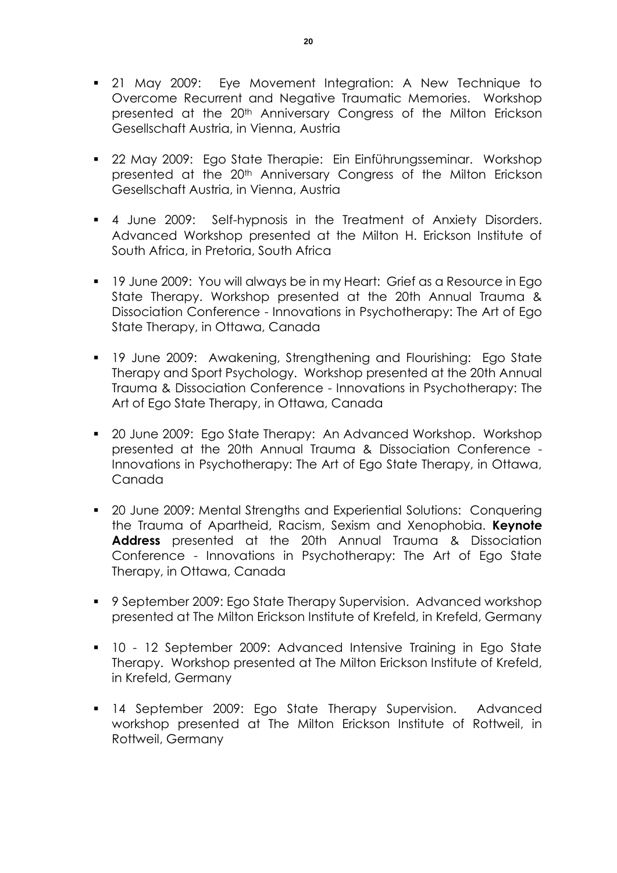- 21 May 2009: Eye Movement Integration: A New Technique to Overcome Recurrent and Negative Traumatic Memories. Workshop presented at the 20th Anniversary Congress of the Milton Erickson Gesellschaft Austria, in Vienna, Austria
- 22 May 2009: Ego State Therapie: Ein Einführungsseminar. Workshop presented at the 20<sup>th</sup> Anniversary Congress of the Milton Erickson Gesellschaft Austria, in Vienna, Austria
- 4 June 2009: Self-hypnosis in the Treatment of Anxiety Disorders. Advanced Workshop presented at the Milton H. Erickson Institute of South Africa, in Pretoria, South Africa
- 19 June 2009: You will always be in my Heart: Grief as a Resource in Ego State Therapy. Workshop presented at the 20th Annual Trauma & Dissociation Conference - Innovations in Psychotherapy: The Art of Ego State Therapy, in Ottawa, Canada
- 19 June 2009: Awakening, Strengthening and Flourishing: Ego State Therapy and Sport Psychology. Workshop presented at the 20th Annual Trauma & Dissociation Conference - Innovations in Psychotherapy: The Art of Ego State Therapy, in Ottawa, Canada
- 20 June 2009: Ego State Therapy: An Advanced Workshop. Workshop presented at the 20th Annual Trauma & Dissociation Conference - Innovations in Psychotherapy: The Art of Ego State Therapy, in Ottawa, Canada
- **20 June 2009: Mental Strengths and Experiential Solutions: Conquering** the Trauma of Apartheid, Racism, Sexism and Xenophobia. **Keynote Address** presented at the 20th Annual Trauma & Dissociation Conference - Innovations in Psychotherapy: The Art of Ego State Therapy, in Ottawa, Canada
- 9 September 2009: Ego State Therapy Supervision. Advanced workshop presented at The Milton Erickson Institute of Krefeld, in Krefeld, Germany
- 10 12 September 2009: Advanced Intensive Training in Ego State Therapy. Workshop presented at The Milton Erickson Institute of Krefeld, in Krefeld, Germany
- **14 September 2009: Ego State Therapy Supervision. Advanced** workshop presented at The Milton Erickson Institute of Rottweil, in Rottweil, Germany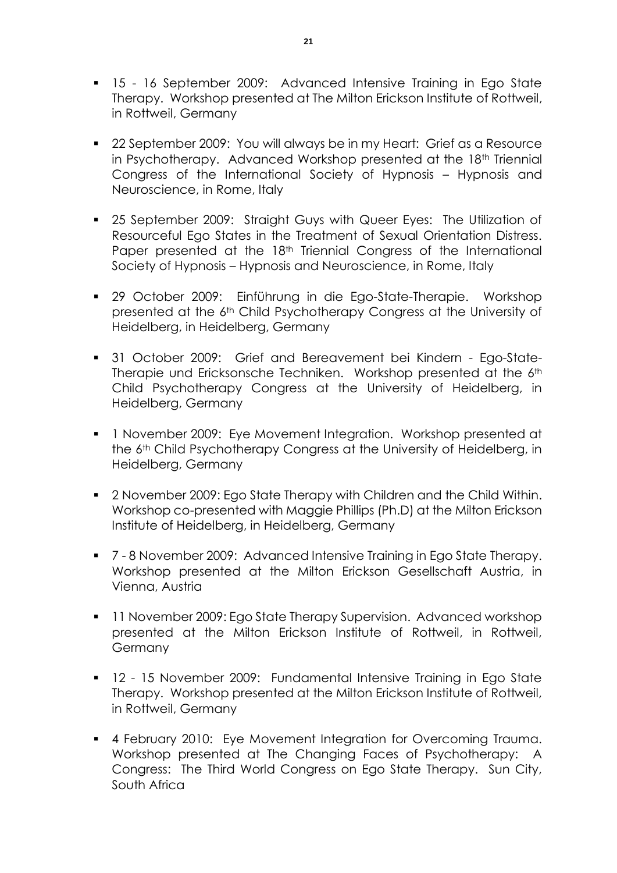- 15 16 September 2009: Advanced Intensive Training in Ego State Therapy. Workshop presented at The Milton Erickson Institute of Rottweil, in Rottweil, Germany
- 22 September 2009: You will always be in my Heart: Grief as a Resource in Psychotherapy. Advanced Workshop presented at the 18<sup>th</sup> Triennial Congress of the International Society of Hypnosis – Hypnosis and Neuroscience, in Rome, Italy
- **25 September 2009: Straight Guys with Queer Eyes: The Utilization of** Resourceful Ego States in the Treatment of Sexual Orientation Distress. Paper presented at the 18<sup>th</sup> Triennial Congress of the International Society of Hypnosis – Hypnosis and Neuroscience, in Rome, Italy
- 29 October 2009: Einführung in die Ego-State-Therapie. Workshop presented at the 6th Child Psychotherapy Congress at the University of Heidelberg, in Heidelberg, Germany
- 31 October 2009: Grief and Bereavement bei Kindern Ego-State-Therapie und Ericksonsche Techniken. Workshop presented at the 6th Child Psychotherapy Congress at the University of Heidelberg, in Heidelberg, Germany
- 1 November 2009: Eye Movement Integration. Workshop presented at the 6th Child Psychotherapy Congress at the University of Heidelberg, in Heidelberg, Germany
- 2 November 2009: Ego State Therapy with Children and the Child Within. Workshop co-presented with Maggie Phillips (Ph.D) at the Milton Erickson Institute of Heidelberg, in Heidelberg, Germany
- 7 8 November 2009: Advanced Intensive Training in Ego State Therapy. Workshop presented at the Milton Erickson Gesellschaft Austria, in Vienna, Austria
- **11 November 2009: Ego State Therapy Supervision. Advanced workshop** presented at the Milton Erickson Institute of Rottweil, in Rottweil, Germany
- **12 15 November 2009: Fundamental Intensive Training in Ego State** Therapy. Workshop presented at the Milton Erickson Institute of Rottweil, in Rottweil, Germany
- **4 February 2010: Eye Movement Integration for Overcoming Trauma.** Workshop presented at The Changing Faces of Psychotherapy: A Congress: The Third World Congress on Ego State Therapy. Sun City, South Africa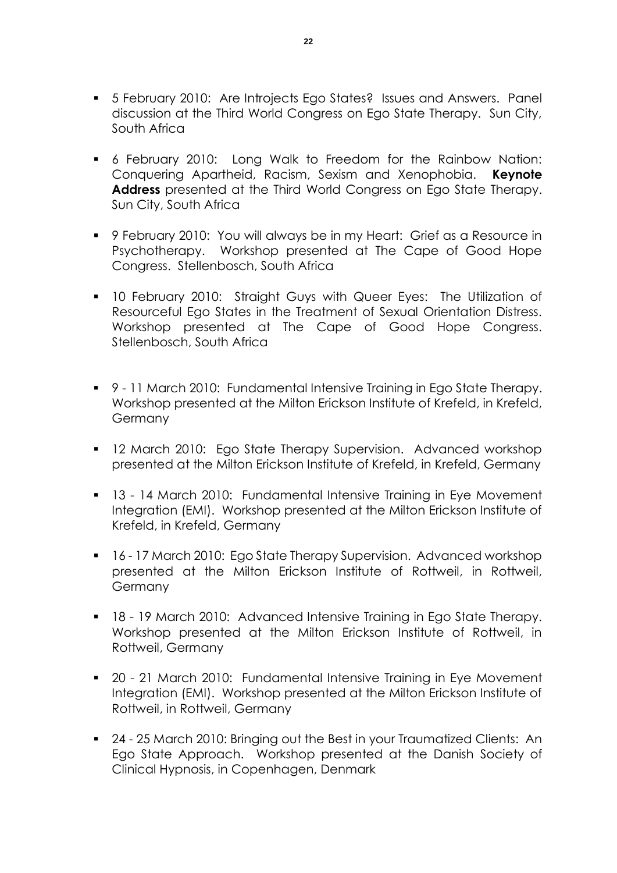- 5 February 2010: Are Introjects Ego States? Issues and Answers. Panel discussion at the Third World Congress on Ego State Therapy. Sun City, South Africa
- 6 February 2010: Long Walk to Freedom for the Rainbow Nation: Conquering Apartheid, Racism, Sexism and Xenophobia. **Keynote Address** presented at the Third World Congress on Ego State Therapy. Sun City, South Africa
- 9 February 2010: You will always be in my Heart: Grief as a Resource in Psychotherapy. Workshop presented at The Cape of Good Hope Congress. Stellenbosch, South Africa
- **10 February 2010: Straight Guys with Queer Eyes: The Utilization of** Resourceful Ego States in the Treatment of Sexual Orientation Distress. Workshop presented at The Cape of Good Hope Congress. Stellenbosch, South Africa
- 9 11 March 2010: Fundamental Intensive Training in Ego State Therapy. Workshop presented at the Milton Erickson Institute of Krefeld, in Krefeld, Germany
- **12 March 2010: Ego State Therapy Supervision. Advanced workshop** presented at the Milton Erickson Institute of Krefeld, in Krefeld, Germany
- 13 14 March 2010: Fundamental Intensive Training in Eye Movement Integration (EMI). Workshop presented at the Milton Erickson Institute of Krefeld, in Krefeld, Germany
- **16 17 March 2010: Ego State Therapy Supervision. Advanced workshop** presented at the Milton Erickson Institute of Rottweil, in Rottweil, **Germany**
- **18 19 March 2010: Advanced Intensive Training in Ego State Therapy.** Workshop presented at the Milton Erickson Institute of Rottweil, in Rottweil, Germany
- 20 21 March 2010: Fundamental Intensive Training in Eye Movement Integration (EMI). Workshop presented at the Milton Erickson Institute of Rottweil, in Rottweil, Germany
- 24 25 March 2010: Bringing out the Best in your Traumatized Clients: An Ego State Approach. Workshop presented at the Danish Society of Clinical Hypnosis, in Copenhagen, Denmark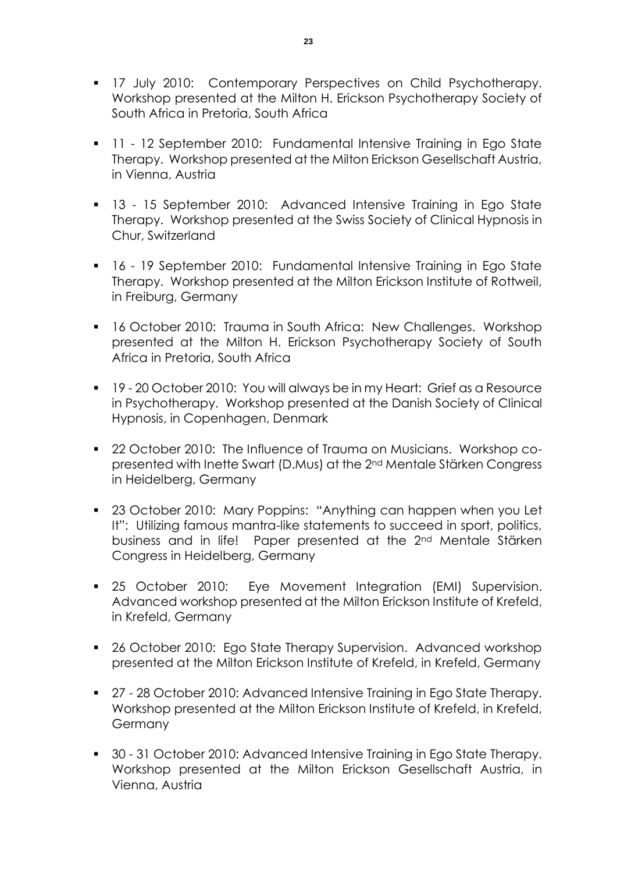- **17 July 2010: Contemporary Perspectives on Child Psychotherapy.** Workshop presented at the Milton H. Erickson Psychotherapy Society of South Africa in Pretoria, South Africa
- **11 12 September 2010: Fundamental Intensive Training in Ego State** Therapy. Workshop presented at the Milton Erickson Gesellschaft Austria, in Vienna, Austria
- **13 15 September 2010:** Advanced Intensive Training in Ego State Therapy. Workshop presented at the Swiss Society of Clinical Hypnosis in Chur, Switzerland
- 16 19 September 2010: Fundamental Intensive Training in Ego State Therapy. Workshop presented at the Milton Erickson Institute of Rottweil, in Freiburg, Germany
- **16 October 2010: Trauma in South Africa: New Challenges. Workshop** presented at the Milton H. Erickson Psychotherapy Society of South Africa in Pretoria, South Africa
- 19 20 October 2010: You will always be in my Heart: Grief as a Resource in Psychotherapy. Workshop presented at the Danish Society of Clinical Hypnosis, in Copenhagen, Denmark
- **22 October 2010: The Influence of Trauma on Musicians. Workshop co**presented with Inette Swart (D.Mus) at the 2nd Mentale Stärken Congress in Heidelberg, Germany
- 23 October 2010: Mary Poppins: "Anything can happen when you Let It": Utilizing famous mantra-like statements to succeed in sport, politics, business and in life! Paper presented at the 2nd Mentale Stärken Congress in Heidelberg, Germany
- **25 October 2010:** Eye Movement Integration (EMI) Supervision. Advanced workshop presented at the Milton Erickson Institute of Krefeld, in Krefeld, Germany
- 26 October 2010: Ego State Therapy Supervision. Advanced workshop presented at the Milton Erickson Institute of Krefeld, in Krefeld, Germany
- 27 28 October 2010: Advanced Intensive Training in Ego State Therapy. Workshop presented at the Milton Erickson Institute of Krefeld, in Krefeld, **Germany**
- 30 31 October 2010: Advanced Intensive Training in Ego State Therapy. Workshop presented at the Milton Erickson Gesellschaft Austria, in Vienna, Austria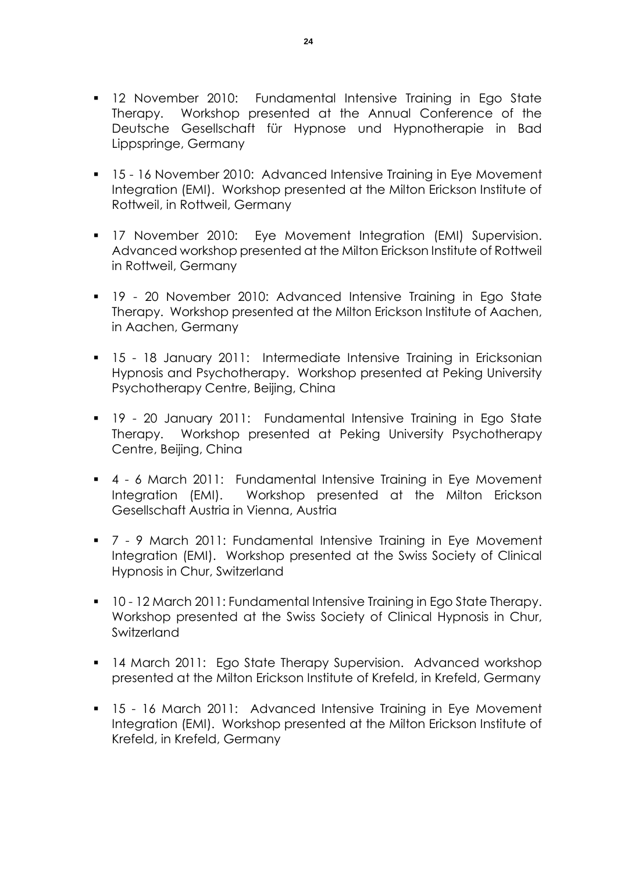- 12 November 2010: Fundamental Intensive Training in Ego State Therapy. Workshop presented at the Annual Conference of the Deutsche Gesellschaft für Hypnose und Hypnotherapie in Bad Lippspringe, Germany
- 15 16 November 2010: Advanced Intensive Training in Eye Movement Integration (EMI). Workshop presented at the Milton Erickson Institute of Rottweil, in Rottweil, Germany
- **17 November 2010: Eye Movement Integration (EMI) Supervision.** Advanced workshop presented at the Milton Erickson Institute of Rottweil in Rottweil, Germany
- **19 20 November 2010: Advanced Intensive Training in Ego State** Therapy. Workshop presented at the Milton Erickson Institute of Aachen, in Aachen, Germany
- 15 18 January 2011: Intermediate Intensive Training in Ericksonian Hypnosis and Psychotherapy. Workshop presented at Peking University Psychotherapy Centre, Beijing, China
- 19 20 January 2011: Fundamental Intensive Training in Ego State Therapy. Workshop presented at Peking University Psychotherapy Centre, Beijing, China
- 4 6 March 2011: Fundamental Intensive Training in Eye Movement Integration (EMI). Workshop presented at the Milton Erickson Gesellschaft Austria in Vienna, Austria
- 7 9 March 2011: Fundamental Intensive Training in Eye Movement Integration (EMI). Workshop presented at the Swiss Society of Clinical Hypnosis in Chur, Switzerland
- 10 12 March 2011: Fundamental Intensive Training in Ego State Therapy. Workshop presented at the Swiss Society of Clinical Hypnosis in Chur, Switzerland
- **14 March 2011: Ego State Therapy Supervision. Advanced workshop** presented at the Milton Erickson Institute of Krefeld, in Krefeld, Germany
- 15 16 March 2011: Advanced Intensive Training in Eye Movement Integration (EMI). Workshop presented at the Milton Erickson Institute of Krefeld, in Krefeld, Germany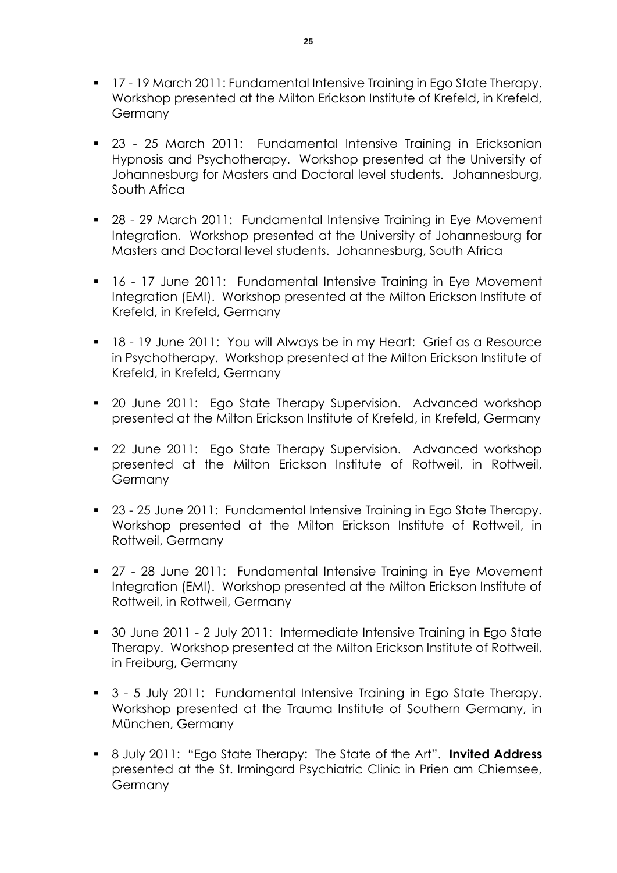- **17 19 March 2011: Fundamental Intensive Training in Ego State Therapy.** Workshop presented at the Milton Erickson Institute of Krefeld, in Krefeld, Germany
- 23 25 March 2011: Fundamental Intensive Training in Ericksonian Hypnosis and Psychotherapy. Workshop presented at the University of Johannesburg for Masters and Doctoral level students. Johannesburg, South Africa
- 28 29 March 2011: Fundamental Intensive Training in Eye Movement Integration. Workshop presented at the University of Johannesburg for Masters and Doctoral level students. Johannesburg, South Africa
- 16 17 June 2011: Fundamental Intensive Training in Eye Movement Integration (EMI). Workshop presented at the Milton Erickson Institute of Krefeld, in Krefeld, Germany
- 18 19 June 2011: You will Always be in my Heart: Grief as a Resource in Psychotherapy. Workshop presented at the Milton Erickson Institute of Krefeld, in Krefeld, Germany
- **20 June 2011: Ego State Therapy Supervision. Advanced workshop** presented at the Milton Erickson Institute of Krefeld, in Krefeld, Germany
- **22 June 2011: Ego State Therapy Supervision. Advanced workshop** presented at the Milton Erickson Institute of Rottweil, in Rottweil, Germany
- 23 25 June 2011: Fundamental Intensive Training in Ego State Therapy. Workshop presented at the Milton Erickson Institute of Rottweil, in Rottweil, Germany
- 27 28 June 2011: Fundamental Intensive Training in Eye Movement Integration (EMI). Workshop presented at the Milton Erickson Institute of Rottweil, in Rottweil, Germany
- 30 June 2011 2 July 2011: Intermediate Intensive Training in Ego State Therapy. Workshop presented at the Milton Erickson Institute of Rottweil, in Freiburg, Germany
- 3 5 July 2011: Fundamental Intensive Training in Ego State Therapy. Workshop presented at the Trauma Institute of Southern Germany, in München, Germany
- 8 July 2011: "Ego State Therapy: The State of the Art". **Invited Address** presented at the St. Irmingard Psychiatric Clinic in Prien am Chiemsee, Germany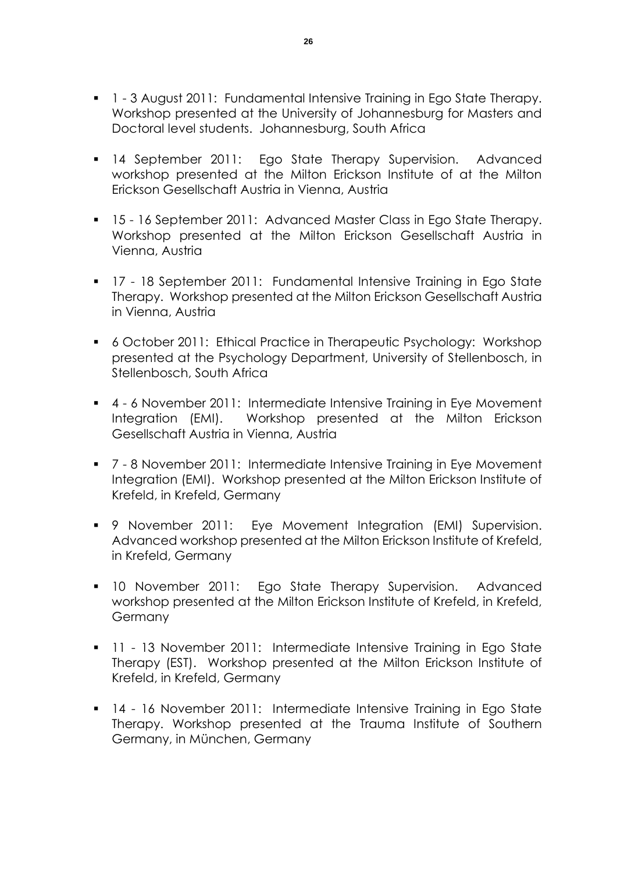- 1 3 August 2011: Fundamental Intensive Training in Ego State Therapy. Workshop presented at the University of Johannesburg for Masters and Doctoral level students. Johannesburg, South Africa
- **14 September 2011:** Ego State Therapy Supervision. Advanced workshop presented at the Milton Erickson Institute of at the Milton Erickson Gesellschaft Austria in Vienna, Austria
- 15 16 September 2011: Advanced Master Class in Ego State Therapy. Workshop presented at the Milton Erickson Gesellschaft Austria in Vienna, Austria
- 17 18 September 2011: Fundamental Intensive Training in Ego State Therapy. Workshop presented at the Milton Erickson Gesellschaft Austria in Vienna, Austria
- 6 October 2011: Ethical Practice in Therapeutic Psychology: Workshop presented at the Psychology Department, University of Stellenbosch, in Stellenbosch, South Africa
- 4 6 November 2011: Intermediate Intensive Training in Eye Movement Integration (EMI). Workshop presented at the Milton Erickson Gesellschaft Austria in Vienna, Austria
- 7 8 November 2011: Intermediate Intensive Training in Eye Movement Integration (EMI). Workshop presented at the Milton Erickson Institute of Krefeld, in Krefeld, Germany
- 9 November 2011: Eye Movement Integration (EMI) Supervision. Advanced workshop presented at the Milton Erickson Institute of Krefeld, in Krefeld, Germany
- 10 November 2011: Ego State Therapy Supervision. Advanced workshop presented at the Milton Erickson Institute of Krefeld, in Krefeld, Germany
- **11 13 November 2011: Intermediate Intensive Training in Ego State** Therapy (EST). Workshop presented at the Milton Erickson Institute of Krefeld, in Krefeld, Germany
- 14 16 November 2011: Intermediate Intensive Training in Ego State Therapy. Workshop presented at the Trauma Institute of Southern Germany, in München, Germany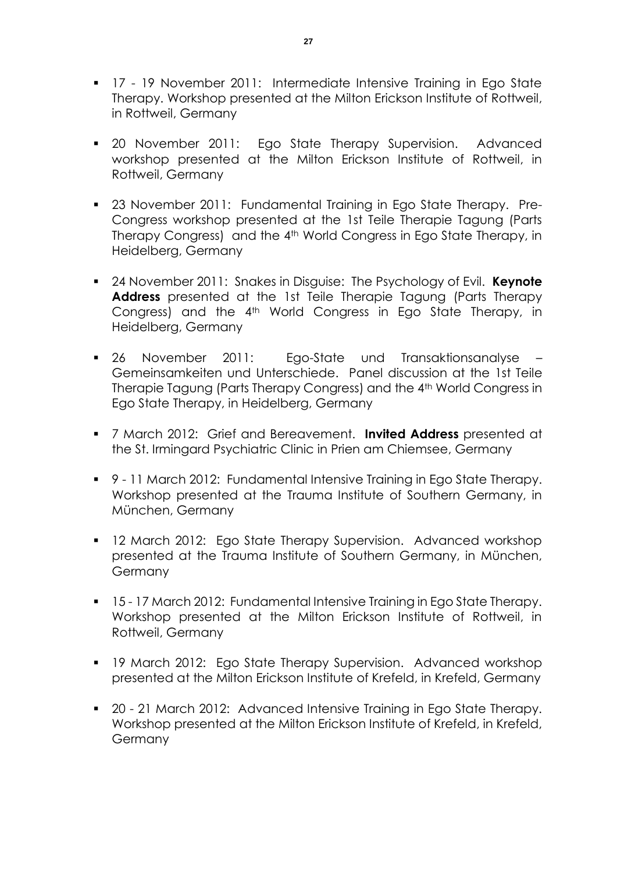- **17 19 November 2011: Intermediate Intensive Training in Ego State** Therapy. Workshop presented at the Milton Erickson Institute of Rottweil, in Rottweil, Germany
- 20 November 2011: Ego State Therapy Supervision. Advanced workshop presented at the Milton Erickson Institute of Rottweil, in Rottweil, Germany
- 23 November 2011: Fundamental Training in Ego State Therapy. Pre-Congress workshop presented at the 1st Teile Therapie Tagung (Parts Therapy Congress) and the 4<sup>th</sup> World Congress in Ego State Therapy, in Heidelberg, Germany
- 24 November 2011: Snakes in Disguise: The Psychology of Evil. **Keynote Address** presented at the 1st Teile Therapie Tagung (Parts Therapy Congress) and the 4th World Congress in Ego State Therapy, in Heidelberg, Germany
- 26 November 2011: Ego-State und Transaktionsanalyse Gemeinsamkeiten und Unterschiede. Panel discussion at the 1st Teile Therapie Tagung (Parts Therapy Congress) and the 4th World Congress in Ego State Therapy, in Heidelberg, Germany
- 7 March 2012: Grief and Bereavement. **Invited Address** presented at the St. Irmingard Psychiatric Clinic in Prien am Chiemsee, Germany
- 9 11 March 2012: Fundamental Intensive Training in Ego State Therapy. Workshop presented at the Trauma Institute of Southern Germany, in München, Germany
- **12 March 2012: Ego State Therapy Supervision. Advanced workshop** presented at the Trauma Institute of Southern Germany, in München, **Germany**
- 15 17 March 2012: Fundamental Intensive Training in Ego State Therapy. Workshop presented at the Milton Erickson Institute of Rottweil, in Rottweil, Germany
- **19 March 2012: Ego State Therapy Supervision. Advanced workshop** presented at the Milton Erickson Institute of Krefeld, in Krefeld, Germany
- 20 21 March 2012: Advanced Intensive Training in Ego State Therapy. Workshop presented at the Milton Erickson Institute of Krefeld, in Krefeld, Germany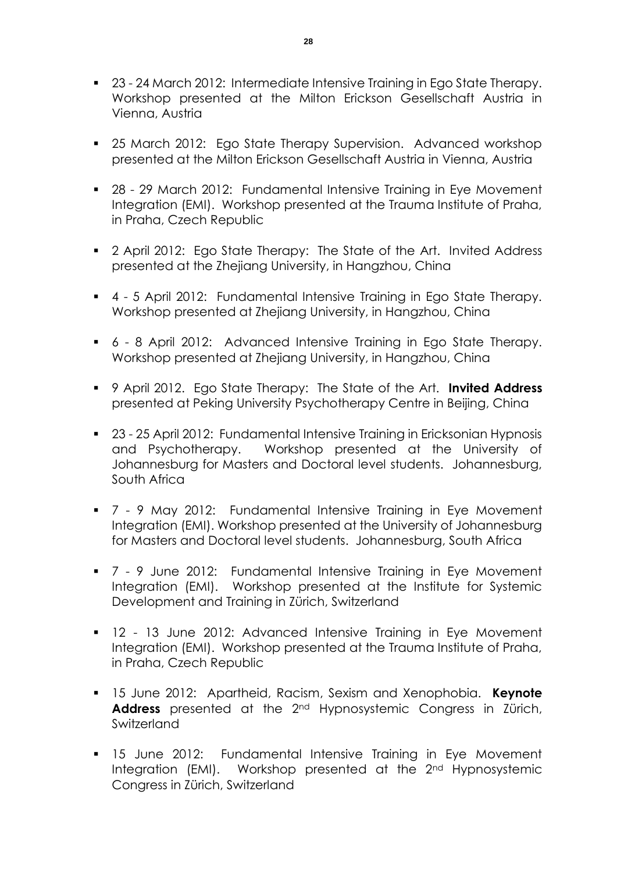- 23 24 March 2012: Intermediate Intensive Training in Ego State Therapy. Workshop presented at the Milton Erickson Gesellschaft Austria in Vienna, Austria
- **25 March 2012: Ego State Therapy Supervision. Advanced workshop** presented at the Milton Erickson Gesellschaft Austria in Vienna, Austria
- 28 29 March 2012: Fundamental Intensive Training in Eye Movement Integration (EMI). Workshop presented at the Trauma Institute of Praha, in Praha, Czech Republic
- **2** April 2012: Ego State Therapy: The State of the Art. Invited Address presented at the Zhejiang University, in Hangzhou, China
- 4 5 April 2012: Fundamental Intensive Training in Ego State Therapy. Workshop presented at Zhejiang University, in Hangzhou, China
- 6 8 April 2012: Advanced Intensive Training in Ego State Therapy. Workshop presented at Zhejiang University, in Hangzhou, China
- 9 April 2012. Ego State Therapy: The State of the Art. **Invited Address** presented at Peking University Psychotherapy Centre in Beijing, China
- 23 25 April 2012: Fundamental Intensive Training in Ericksonian Hypnosis and Psychotherapy. Workshop presented at the University of Johannesburg for Masters and Doctoral level students. Johannesburg, South Africa
- 7 9 May 2012: Fundamental Intensive Training in Eye Movement Integration (EMI). Workshop presented at the University of Johannesburg for Masters and Doctoral level students. Johannesburg, South Africa
- 7 9 June 2012: Fundamental Intensive Training in Eye Movement Integration (EMI). Workshop presented at the Institute for Systemic Development and Training in Zürich, Switzerland
- 12 13 June 2012: Advanced Intensive Training in Eye Movement Integration (EMI). Workshop presented at the Trauma Institute of Praha, in Praha, Czech Republic
- 15 June 2012: Apartheid, Racism, Sexism and Xenophobia. **Keynote Address** presented at the 2nd Hypnosystemic Congress in Zürich, Switzerland
- **15 June 2012: Fundamental Intensive Training in Eye Movement** Integration (EMI). Workshop presented at the 2<sup>nd</sup> Hypnosystemic Congress in Zürich, Switzerland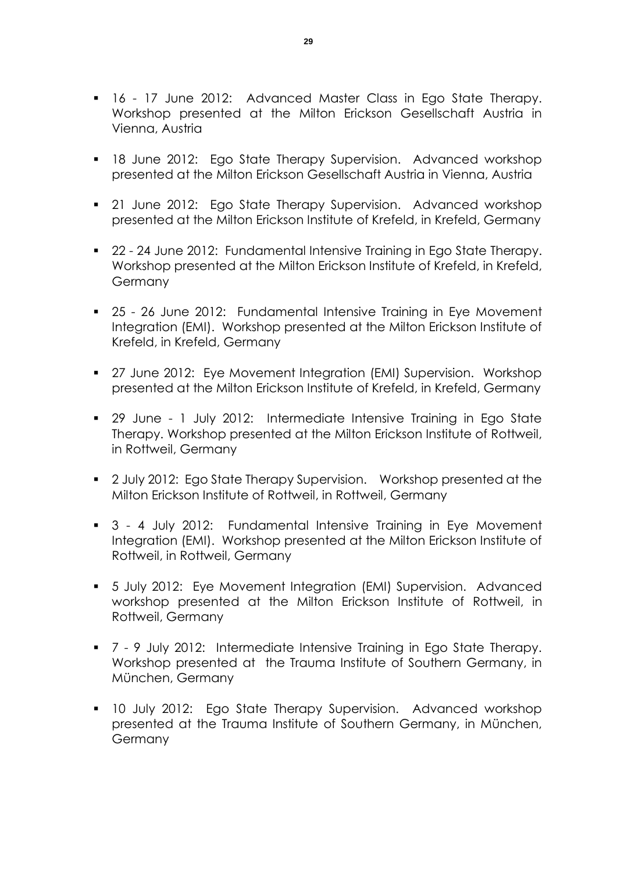- **16 17 June 2012: Advanced Master Class in Ego State Therapy.** Workshop presented at the Milton Erickson Gesellschaft Austria in Vienna, Austria
- **18 June 2012: Ego State Therapy Supervision. Advanced workshop** presented at the Milton Erickson Gesellschaft Austria in Vienna, Austria
- **21 June 2012: Ego State Therapy Supervision. Advanced workshop** presented at the Milton Erickson Institute of Krefeld, in Krefeld, Germany
- 22 24 June 2012: Fundamental Intensive Training in Ego State Therapy. Workshop presented at the Milton Erickson Institute of Krefeld, in Krefeld, Germany
- 25 26 June 2012: Fundamental Intensive Training in Eye Movement Integration (EMI). Workshop presented at the Milton Erickson Institute of Krefeld, in Krefeld, Germany
- 27 June 2012: Eye Movement Integration (EMI) Supervision. Workshop presented at the Milton Erickson Institute of Krefeld, in Krefeld, Germany
- 29 June 1 July 2012: Intermediate Intensive Training in Ego State Therapy. Workshop presented at the Milton Erickson Institute of Rottweil, in Rottweil, Germany
- **2** July 2012: Ego State Therapy Supervision. Workshop presented at the Milton Erickson Institute of Rottweil, in Rottweil, Germany
- 3 4 July 2012: Fundamental Intensive Training in Eye Movement Integration (EMI). Workshop presented at the Milton Erickson Institute of Rottweil, in Rottweil, Germany
- 5 July 2012: Eye Movement Integration (EMI) Supervision. Advanced workshop presented at the Milton Erickson Institute of Rottweil, in Rottweil, Germany
- 7 9 July 2012: Intermediate Intensive Training in Ego State Therapy. Workshop presented at the Trauma Institute of Southern Germany, in München, Germany
- 10 July 2012: Ego State Therapy Supervision. Advanced workshop presented at the Trauma Institute of Southern Germany, in München, Germany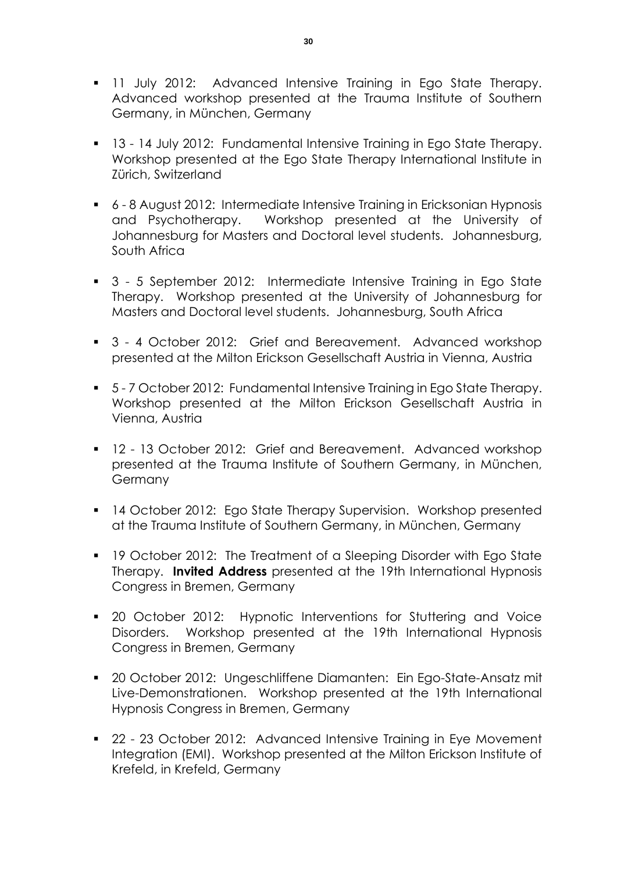- **11 July 2012: Advanced Intensive Training in Ego State Therapy.** Advanced workshop presented at the Trauma Institute of Southern Germany, in München, Germany
- **13 14 July 2012: Fundamental Intensive Training in Ego State Therapy.** Workshop presented at the Ego State Therapy International Institute in Zürich, Switzerland
- 6 8 August 2012: Intermediate Intensive Training in Ericksonian Hypnosis and Psychotherapy. Workshop presented at the University of Johannesburg for Masters and Doctoral level students. Johannesburg, South Africa
- 3 5 September 2012: Intermediate Intensive Training in Ego State Therapy. Workshop presented at the University of Johannesburg for Masters and Doctoral level students. Johannesburg, South Africa
- 3 4 October 2012: Grief and Bereavement. Advanced workshop presented at the Milton Erickson Gesellschaft Austria in Vienna, Austria
- 5-7 October 2012: Fundamental Intensive Training in Ego State Therapy. Workshop presented at the Milton Erickson Gesellschaft Austria in Vienna, Austria
- **12 13 October 2012: Grief and Bereavement. Advanced workshop** presented at the Trauma Institute of Southern Germany, in München, Germany
- 14 October 2012: Ego State Therapy Supervision. Workshop presented at the Trauma Institute of Southern Germany, in München, Germany
- **19 October 2012: The Treatment of a Sleeping Disorder with Ego State** Therapy. **Invited Address** presented at the 19th International Hypnosis Congress in Bremen, Germany
- 20 October 2012: Hypnotic Interventions for Stuttering and Voice Disorders. Workshop presented at the 19th International Hypnosis Congress in Bremen, Germany
- 20 October 2012: Ungeschliffene Diamanten: Ein Ego-State-Ansatz mit Live-Demonstrationen. Workshop presented at the 19th International Hypnosis Congress in Bremen, Germany
- 22 23 October 2012: Advanced Intensive Training in Eye Movement Integration (EMI). Workshop presented at the Milton Erickson Institute of Krefeld, in Krefeld, Germany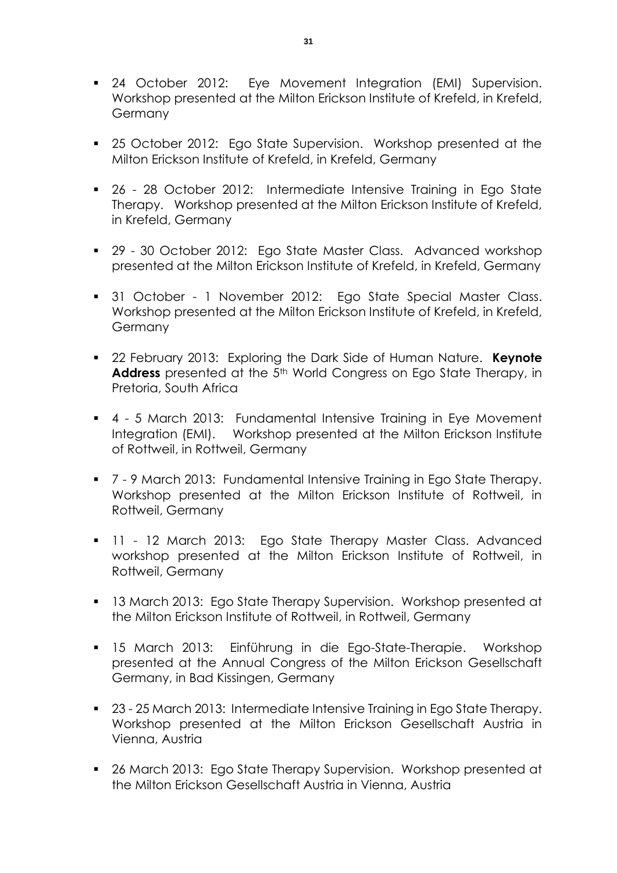- **24 October 2012:** Eye Movement Integration (EMI) Supervision. Workshop presented at the Milton Erickson Institute of Krefeld, in Krefeld, Germany
- 25 October 2012: Ego State Supervision. Workshop presented at the Milton Erickson Institute of Krefeld, in Krefeld, Germany
- 26 28 October 2012: Intermediate Intensive Training in Ego State Therapy. Workshop presented at the Milton Erickson Institute of Krefeld, in Krefeld, Germany
- 29 30 October 2012: Ego State Master Class. Advanced workshop presented at the Milton Erickson Institute of Krefeld, in Krefeld, Germany
- **31 October 1 November 2012: Ego State Special Master Class.** Workshop presented at the Milton Erickson Institute of Krefeld, in Krefeld, **Germany**
- 22 February 2013: Exploring the Dark Side of Human Nature. **Keynote**  Address presented at the 5<sup>th</sup> World Congress on Ego State Therapy, in Pretoria, South Africa
- 4 5 March 2013: Fundamental Intensive Training in Eye Movement Integration (EMI). Workshop presented at the Milton Erickson Institute of Rottweil, in Rottweil, Germany
- 7 9 March 2013: Fundamental Intensive Training in Ego State Therapy. Workshop presented at the Milton Erickson Institute of Rottweil, in Rottweil, Germany
- **11 12 March 2013: Ego State Therapy Master Class. Advanced** workshop presented at the Milton Erickson Institute of Rottweil, in Rottweil, Germany
- **13 March 2013: Ego State Therapy Supervision. Workshop presented at** the Milton Erickson Institute of Rottweil, in Rottweil, Germany
- 15 March 2013: Einführung in die Ego-State-Therapie. Workshop presented at the Annual Congress of the Milton Erickson Gesellschaft Germany, in Bad Kissingen, Germany
- 23 25 March 2013: Intermediate Intensive Training in Ego State Therapy. Workshop presented at the Milton Erickson Gesellschaft Austria in Vienna, Austria
- 26 March 2013: Ego State Therapy Supervision. Workshop presented at the Milton Erickson Gesellschaft Austria in Vienna, Austria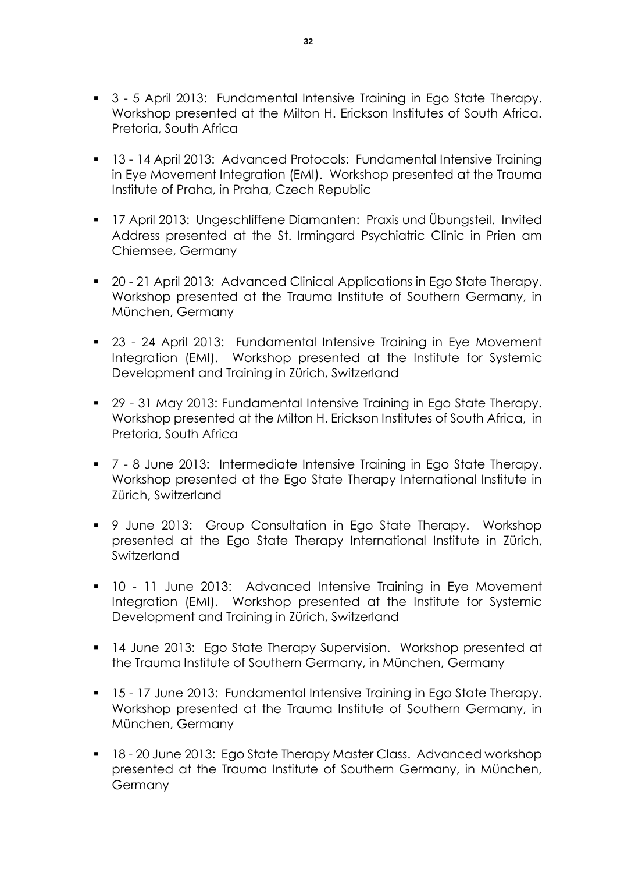- 3 5 April 2013: Fundamental Intensive Training in Ego State Therapy. Workshop presented at the Milton H. Erickson Institutes of South Africa. Pretoria, South Africa
- 13 14 April 2013: Advanced Protocols: Fundamental Intensive Training in Eye Movement Integration (EMI). Workshop presented at the Trauma Institute of Praha, in Praha, Czech Republic
- 17 April 2013: Ungeschliffene Diamanten: Praxis und Übungsteil. Invited Address presented at the St. Irmingard Psychiatric Clinic in Prien am Chiemsee, Germany
- 20 21 April 2013: Advanced Clinical Applications in Ego State Therapy. Workshop presented at the Trauma Institute of Southern Germany, in München, Germany
- 23 24 April 2013: Fundamental Intensive Training in Eye Movement Integration (EMI). Workshop presented at the Institute for Systemic Development and Training in Zürich, Switzerland
- 29 31 May 2013: Fundamental Intensive Training in Ego State Therapy. Workshop presented at the Milton H. Erickson Institutes of South Africa, in Pretoria, South Africa
- 7 8 June 2013: Intermediate Intensive Training in Ego State Therapy. Workshop presented at the Ego State Therapy International Institute in Zürich, Switzerland
- 9 June 2013: Group Consultation in Ego State Therapy. Workshop presented at the Ego State Therapy International Institute in Zürich, **Switzerland**
- 10 11 June 2013: Advanced Intensive Training in Eye Movement Integration (EMI). Workshop presented at the Institute for Systemic Development and Training in Zürich, Switzerland
- 14 June 2013: Ego State Therapy Supervision. Workshop presented at the Trauma Institute of Southern Germany, in München, Germany
- 15 17 June 2013: Fundamental Intensive Training in Ego State Therapy. Workshop presented at the Trauma Institute of Southern Germany, in München, Germany
- 18 20 June 2013: Ego State Therapy Master Class. Advanced workshop presented at the Trauma Institute of Southern Germany, in München, Germany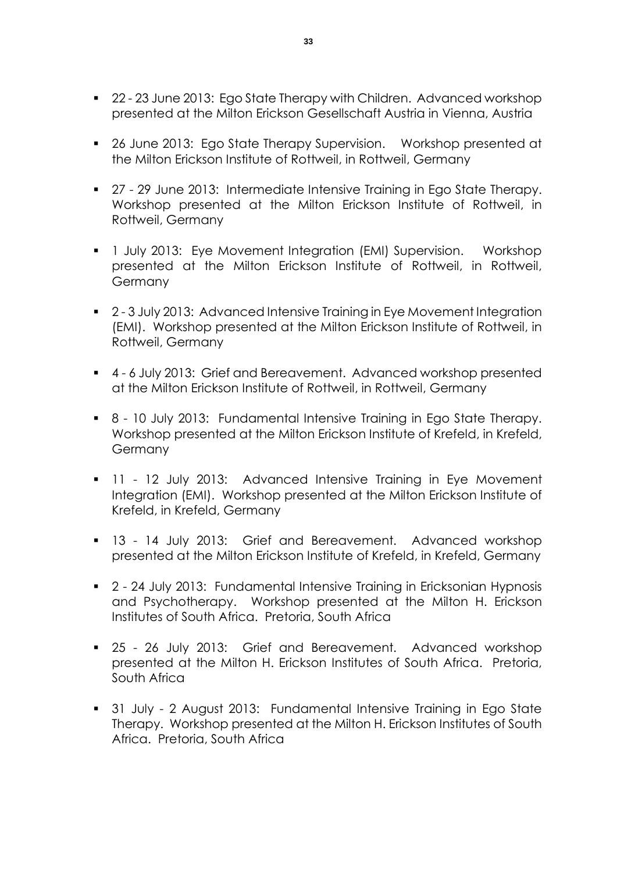- 22 23 June 2013: Ego State Therapy with Children. Advanced workshop presented at the Milton Erickson Gesellschaft Austria in Vienna, Austria
- 26 June 2013: Ego State Therapy Supervision. Workshop presented at the Milton Erickson Institute of Rottweil, in Rottweil, Germany
- 27 29 June 2013: Intermediate Intensive Training in Ego State Therapy. Workshop presented at the Milton Erickson Institute of Rottweil, in Rottweil, Germany
- **1** July 2013: Eye Movement Integration (EMI) Supervision. Workshop presented at the Milton Erickson Institute of Rottweil, in Rottweil, Germany
- 2-3 July 2013: Advanced Intensive Training in Eye Movement Integration (EMI). Workshop presented at the Milton Erickson Institute of Rottweil, in Rottweil, Germany
- 4 6 July 2013: Grief and Bereavement. Advanced workshop presented at the Milton Erickson Institute of Rottweil, in Rottweil, Germany
- 8 10 July 2013: Fundamental Intensive Training in Ego State Therapy. Workshop presented at the Milton Erickson Institute of Krefeld, in Krefeld, Germany
- **11 12 July 2013: Advanced Intensive Training in Eye Movement** Integration (EMI). Workshop presented at the Milton Erickson Institute of Krefeld, in Krefeld, Germany
- 13 14 July 2013: Grief and Bereavement. Advanced workshop presented at the Milton Erickson Institute of Krefeld, in Krefeld, Germany
- 2 24 July 2013: Fundamental Intensive Training in Ericksonian Hypnosis and Psychotherapy. Workshop presented at the Milton H. Erickson Institutes of South Africa. Pretoria, South Africa
- 25 26 July 2013: Grief and Bereavement. Advanced workshop presented at the Milton H. Erickson Institutes of South Africa. Pretoria, South Africa
- 31 July 2 August 2013: Fundamental Intensive Training in Ego State Therapy. Workshop presented at the Milton H. Erickson Institutes of South Africa. Pretoria, South Africa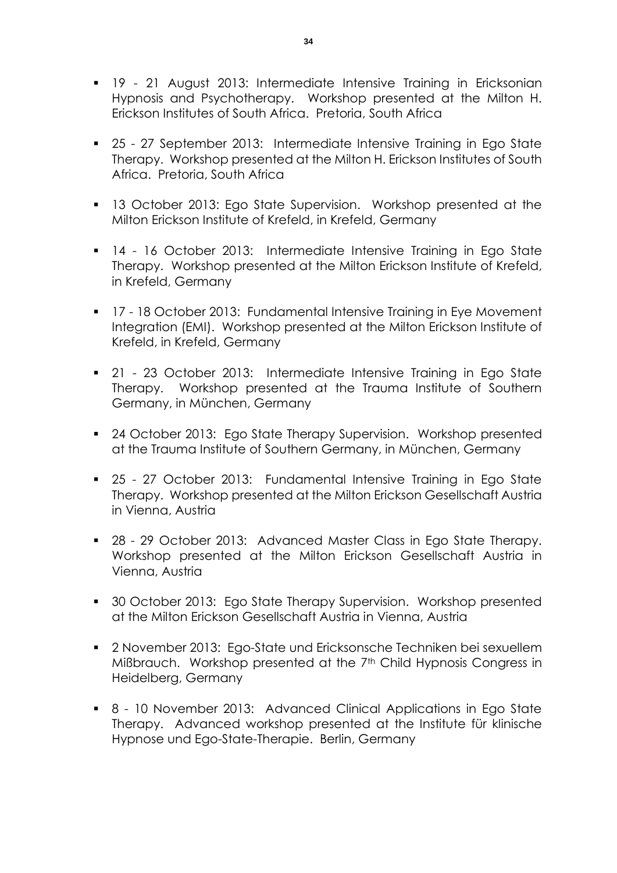- 19 21 August 2013: Intermediate Intensive Training in Ericksonian Hypnosis and Psychotherapy. Workshop presented at the Milton H. Erickson Institutes of South Africa. Pretoria, South Africa
- 25 27 September 2013: Intermediate Intensive Training in Ego State Therapy. Workshop presented at the Milton H. Erickson Institutes of South Africa. Pretoria, South Africa
- **13 October 2013: Ego State Supervision. Workshop presented at the** Milton Erickson Institute of Krefeld, in Krefeld, Germany
- 14 16 October 2013: Intermediate Intensive Training in Ego State Therapy. Workshop presented at the Milton Erickson Institute of Krefeld, in Krefeld, Germany
- **17 18 October 2013: Fundamental Intensive Training in Eye Movement** Integration (EMI). Workshop presented at the Milton Erickson Institute of Krefeld, in Krefeld, Germany
- 21 23 October 2013: Intermediate Intensive Training in Ego State Therapy. Workshop presented at the Trauma Institute of Southern Germany, in München, Germany
- 24 October 2013: Ego State Therapy Supervision. Workshop presented at the Trauma Institute of Southern Germany, in München, Germany
- 25 27 October 2013: Fundamental Intensive Training in Ego State Therapy. Workshop presented at the Milton Erickson Gesellschaft Austria in Vienna, Austria
- 28 29 October 2013: Advanced Master Class in Ego State Therapy. Workshop presented at the Milton Erickson Gesellschaft Austria in Vienna, Austria
- 30 October 2013: Ego State Therapy Supervision. Workshop presented at the Milton Erickson Gesellschaft Austria in Vienna, Austria
- 2 November 2013: Ego-State und Ericksonsche Techniken bei sexuellem Mißbrauch. Workshop presented at the 7<sup>th</sup> Child Hypnosis Congress in Heidelberg, Germany
- 8 10 November 2013: Advanced Clinical Applications in Ego State Therapy. Advanced workshop presented at the Institute für klinische Hypnose und Ego-State-Therapie. Berlin, Germany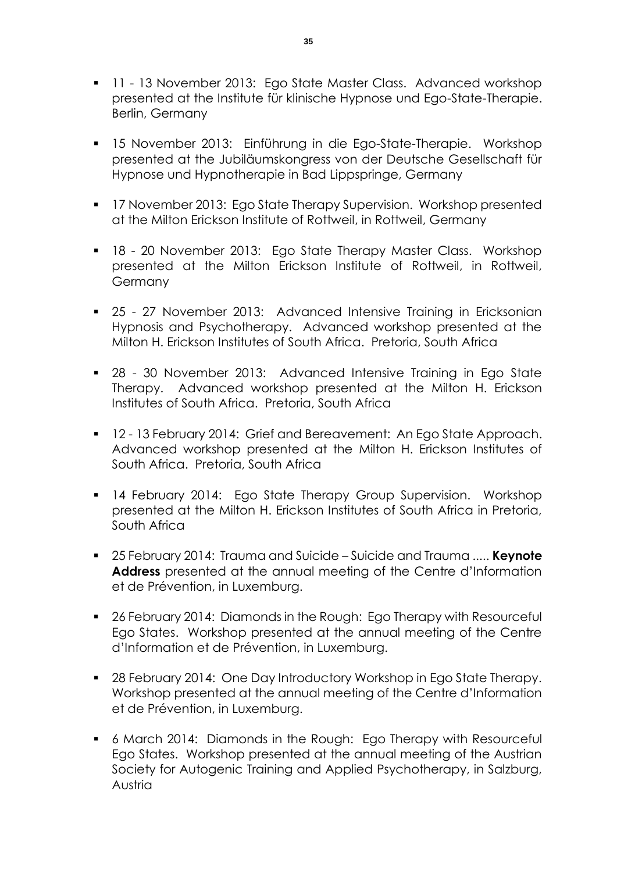- **11 13 November 2013: Ego State Master Class. Advanced workshop** presented at the Institute für klinische Hypnose und Ego-State-Therapie. Berlin, Germany
- 15 November 2013: Einführung in die Ego-State-Therapie. Workshop presented at the Jubiläumskongress von der Deutsche Gesellschaft für Hypnose und Hypnotherapie in Bad Lippspringe, Germany
- **17 November 2013: Ego State Therapy Supervision. Workshop presented** at the Milton Erickson Institute of Rottweil, in Rottweil, Germany
- 18 20 November 2013: Ego State Therapy Master Class. Workshop presented at the Milton Erickson Institute of Rottweil, in Rottweil, Germany
- 25 27 November 2013: Advanced Intensive Training in Ericksonian Hypnosis and Psychotherapy. Advanced workshop presented at the Milton H. Erickson Institutes of South Africa. Pretoria, South Africa
- 28 30 November 2013: Advanced Intensive Training in Ego State Therapy. Advanced workshop presented at the Milton H. Erickson Institutes of South Africa. Pretoria, South Africa
- **12 13 February 2014: Grief and Bereavement: An Ego State Approach.** Advanced workshop presented at the Milton H. Erickson Institutes of South Africa. Pretoria, South Africa
- **14 February 2014: Ego State Therapy Group Supervision. Workshop** presented at the Milton H. Erickson Institutes of South Africa in Pretoria, South Africa
- 25 February 2014: Trauma and Suicide Suicide and Trauma ..... **Keynote**  Address presented at the annual meeting of the Centre d'Information et de Prévention, in Luxemburg.
- 26 February 2014: Diamonds in the Rough: Ego Therapy with Resourceful Ego States. Workshop presented at the annual meeting of the Centre d'Information et de Prévention, in Luxemburg.
- 28 February 2014: One Day Introductory Workshop in Ego State Therapy. Workshop presented at the annual meeting of the Centre d'Information et de Prévention, in Luxemburg.
- 6 March 2014: Diamonds in the Rough: Ego Therapy with Resourceful Ego States. Workshop presented at the annual meeting of the Austrian Society for Autogenic Training and Applied Psychotherapy, in Salzburg, Austria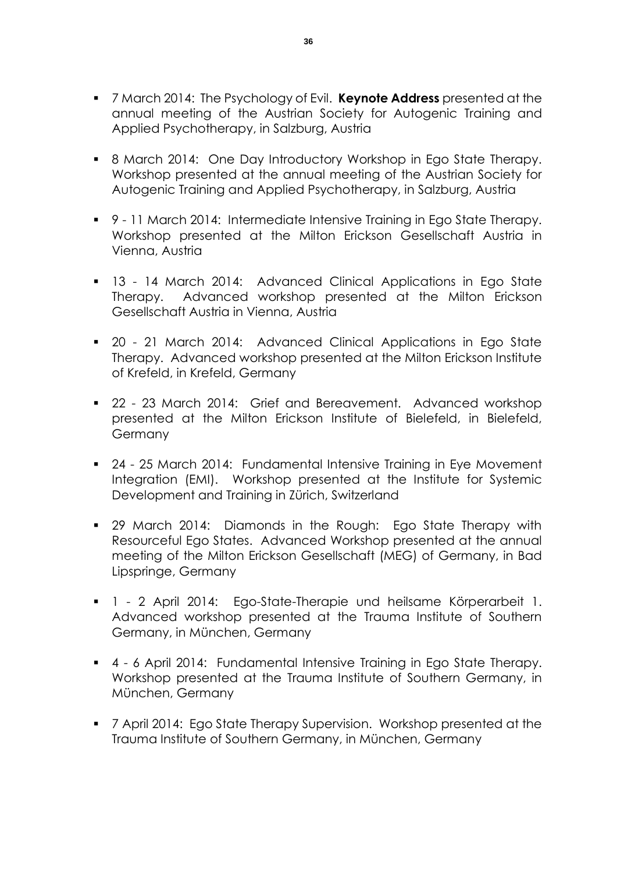- 7 March 2014: The Psychology of Evil. **Keynote Address** presented at the annual meeting of the Austrian Society for Autogenic Training and Applied Psychotherapy, in Salzburg, Austria
- 8 March 2014: One Day Introductory Workshop in Ego State Therapy. Workshop presented at the annual meeting of the Austrian Society for Autogenic Training and Applied Psychotherapy, in Salzburg, Austria
- 9 11 March 2014: Intermediate Intensive Training in Ego State Therapy. Workshop presented at the Milton Erickson Gesellschaft Austria in Vienna, Austria
- 13 14 March 2014: Advanced Clinical Applications in Ego State Therapy. Advanced workshop presented at the Milton Erickson Gesellschaft Austria in Vienna, Austria
- 20 21 March 2014: Advanced Clinical Applications in Ego State Therapy. Advanced workshop presented at the Milton Erickson Institute of Krefeld, in Krefeld, Germany
- 22 23 March 2014: Grief and Bereavement. Advanced workshop presented at the Milton Erickson Institute of Bielefeld, in Bielefeld, Germany
- 24 25 March 2014: Fundamental Intensive Training in Eye Movement Integration (EMI). Workshop presented at the Institute for Systemic Development and Training in Zürich, Switzerland
- **29 March 2014: Diamonds in the Rough: Ego State Therapy with** Resourceful Ego States. Advanced Workshop presented at the annual meeting of the Milton Erickson Gesellschaft (MEG) of Germany, in Bad Lipspringe, Germany
- 1 2 April 2014: Ego-State-Therapie und heilsame Körperarbeit 1. Advanced workshop presented at the Trauma Institute of Southern Germany, in München, Germany
- 4 6 April 2014: Fundamental Intensive Training in Ego State Therapy. Workshop presented at the Trauma Institute of Southern Germany, in München, Germany
- 7 April 2014: Ego State Therapy Supervision. Workshop presented at the Trauma Institute of Southern Germany, in München, Germany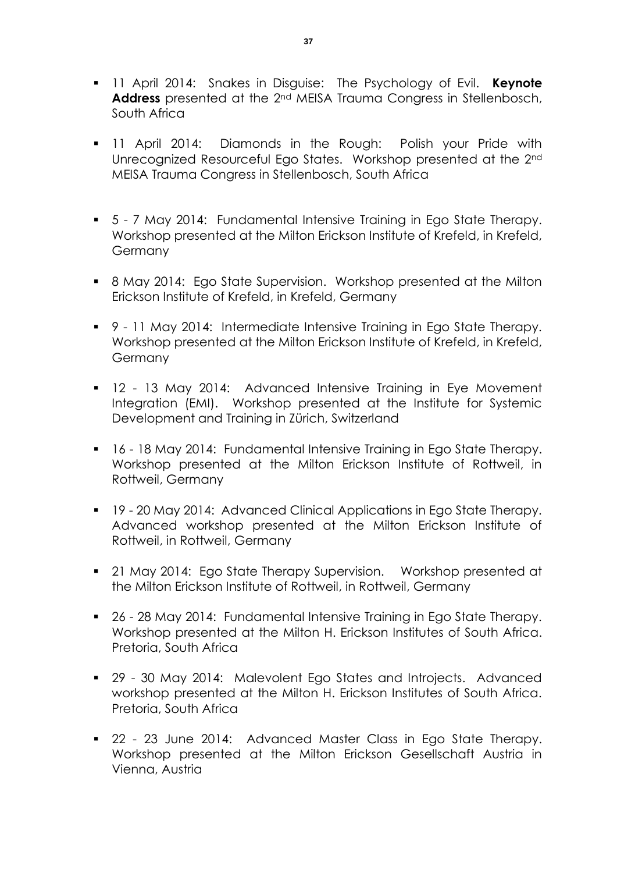- 11 April 2014: Snakes in Disguise: The Psychology of Evil. **Keynote Address** presented at the 2nd MEISA Trauma Congress in Stellenbosch, South Africa
- 11 April 2014: Diamonds in the Rough: Polish your Pride with Unrecognized Resourceful Ego States. Workshop presented at the 2nd MEISA Trauma Congress in Stellenbosch, South Africa
- 5 7 May 2014: Fundamental Intensive Training in Ego State Therapy. Workshop presented at the Milton Erickson Institute of Krefeld, in Krefeld, Germany
- 8 May 2014: Ego State Supervision. Workshop presented at the Milton Erickson Institute of Krefeld, in Krefeld, Germany
- 9 11 May 2014: Intermediate Intensive Training in Ego State Therapy. Workshop presented at the Milton Erickson Institute of Krefeld, in Krefeld, Germany
- **12 13 May 2014: Advanced Intensive Training in Eye Movement** Integration (EMI). Workshop presented at the Institute for Systemic Development and Training in Zürich, Switzerland
- 16 18 May 2014: Fundamental Intensive Training in Ego State Therapy. Workshop presented at the Milton Erickson Institute of Rottweil, in Rottweil, Germany
- 19 20 May 2014: Advanced Clinical Applications in Ego State Therapy. Advanced workshop presented at the Milton Erickson Institute of Rottweil, in Rottweil, Germany
- 21 May 2014: Ego State Therapy Supervision. Workshop presented at the Milton Erickson Institute of Rottweil, in Rottweil, Germany
- 26 28 May 2014: Fundamental Intensive Training in Ego State Therapy. Workshop presented at the Milton H. Erickson Institutes of South Africa. Pretoria, South Africa
- 29 30 May 2014: Malevolent Ego States and Introjects. Advanced workshop presented at the Milton H. Erickson Institutes of South Africa. Pretoria, South Africa
- 22 23 June 2014: Advanced Master Class in Ego State Therapy. Workshop presented at the Milton Erickson Gesellschaft Austria in Vienna, Austria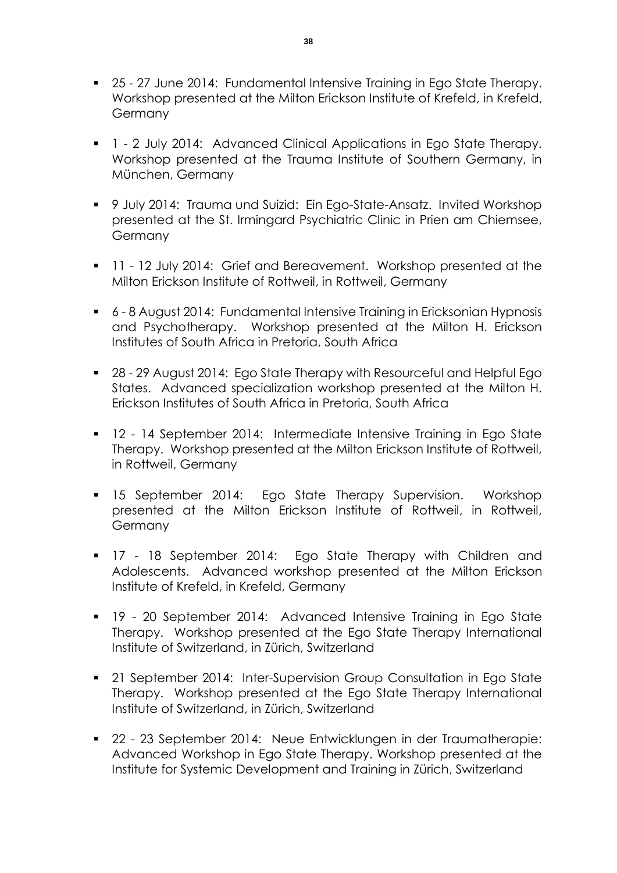- 25 27 June 2014: Fundamental Intensive Training in Ego State Therapy. Workshop presented at the Milton Erickson Institute of Krefeld, in Krefeld, **Germany**
- **1** 2 July 2014: Advanced Clinical Applications in Ego State Therapy. Workshop presented at the Trauma Institute of Southern Germany, in München, Germany
- 9 July 2014: Trauma und Suizid: Ein Ego-State-Ansatz. Invited Workshop presented at the St. Irmingard Psychiatric Clinic in Prien am Chiemsee, Germany
- **11 12 July 2014: Grief and Bereavement. Workshop presented at the** Milton Erickson Institute of Rottweil, in Rottweil, Germany
- 6 8 August 2014: Fundamental Intensive Training in Ericksonian Hypnosis and Psychotherapy. Workshop presented at the Milton H. Erickson Institutes of South Africa in Pretoria, South Africa
- 28 29 August 2014: Ego State Therapy with Resourceful and Helpful Ego States. Advanced specialization workshop presented at the Milton H. Erickson Institutes of South Africa in Pretoria, South Africa
- 12 14 September 2014: Intermediate Intensive Training in Ego State Therapy. Workshop presented at the Milton Erickson Institute of Rottweil, in Rottweil, Germany
- **15 September 2014:** Ego State Therapy Supervision. Workshop presented at the Milton Erickson Institute of Rottweil, in Rottweil, **Germany**
- **17 18 September 2014: Ego State Therapy with Children and** Adolescents. Advanced workshop presented at the Milton Erickson Institute of Krefeld, in Krefeld, Germany
- 19 20 September 2014: Advanced Intensive Training in Ego State Therapy. Workshop presented at the Ego State Therapy International Institute of Switzerland, in Zürich, Switzerland
- 21 September 2014: Inter-Supervision Group Consultation in Ego State Therapy. Workshop presented at the Ego State Therapy International Institute of Switzerland, in Zürich, Switzerland
- 22 23 September 2014: Neue Entwicklungen in der Traumatherapie: Advanced Workshop in Ego State Therapy. Workshop presented at the Institute for Systemic Development and Training in Zürich, Switzerland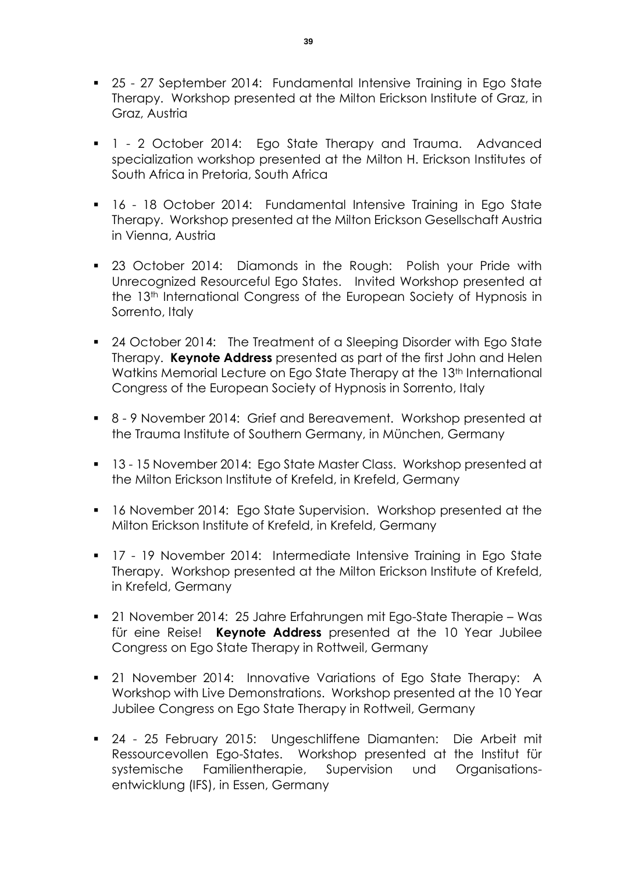- 25 27 September 2014: Fundamental Intensive Training in Ego State Therapy. Workshop presented at the Milton Erickson Institute of Graz, in Graz, Austria
- **1** 2 October 2014: Ego State Therapy and Trauma. Advanced specialization workshop presented at the Milton H. Erickson Institutes of South Africa in Pretoria, South Africa
- 16 18 October 2014: Fundamental Intensive Training in Ego State Therapy. Workshop presented at the Milton Erickson Gesellschaft Austria in Vienna, Austria
- **23 October 2014: Diamonds in the Rough: Polish your Pride with** Unrecognized Resourceful Ego States. Invited Workshop presented at the 13<sup>th</sup> International Congress of the European Society of Hypnosis in Sorrento, Italy
- 24 October 2014: The Treatment of a Sleeping Disorder with Ego State Therapy. **Keynote Address** presented as part of the first John and Helen Watkins Memorial Lecture on Ego State Therapy at the 13<sup>th</sup> International Congress of the European Society of Hypnosis in Sorrento, Italy
- 8 9 November 2014: Grief and Bereavement. Workshop presented at the Trauma Institute of Southern Germany, in München, Germany
- 13 15 November 2014: Ego State Master Class. Workshop presented at the Milton Erickson Institute of Krefeld, in Krefeld, Germany
- **16 November 2014: Ego State Supervision. Workshop presented at the** Milton Erickson Institute of Krefeld, in Krefeld, Germany
- 17 19 November 2014: Intermediate Intensive Training in Ego State Therapy. Workshop presented at the Milton Erickson Institute of Krefeld, in Krefeld, Germany
- 21 November 2014: 25 Jahre Erfahrungen mit Ego-State Therapie Was für eine Reise! **Keynote Address** presented at the 10 Year Jubilee Congress on Ego State Therapy in Rottweil, Germany
- 21 November 2014: Innovative Variations of Ego State Therapy: A Workshop with Live Demonstrations. Workshop presented at the 10 Year Jubilee Congress on Ego State Therapy in Rottweil, Germany
- 24 25 February 2015: Ungeschliffene Diamanten: Die Arbeit mit Ressourcevollen Ego-States. Workshop presented at the Institut für systemische Familientherapie, Supervision und Organisationsentwicklung (IFS), in Essen, Germany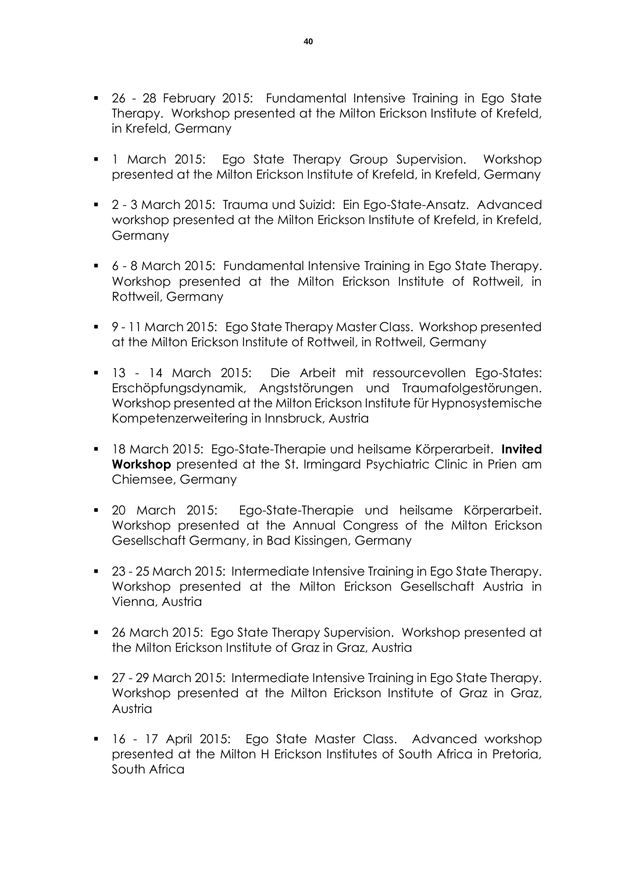- 26 28 February 2015: Fundamental Intensive Training in Ego State Therapy. Workshop presented at the Milton Erickson Institute of Krefeld, in Krefeld, Germany
- **1** March 2015: Ego State Therapy Group Supervision. Workshop presented at the Milton Erickson Institute of Krefeld, in Krefeld, Germany
- 2 3 March 2015: Trauma und Suizid: Ein Ego-State-Ansatz. Advanced workshop presented at the Milton Erickson Institute of Krefeld, in Krefeld, **Germany**
- 6 8 March 2015: Fundamental Intensive Training in Ego State Therapy. Workshop presented at the Milton Erickson Institute of Rottweil, in Rottweil, Germany
- 9-11 March 2015: Ego State Therapy Master Class. Workshop presented at the Milton Erickson Institute of Rottweil, in Rottweil, Germany
- 13 14 March 2015: Die Arbeit mit ressourcevollen Ego-States: Erschöpfungsdynamik, Angststörungen und Traumafolgestörungen. Workshop presented at the Milton Erickson Institute für Hypnosystemische Kompetenzerweitering in Innsbruck, Austria
- 18 March 2015: Ego-State-Therapie und heilsame Körperarbeit. **Invited Workshop** presented at the St. Irmingard Psychiatric Clinic in Prien am Chiemsee, Germany
- 20 March 2015: Ego-State-Therapie und heilsame Körperarbeit. Workshop presented at the Annual Congress of the Milton Erickson Gesellschaft Germany, in Bad Kissingen, Germany
- 23 25 March 2015: Intermediate Intensive Training in Ego State Therapy. Workshop presented at the Milton Erickson Gesellschaft Austria in Vienna, Austria
- 26 March 2015: Ego State Therapy Supervision. Workshop presented at the Milton Erickson Institute of Graz in Graz, Austria
- 27 29 March 2015: Intermediate Intensive Training in Ego State Therapy. Workshop presented at the Milton Erickson Institute of Graz in Graz, Austria
- **16 17 April 2015: Ego State Master Class. Advanced workshop** presented at the Milton H Erickson Institutes of South Africa in Pretoria, South Africa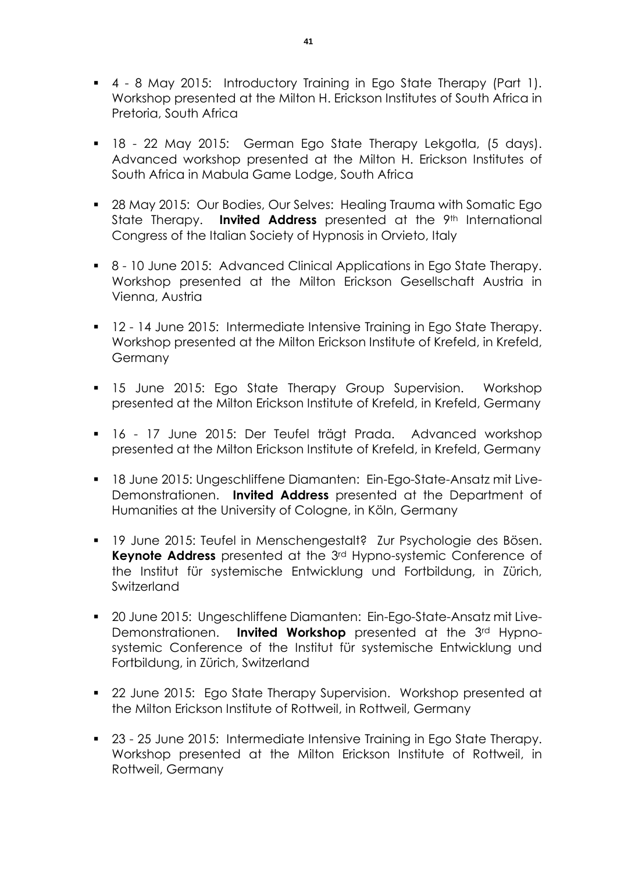- 4 8 May 2015: Introductory Training in Ego State Therapy (Part 1). Workshop presented at the Milton H. Erickson Institutes of South Africa in Pretoria, South Africa
- 18 22 May 2015: German Ego State Therapy Lekgotla, (5 days). Advanced workshop presented at the Milton H. Erickson Institutes of South Africa in Mabula Game Lodge, South Africa
- **28 May 2015: Our Bodies, Our Selves: Healing Trauma with Somatic Ego** State Therapy. **Invited Address** presented at the 9<sup>th</sup> International Congress of the Italian Society of Hypnosis in Orvieto, Italy
- 8 10 June 2015: Advanced Clinical Applications in Ego State Therapy. Workshop presented at the Milton Erickson Gesellschaft Austria in Vienna, Austria
- **12 14 June 2015: Intermediate Intensive Training in Ego State Therapy.** Workshop presented at the Milton Erickson Institute of Krefeld, in Krefeld, Germany
- **15 June 2015: Ego State Therapy Group Supervision. Workshop** presented at the Milton Erickson Institute of Krefeld, in Krefeld, Germany
- 16 17 June 2015: Der Teufel trägt Prada. Advanced workshop presented at the Milton Erickson Institute of Krefeld, in Krefeld, Germany
- 18 June 2015: Ungeschliffene Diamanten: Ein-Ego-State-Ansatz mit Live-Demonstrationen. **Invited Address** presented at the Department of Humanities at the University of Cologne, in Köln, Germany
- 19 June 2015: Teufel in Menschengestalt? Zur Psychologie des Bösen. **Keynote Address** presented at the 3rd Hypno-systemic Conference of the Institut für systemische Entwicklung und Fortbildung, in Zürich, Switzerland
- 20 June 2015: Ungeschliffene Diamanten: Ein-Ego-State-Ansatz mit Live-Demonstrationen. **Invited Workshop** presented at the 3rd Hypnosystemic Conference of the Institut für systemische Entwicklung und Fortbildung, in Zürich, Switzerland
- 22 June 2015: Ego State Therapy Supervision. Workshop presented at the Milton Erickson Institute of Rottweil, in Rottweil, Germany
- 23 25 June 2015: Intermediate Intensive Training in Ego State Therapy. Workshop presented at the Milton Erickson Institute of Rottweil, in Rottweil, Germany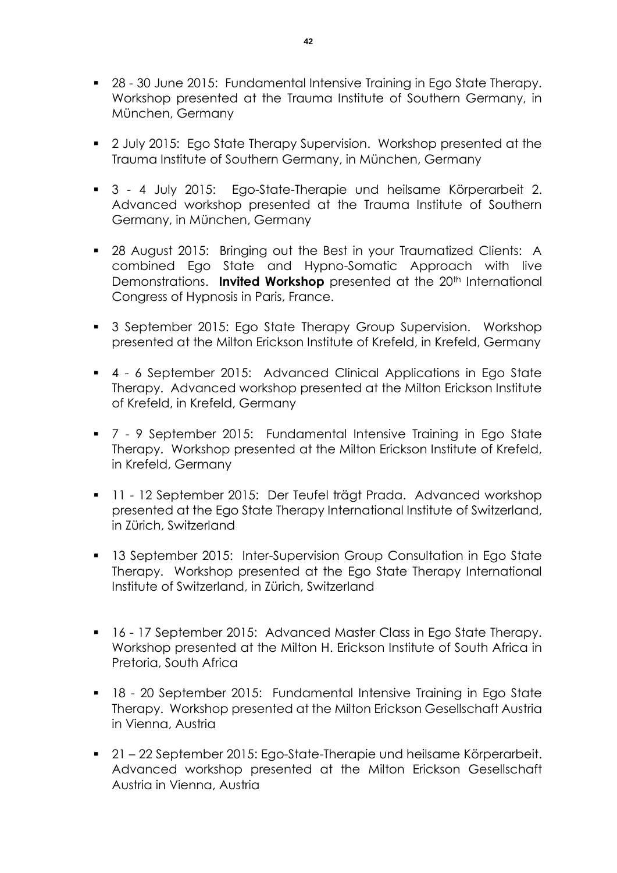- 28 30 June 2015: Fundamental Intensive Training in Ego State Therapy. Workshop presented at the Trauma Institute of Southern Germany, in München, Germany
- <sup>2</sup> July 2015: Ego State Therapy Supervision. Workshop presented at the Trauma Institute of Southern Germany, in München, Germany
- 3 4 July 2015: Ego-State-Therapie und heilsame Körperarbeit 2. Advanced workshop presented at the Trauma Institute of Southern Germany, in München, Germany
- 28 August 2015: Bringing out the Best in your Traumatized Clients: A combined Ego State and Hypno-Somatic Approach with live Demonstrations. **Invited Workshop** presented at the 20<sup>th</sup> International Congress of Hypnosis in Paris, France.
- 3 September 2015: Ego State Therapy Group Supervision. Workshop presented at the Milton Erickson Institute of Krefeld, in Krefeld, Germany
- 4 6 September 2015: Advanced Clinical Applications in Ego State Therapy. Advanced workshop presented at the Milton Erickson Institute of Krefeld, in Krefeld, Germany
- 7 9 September 2015: Fundamental Intensive Training in Ego State Therapy. Workshop presented at the Milton Erickson Institute of Krefeld, in Krefeld, Germany
- 11 12 September 2015: Der Teufel trägt Prada. Advanced workshop presented at the Ego State Therapy International Institute of Switzerland, in Zürich, Switzerland
- **13 September 2015: Inter-Supervision Group Consultation in Ego State** Therapy. Workshop presented at the Ego State Therapy International Institute of Switzerland, in Zürich, Switzerland
- 16 17 September 2015: Advanced Master Class in Ego State Therapy. Workshop presented at the Milton H. Erickson Institute of South Africa in Pretoria, South Africa
- 18 20 September 2015: Fundamental Intensive Training in Ego State Therapy. Workshop presented at the Milton Erickson Gesellschaft Austria in Vienna, Austria
- 21 22 September 2015: Ego-State-Therapie und heilsame Körperarbeit. Advanced workshop presented at the Milton Erickson Gesellschaft Austria in Vienna, Austria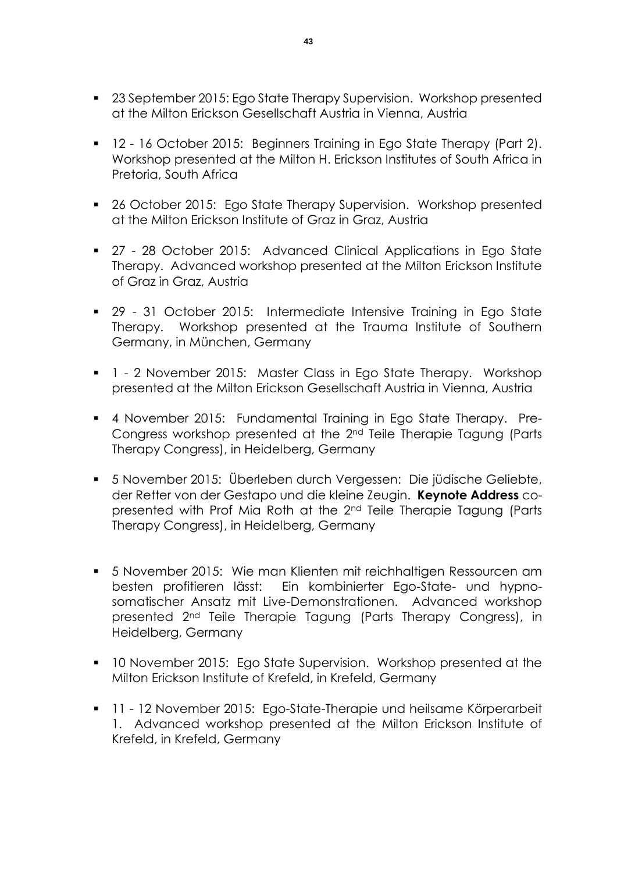- 23 September 2015: Ego State Therapy Supervision. Workshop presented at the Milton Erickson Gesellschaft Austria in Vienna, Austria
- **12 16 October 2015: Beginners Training in Ego State Therapy (Part 2).** Workshop presented at the Milton H. Erickson Institutes of South Africa in Pretoria, South Africa
- 26 October 2015: Ego State Therapy Supervision. Workshop presented at the Milton Erickson Institute of Graz in Graz, Austria
- 27 28 October 2015: Advanced Clinical Applications in Ego State Therapy. Advanced workshop presented at the Milton Erickson Institute of Graz in Graz, Austria
- 29 31 October 2015: Intermediate Intensive Training in Ego State Therapy. Workshop presented at the Trauma Institute of Southern Germany, in München, Germany
- 1 2 November 2015: Master Class in Ego State Therapy. Workshop presented at the Milton Erickson Gesellschaft Austria in Vienna, Austria
- 4 November 2015: Fundamental Training in Ego State Therapy. Pre-Congress workshop presented at the 2nd Teile Therapie Tagung (Parts Therapy Congress), in Heidelberg, Germany
- 5 November 2015: Überleben durch Vergessen: Die jüdische Geliebte, der Retter von der Gestapo und die kleine Zeugin. **Keynote Address** copresented with Prof Mia Roth at the 2nd Teile Therapie Tagung (Parts Therapy Congress), in Heidelberg, Germany
- 5 November 2015: Wie man Klienten mit reichhaltigen Ressourcen am besten profitieren lässt: Ein kombinierter Ego-State- und hypnosomatischer Ansatz mit Live-Demonstrationen. Advanced workshop presented 2nd Teile Therapie Tagung (Parts Therapy Congress), in Heidelberg, Germany
- **10 November 2015: Ego State Supervision. Workshop presented at the** Milton Erickson Institute of Krefeld, in Krefeld, Germany
- 11 12 November 2015: Ego-State-Therapie und heilsame Körperarbeit 1. Advanced workshop presented at the Milton Erickson Institute of Krefeld, in Krefeld, Germany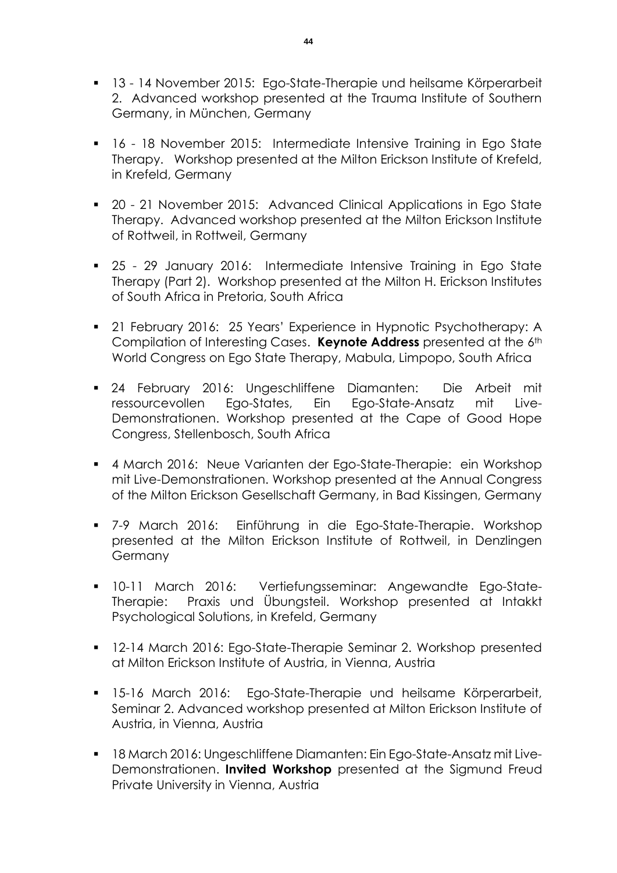- 13 14 November 2015: Ego-State-Therapie und heilsame Körperarbeit 2. Advanced workshop presented at the Trauma Institute of Southern Germany, in München, Germany
- 16 18 November 2015: Intermediate Intensive Training in Ego State Therapy. Workshop presented at the Milton Erickson Institute of Krefeld, in Krefeld, Germany
- 20 21 November 2015: Advanced Clinical Applications in Ego State Therapy. Advanced workshop presented at the Milton Erickson Institute of Rottweil, in Rottweil, Germany
- 25 29 January 2016: Intermediate Intensive Training in Ego State Therapy (Part 2). Workshop presented at the Milton H. Erickson Institutes of South Africa in Pretoria, South Africa
- 21 February 2016: 25 Years' Experience in Hypnotic Psychotherapy: A Compilation of Interesting Cases. **Keynote Address** presented at the 6th World Congress on Ego State Therapy, Mabula, Limpopo, South Africa
- 24 February 2016: Ungeschliffene Diamanten: Die Arbeit mit ressourcevollen Ego-States, Ein Ego-State-Ansatz mit Live-Demonstrationen. Workshop presented at the Cape of Good Hope Congress, Stellenbosch, South Africa
- 4 March 2016: Neue Varianten der Ego-State-Therapie: ein Workshop mit Live-Demonstrationen. Workshop presented at the Annual Congress of the Milton Erickson Gesellschaft Germany, in Bad Kissingen, Germany
- 7-9 March 2016: Einführung in die Ego-State-Therapie. Workshop presented at the Milton Erickson Institute of Rottweil, in Denzlingen **Germany**
- 10-11 March 2016: Vertiefungsseminar: Angewandte Ego-State-Therapie: Praxis und Übungsteil. Workshop presented at Intakkt Psychological Solutions, in Krefeld, Germany
- **12-14 March 2016: Ego-State-Therapie Seminar 2. Workshop presented** at Milton Erickson Institute of Austria, in Vienna, Austria
- 15-16 March 2016: Ego-State-Therapie und heilsame Körperarbeit, Seminar 2. Advanced workshop presented at Milton Erickson Institute of Austria, in Vienna, Austria
- 18 March 2016: Ungeschliffene Diamanten: Ein Ego-State-Ansatz mit Live-Demonstrationen. **Invited Workshop** presented at the Sigmund Freud Private University in Vienna, Austria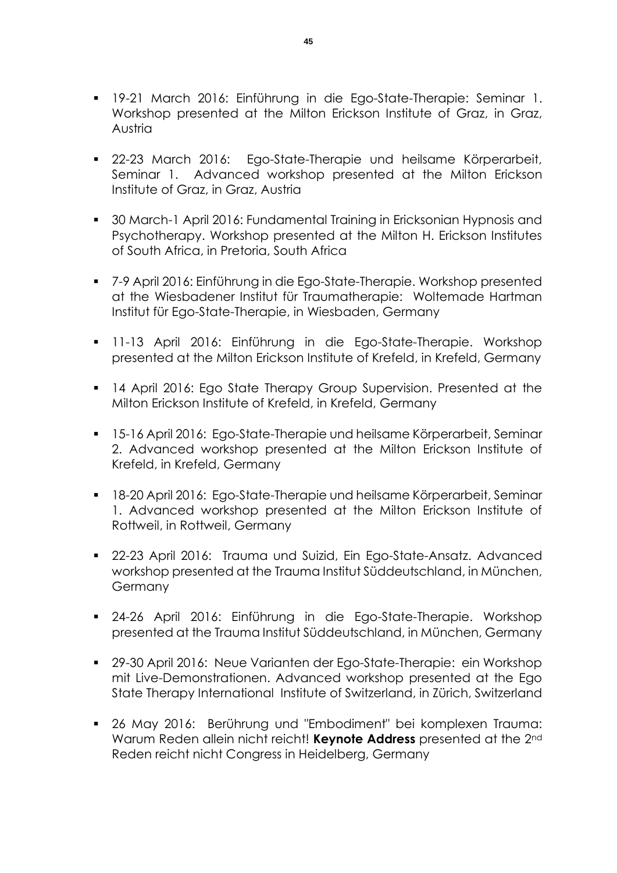- 19-21 March 2016: Einführung in die Ego-State-Therapie: Seminar 1. Workshop presented at the Milton Erickson Institute of Graz, in Graz, Austria
- 22-23 March 2016: Ego-State-Therapie und heilsame Körperarbeit, Seminar 1. Advanced workshop presented at the Milton Erickson Institute of Graz, in Graz, Austria
- **30 March-1 April 2016: Fundamental Training in Ericksonian Hypnosis and** Psychotherapy. Workshop presented at the Milton H. Erickson Institutes of South Africa, in Pretoria, South Africa
- 7-9 April 2016: Einführung in die Ego-State-Therapie. Workshop presented at the Wiesbadener Institut für Traumatherapie: Woltemade Hartman Institut für Ego-State-Therapie, in Wiesbaden, Germany
- 11-13 April 2016: Einführung in die Ego-State-Therapie. Workshop presented at the Milton Erickson Institute of Krefeld, in Krefeld, Germany
- **14 April 2016: Ego State Therapy Group Supervision. Presented at the** Milton Erickson Institute of Krefeld, in Krefeld, Germany
- 15-16 April 2016: Ego-State-Therapie und heilsame Körperarbeit, Seminar 2. Advanced workshop presented at the Milton Erickson Institute of Krefeld, in Krefeld, Germany
- 18-20 April 2016: Ego-State-Therapie und heilsame Körperarbeit, Seminar 1. Advanced workshop presented at the Milton Erickson Institute of Rottweil, in Rottweil, Germany
- 22-23 April 2016: Trauma und Suizid, Ein Ego-State-Ansatz. Advanced workshop presented at the Trauma Institut Süddeutschland, in München, **Germany**
- 24-26 April 2016: Einführung in die Ego-State-Therapie. Workshop presented at the Trauma Institut Süddeutschland, in München, Germany
- 29-30 April 2016: Neue Varianten der Ego-State-Therapie: ein Workshop mit Live-Demonstrationen. Advanced workshop presented at the Ego State Therapy International Institute of Switzerland, in Zürich, Switzerland
- 26 May 2016: Berührung und "Embodiment" bei komplexen Trauma: Warum Reden allein nicht reicht! **Keynote Address** presented at the 2nd Reden reicht nicht Congress in Heidelberg, Germany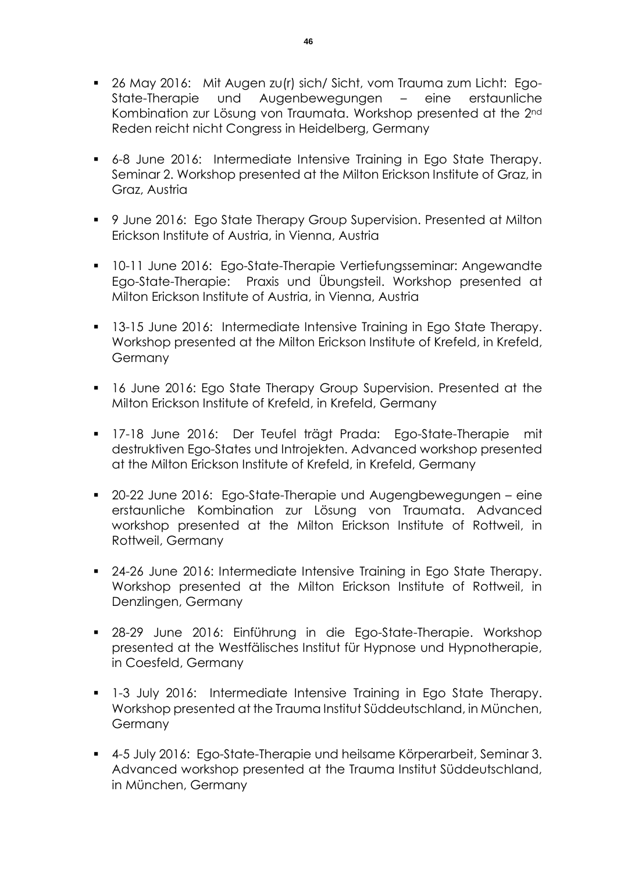- 26 May 2016: Mit Augen zu(r) sich/ Sicht, vom Trauma zum Licht: Ego-State-Therapie und Augenbewegungen – eine erstaunliche Kombination zur Lösung von Traumata. Workshop presented at the 2nd Reden reicht nicht Congress in Heidelberg, Germany
- 6-8 June 2016: Intermediate Intensive Training in Ego State Therapy. Seminar 2. Workshop presented at the Milton Erickson Institute of Graz, in Graz, Austria
- 9 June 2016: Ego State Therapy Group Supervision. Presented at Milton Erickson Institute of Austria, in Vienna, Austria
- 10-11 June 2016: Ego-State-Therapie Vertiefungsseminar: Angewandte Ego-State-Therapie: Praxis und Übungsteil. Workshop presented at Milton Erickson Institute of Austria, in Vienna, Austria
- **13-15 June 2016: Intermediate Intensive Training in Ego State Therapy.** Workshop presented at the Milton Erickson Institute of Krefeld, in Krefeld, Germany
- **16 June 2016: Ego State Therapy Group Supervision. Presented at the** Milton Erickson Institute of Krefeld, in Krefeld, Germany
- 17-18 June 2016: Der Teufel trägt Prada: Ego-State-Therapie mit destruktiven Ego-States und Introjekten. Advanced workshop presented at the Milton Erickson Institute of Krefeld, in Krefeld, Germany
- 20-22 June 2016: Ego-State-Therapie und Augengbewegungen eine erstaunliche Kombination zur Lösung von Traumata. Advanced workshop presented at the Milton Erickson Institute of Rottweil, in Rottweil, Germany
- **24-26 June 2016: Intermediate Intensive Training in Ego State Therapy.** Workshop presented at the Milton Erickson Institute of Rottweil, in Denzlingen, Germany
- 28-29 June 2016: Einführung in die Ego-State-Therapie. Workshop presented at the Westfälisches Institut für Hypnose und Hypnotherapie, in Coesfeld, Germany
- 1-3 July 2016: Intermediate Intensive Training in Ego State Therapy. Workshop presented at the Trauma Institut Süddeutschland, in München, **Germany**
- 4-5 July 2016: Ego-State-Therapie und heilsame Körperarbeit, Seminar 3. Advanced workshop presented at the Trauma Institut Süddeutschland, in München, Germany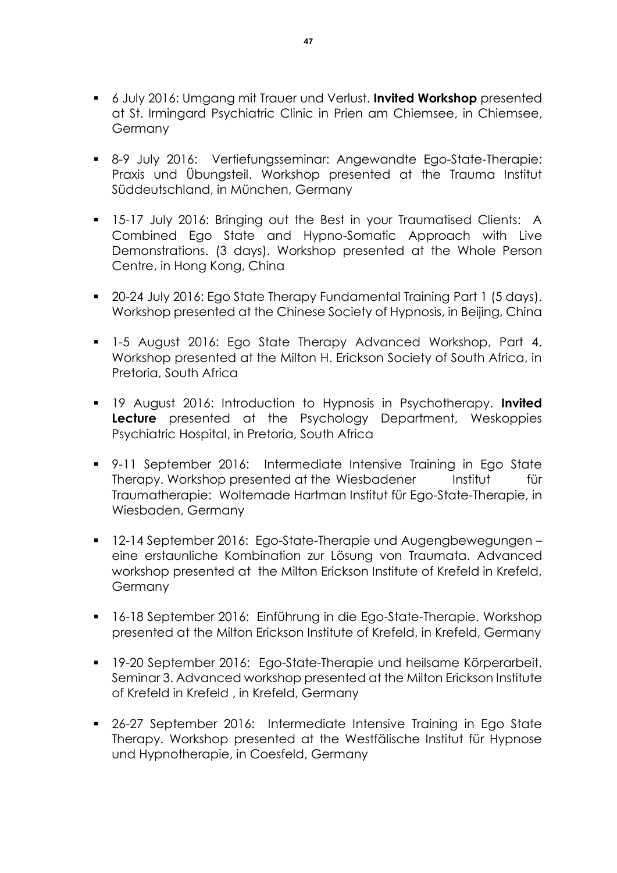- 6 July 2016: Umgang mit Trauer und Verlust. **Invited Workshop** presented at St. Irmingard Psychiatric Clinic in Prien am Chiemsee, in Chiemsee, Germany
- 8-9 July 2016: Vertiefungsseminar: Angewandte Ego-State-Therapie: Praxis und Übungsteil. Workshop presented at the Trauma Institut Süddeutschland, in München, Germany
- **15-17 July 2016: Bringing out the Best in your Traumatised Clients: A** Combined Ego State and Hypno-Somatic Approach with Live Demonstrations. (3 days). Workshop presented at the Whole Person Centre, in Hong Kong, China
- 20-24 July 2016: Ego State Therapy Fundamental Training Part 1 (5 days). Workshop presented at the Chinese Society of Hypnosis, in Beijing, China
- **1-5 August 2016: Ego State Therapy Advanced Workshop, Part 4.** Workshop presented at the Milton H. Erickson Society of South Africa, in Pretoria, South Africa
- 19 August 2016: Introduction to Hypnosis in Psychotherapy. **Invited Lecture** presented at the Psychology Department, Weskoppies Psychiatric Hospital, in Pretoria, South Africa
- 9-11 September 2016: Intermediate Intensive Training in Ego State Therapy. Workshop presented at the Wiesbadener Institut für Traumatherapie: Woltemade Hartman Institut für Ego-State-Therapie, in Wiesbaden, Germany
- 12-14 September 2016: Ego-State-Therapie und Augengbewegungen eine erstaunliche Kombination zur Lösung von Traumata. Advanced workshop presented at the Milton Erickson Institute of Krefeld in Krefeld, **Germany**
- 16-18 September 2016: Einführung in die Ego-State-Therapie. Workshop presented at the Milton Erickson Institute of Krefeld, in Krefeld, Germany
- 19-20 September 2016: Ego-State-Therapie und heilsame Körperarbeit, Seminar 3. Advanced workshop presented at the Milton Erickson Institute of Krefeld in Krefeld , in Krefeld, Germany
- 26-27 September 2016: Intermediate Intensive Training in Ego State Therapy. Workshop presented at the Westfälische Institut für Hypnose und Hypnotherapie, in Coesfeld, Germany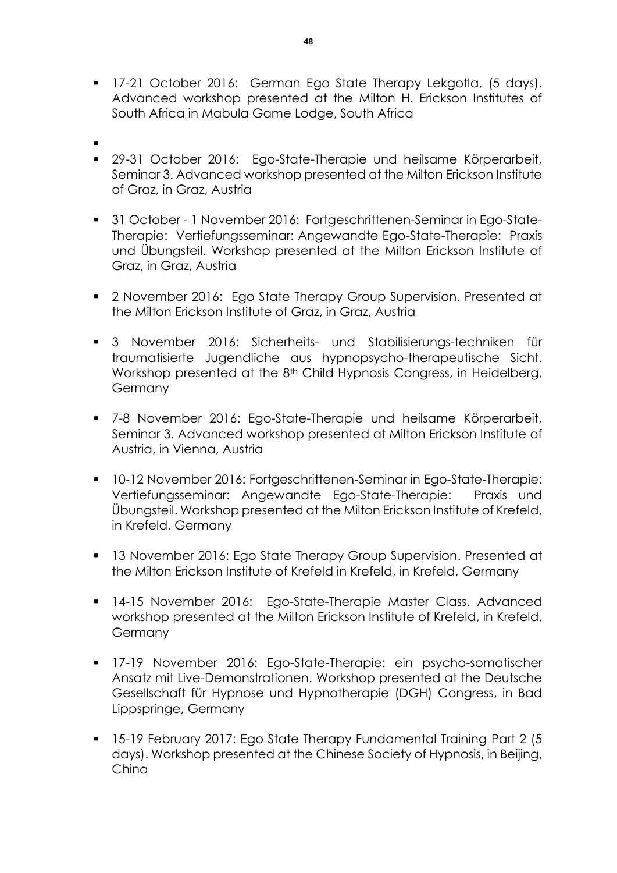- **17-21 October 2016: German Ego State Therapy Lekgotla, (5 days).** Advanced workshop presented at the Milton H. Erickson Institutes of South Africa in Mabula Game Lodge, South Africa
- $\blacksquare$
- 29-31 October 2016: Ego-State-Therapie und heilsame Körperarbeit, Seminar 3. Advanced workshop presented at the Milton Erickson Institute of Graz, in Graz, Austria
- 31 October 1 November 2016: Fortgeschrittenen-Seminar in Ego-State-Therapie: Vertiefungsseminar: Angewandte Ego-State-Therapie: Praxis und Übungsteil. Workshop presented at the Milton Erickson Institute of Graz, in Graz, Austria
- **2** November 2016: Ego State Therapy Group Supervision. Presented at the Milton Erickson Institute of Graz, in Graz, Austria
- 3 November 2016: Sicherheits- und Stabilisierungs-techniken für traumatisierte Jugendliche aus hypnopsycho-therapeutische Sicht. Workshop presented at the 8<sup>th</sup> Child Hypnosis Congress, in Heidelberg, Germany
- 7-8 November 2016: Ego-State-Therapie und heilsame Körperarbeit, Seminar 3. Advanced workshop presented at Milton Erickson Institute of Austria, in Vienna, Austria
- 10-12 November 2016: Fortgeschrittenen-Seminar in Ego-State-Therapie: Vertiefungsseminar: Angewandte Ego-State-Therapie: Praxis und Übungsteil. Workshop presented at the Milton Erickson Institute of Krefeld, in Krefeld, Germany
- **13 November 2016: Ego State Therapy Group Supervision. Presented at** the Milton Erickson Institute of Krefeld in Krefeld, in Krefeld, Germany
- 14-15 November 2016: Ego-State-Therapie Master Class. Advanced workshop presented at the Milton Erickson Institute of Krefeld, in Krefeld, **Germany**
- 17-19 November 2016: Ego-State-Therapie: ein psycho-somatischer Ansatz mit Live-Demonstrationen. Workshop presented at the Deutsche Gesellschaft für Hypnose und Hypnotherapie (DGH) Congress, in Bad Lippspringe, Germany
- 15-19 February 2017: Ego State Therapy Fundamental Training Part 2 (5 days). Workshop presented at the Chinese Society of Hypnosis, in Beijing, China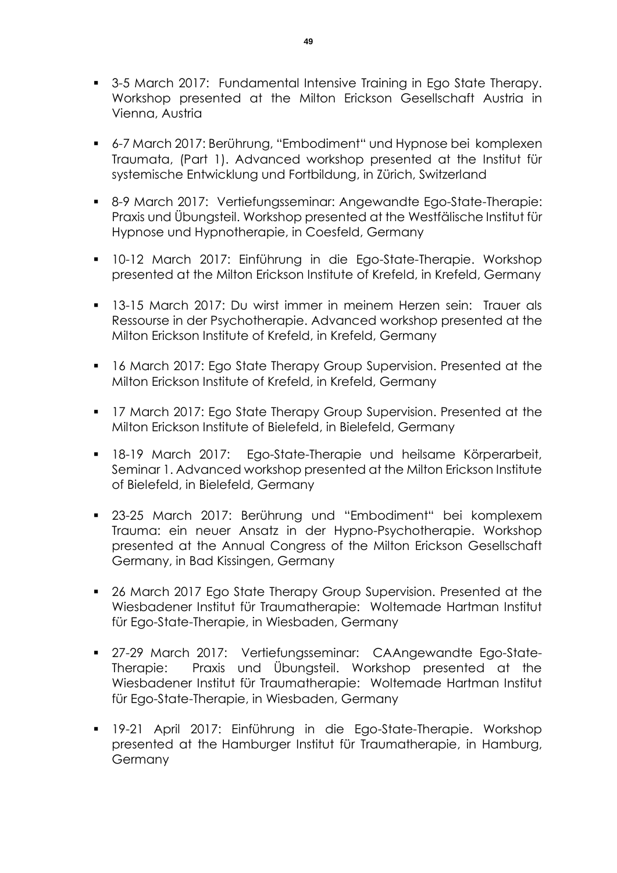- **3-5 March 2017: Fundamental Intensive Training in Ego State Therapy.** Workshop presented at the Milton Erickson Gesellschaft Austria in Vienna, Austria
- 6-7 March 2017: Berührung, "Embodiment" und Hypnose bei komplexen Traumata, (Part 1). Advanced workshop presented at the Institut für systemische Entwicklung und Fortbildung, in Zürich, Switzerland
- 8-9 March 2017: Vertiefungsseminar: Angewandte Ego-State-Therapie: Praxis und Übungsteil. Workshop presented at the Westfälische Institut für Hypnose und Hypnotherapie, in Coesfeld, Germany
- 10-12 March 2017: Einführung in die Ego-State-Therapie. Workshop presented at the Milton Erickson Institute of Krefeld, in Krefeld, Germany
- 13-15 March 2017: Du wirst immer in meinem Herzen sein: Trauer als Ressourse in der Psychotherapie. Advanced workshop presented at the Milton Erickson Institute of Krefeld, in Krefeld, Germany
- **16 March 2017: Ego State Therapy Group Supervision. Presented at the** Milton Erickson Institute of Krefeld, in Krefeld, Germany
- **17 March 2017: Ego State Therapy Group Supervision. Presented at the** Milton Erickson Institute of Bielefeld, in Bielefeld, Germany
- 18-19 March 2017: Ego-State-Therapie und heilsame Körperarbeit, Seminar 1. Advanced workshop presented at the Milton Erickson Institute of Bielefeld, in Bielefeld, Germany
- 23-25 March 2017: Berührung und "Embodiment" bei komplexem Trauma: ein neuer Ansatz in der Hypno-Psychotherapie. Workshop presented at the Annual Congress of the Milton Erickson Gesellschaft Germany, in Bad Kissingen, Germany
- **26 March 2017 Ego State Therapy Group Supervision. Presented at the** Wiesbadener Institut für Traumatherapie: Woltemade Hartman Institut für Ego-State-Therapie, in Wiesbaden, Germany
- 27-29 March 2017: Vertiefungsseminar: CAAngewandte Ego-State-Therapie: Praxis und Übungsteil. Workshop presented at the Wiesbadener Institut für Traumatherapie: Woltemade Hartman Institut für Ego-State-Therapie, in Wiesbaden, Germany
- 19-21 April 2017: Einführung in die Ego-State-Therapie. Workshop presented at the Hamburger Institut für Traumatherapie, in Hamburg, Germany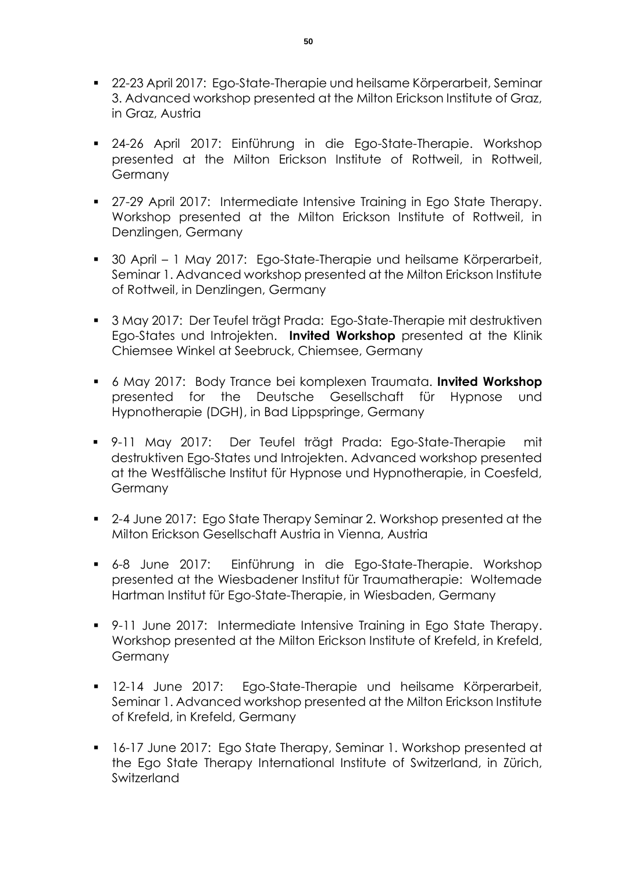- 22-23 April 2017: Ego-State-Therapie und heilsame Körperarbeit, Seminar 3. Advanced workshop presented at the Milton Erickson Institute of Graz, in Graz, Austria
- 24-26 April 2017: Einführung in die Ego-State-Therapie. Workshop presented at the Milton Erickson Institute of Rottweil, in Rottweil, Germany
- 27-29 April 2017: Intermediate Intensive Training in Ego State Therapy. Workshop presented at the Milton Erickson Institute of Rottweil, in Denzlingen, Germany
- 30 April 1 May 2017: Ego-State-Therapie und heilsame Körperarbeit, Seminar 1. Advanced workshop presented at the Milton Erickson Institute of Rottweil, in Denzlingen, Germany
- 3 May 2017: Der Teufel trägt Prada: Ego-State-Therapie mit destruktiven Ego-States und Introjekten. **Invited Workshop** presented at the Klinik Chiemsee Winkel at Seebruck, Chiemsee, Germany
- 6 May 2017: Body Trance bei komplexen Traumata. **Invited Workshop** presented for the Deutsche Gesellschaft für Hypnose und Hypnotherapie (DGH), in Bad Lippspringe, Germany
- 9-11 May 2017: Der Teufel trägt Prada: Ego-State-Therapie mit destruktiven Ego-States und Introjekten. Advanced workshop presented at the Westfälische Institut für Hypnose und Hypnotherapie, in Coesfeld, Germany
- 2-4 June 2017: Ego State Therapy Seminar 2. Workshop presented at the Milton Erickson Gesellschaft Austria in Vienna, Austria
- 6-8 June 2017: Einführung in die Ego-State-Therapie. Workshop presented at the Wiesbadener Institut für Traumatherapie: Woltemade Hartman Institut für Ego-State-Therapie, in Wiesbaden, Germany
- 9-11 June 2017: Intermediate Intensive Training in Ego State Therapy. Workshop presented at the Milton Erickson Institute of Krefeld, in Krefeld, **Germany**
- **12-14 June 2017: Ego-State-Therapie und heilsame Körperarbeit,** Seminar 1. Advanced workshop presented at the Milton Erickson Institute of Krefeld, in Krefeld, Germany
- 16-17 June 2017: Ego State Therapy, Seminar 1. Workshop presented at the Ego State Therapy International Institute of Switzerland, in Zürich, Switzerland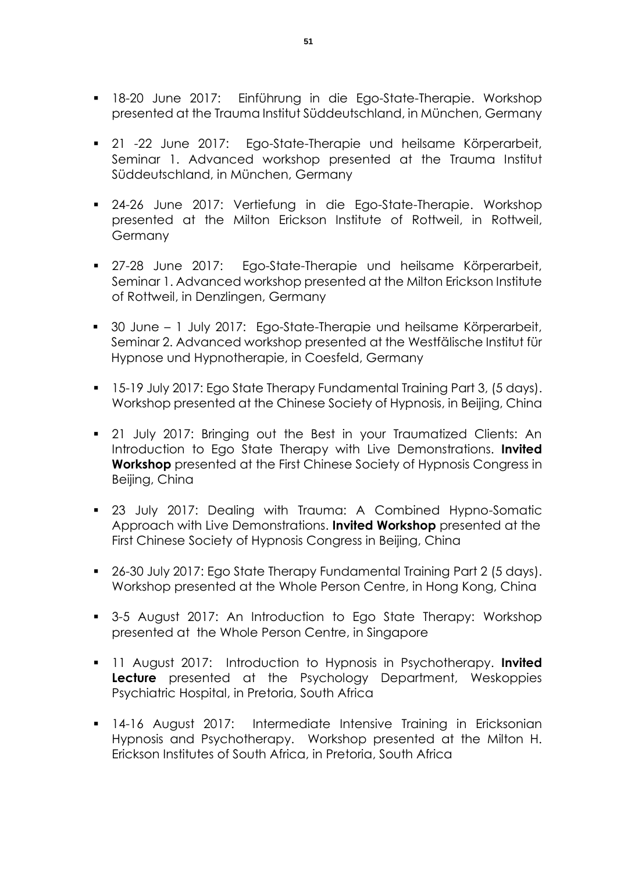- 18-20 June 2017: Einführung in die Ego-State-Therapie. Workshop presented at the Trauma Institut Süddeutschland, in München, Germany
- 21 -22 June 2017: Ego-State-Therapie und heilsame Körperarbeit, Seminar 1. Advanced workshop presented at the Trauma Institut Süddeutschland, in München, Germany
- 24-26 June 2017: Vertiefung in die Ego-State-Therapie. Workshop presented at the Milton Erickson Institute of Rottweil, in Rottweil, Germany
- 27-28 June 2017: Ego-State-Therapie und heilsame Körperarbeit, Seminar 1. Advanced workshop presented at the Milton Erickson Institute of Rottweil, in Denzlingen, Germany
- 30 June 1 July 2017: Ego-State-Therapie und heilsame Körperarbeit, Seminar 2. Advanced workshop presented at the Westfälische Institut für Hypnose und Hypnotherapie, in Coesfeld, Germany
- 15-19 July 2017: Ego State Therapy Fundamental Training Part 3, (5 days). Workshop presented at the Chinese Society of Hypnosis, in Beijing, China
- 21 July 2017: Bringing out the Best in your Traumatized Clients: An Introduction to Ego State Therapy with Live Demonstrations. **Invited Workshop** presented at the First Chinese Society of Hypnosis Congress in Beijing, China
- 23 July 2017: Dealing with Trauma: A Combined Hypno-Somatic Approach with Live Demonstrations. **Invited Workshop** presented at the First Chinese Society of Hypnosis Congress in Beijing, China
- 26-30 July 2017: Ego State Therapy Fundamental Training Part 2 (5 days). Workshop presented at the Whole Person Centre, in Hong Kong, China
- 3-5 August 2017: An Introduction to Ego State Therapy: Workshop presented at the Whole Person Centre, in Singapore
- 11 August 2017: Introduction to Hypnosis in Psychotherapy. **Invited Lecture** presented at the Psychology Department, Weskoppies Psychiatric Hospital, in Pretoria, South Africa
- 14-16 August 2017: Intermediate Intensive Training in Ericksonian Hypnosis and Psychotherapy. Workshop presented at the Milton H. Erickson Institutes of South Africa, in Pretoria, South Africa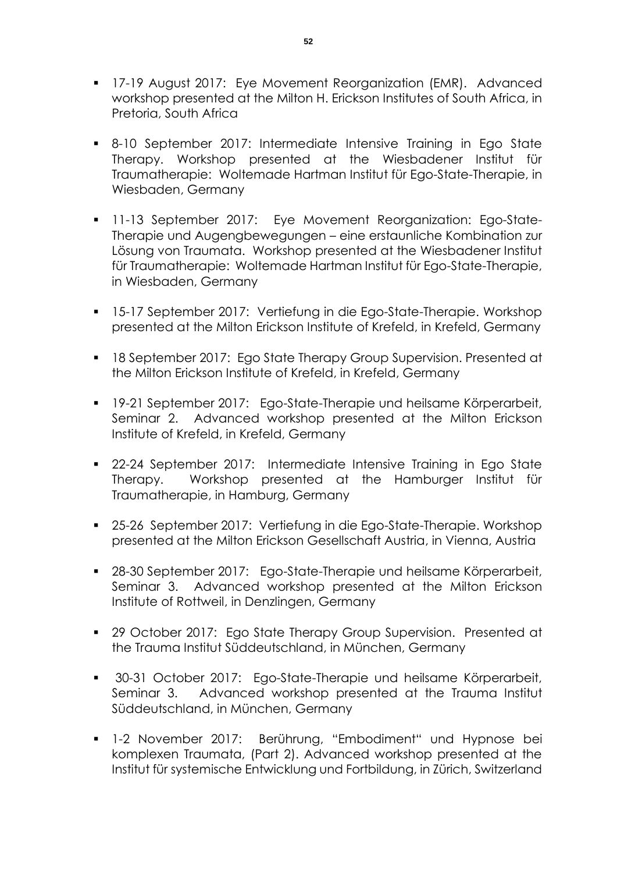- **17-19 August 2017: Eye Movement Reorganization (EMR). Advanced** workshop presented at the Milton H. Erickson Institutes of South Africa, in Pretoria, South Africa
- 8-10 September 2017: Intermediate Intensive Training in Ego State Therapy. Workshop presented at the Wiesbadener Institut für Traumatherapie: Woltemade Hartman Institut für Ego-State-Therapie, in Wiesbaden, Germany
- **11-13 September 2017:** Eye Movement Reorganization: Ego-State-Therapie und Augengbewegungen – eine erstaunliche Kombination zur Lösung von Traumata. Workshop presented at the Wiesbadener Institut für Traumatherapie: Woltemade Hartman Institut für Ego-State-Therapie, in Wiesbaden, Germany
- 15-17 September 2017: Vertiefung in die Ego-State-Therapie. Workshop presented at the Milton Erickson Institute of Krefeld, in Krefeld, Germany
- **18 September 2017: Ego State Therapy Group Supervision. Presented at** the Milton Erickson Institute of Krefeld, in Krefeld, Germany
- 19-21 September 2017: Ego-State-Therapie und heilsame Körperarbeit, Seminar 2. Advanced workshop presented at the Milton Erickson Institute of Krefeld, in Krefeld, Germany
- 22-24 September 2017: Intermediate Intensive Training in Ego State Therapy. Workshop presented at the Hamburger Institut für Traumatherapie, in Hamburg, Germany
- 25-26 September 2017: Vertiefung in die Ego-State-Therapie. Workshop presented at the Milton Erickson Gesellschaft Austria, in Vienna, Austria
- 28-30 September 2017: Ego-State-Therapie und heilsame Körperarbeit, Seminar 3. Advanced workshop presented at the Milton Erickson Institute of Rottweil, in Denzlingen, Germany
- 29 October 2017: Ego State Therapy Group Supervision. Presented at the Trauma Institut Süddeutschland, in München, Germany
- 30-31 October 2017: Ego-State-Therapie und heilsame Körperarbeit, Seminar 3. Advanced workshop presented at the Trauma Institut Süddeutschland, in München, Germany
- 1-2 November 2017: Berührung, "Embodiment" und Hypnose bei komplexen Traumata, (Part 2). Advanced workshop presented at the Institut für systemische Entwicklung und Fortbildung, in Zürich, Switzerland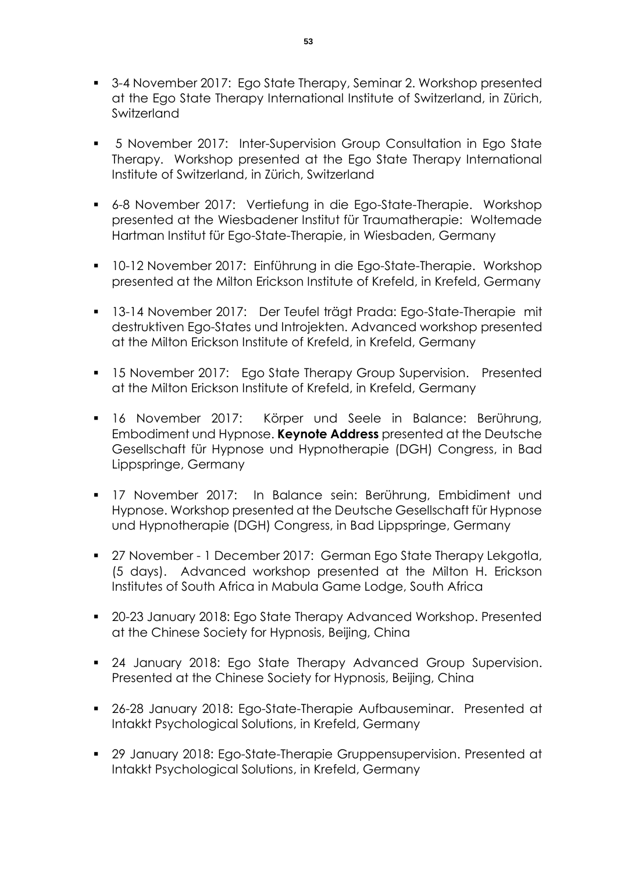- 3-4 November 2017: Ego State Therapy, Seminar 2. Workshop presented at the Ego State Therapy International Institute of Switzerland, in Zürich, **Switzerland**
- 5 November 2017: Inter-Supervision Group Consultation in Ego State Therapy. Workshop presented at the Ego State Therapy International Institute of Switzerland, in Zürich, Switzerland
- 6-8 November 2017: Vertiefung in die Ego-State-Therapie. Workshop presented at the Wiesbadener Institut für Traumatherapie: Woltemade Hartman Institut für Ego-State-Therapie, in Wiesbaden, Germany
- 10-12 November 2017: Einführung in die Ego-State-Therapie. Workshop presented at the Milton Erickson Institute of Krefeld, in Krefeld, Germany
- 13-14 November 2017: Der Teufel trägt Prada: Ego-State-Therapie mit destruktiven Ego-States und Introjekten. Advanced workshop presented at the Milton Erickson Institute of Krefeld, in Krefeld, Germany
- **15 November 2017:** Ego State Therapy Group Supervision. Presented at the Milton Erickson Institute of Krefeld, in Krefeld, Germany
- 16 November 2017: Körper und Seele in Balance: Berührung, Embodiment und Hypnose. **Keynote Address** presented at the Deutsche Gesellschaft für Hypnose und Hypnotherapie (DGH) Congress, in Bad Lippspringe, Germany
- 17 November 2017: In Balance sein: Berührung, Embidiment und Hypnose. Workshop presented at the Deutsche Gesellschaft für Hypnose und Hypnotherapie (DGH) Congress, in Bad Lippspringe, Germany
- 27 November 1 December 2017: German Ego State Therapy Lekgotla, (5 days). Advanced workshop presented at the Milton H. Erickson Institutes of South Africa in Mabula Game Lodge, South Africa
- 20-23 January 2018: Ego State Therapy Advanced Workshop. Presented at the Chinese Society for Hypnosis, Beijing, China
- **24 January 2018: Ego State Therapy Advanced Group Supervision.** Presented at the Chinese Society for Hypnosis, Beijing, China
- 26-28 January 2018: Ego-State-Therapie Aufbauseminar. Presented at Intakkt Psychological Solutions, in Krefeld, Germany
- 29 January 2018: Ego-State-Therapie Gruppensupervision. Presented at Intakkt Psychological Solutions, in Krefeld, Germany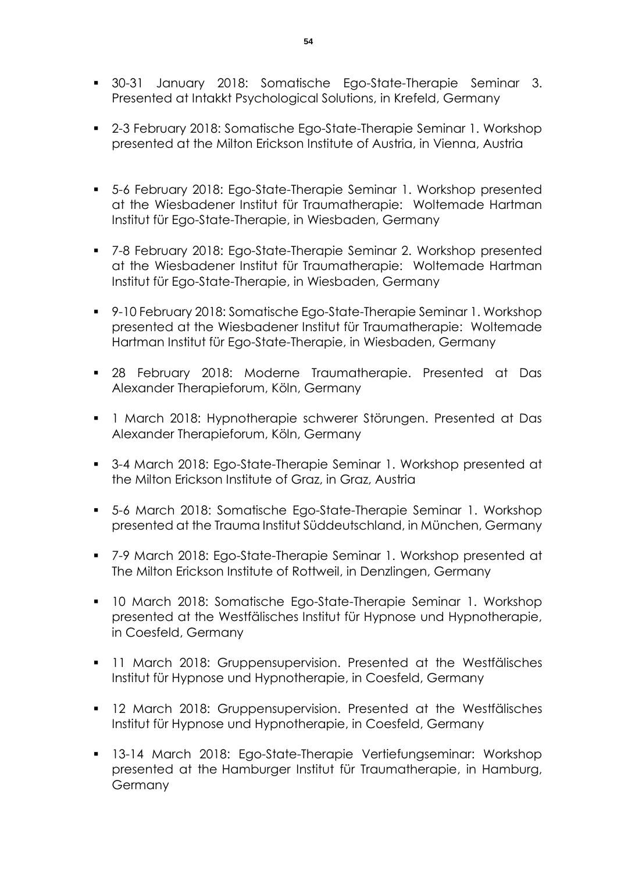- 30-31 January 2018: Somatische Ego-State-Therapie Seminar 3. Presented at Intakkt Psychological Solutions, in Krefeld, Germany
- 2-3 February 2018: Somatische Ego-State-Therapie Seminar 1. Workshop presented at the Milton Erickson Institute of Austria, in Vienna, Austria
- 5-6 February 2018: Ego-State-Therapie Seminar 1. Workshop presented at the Wiesbadener Institut für Traumatherapie: Woltemade Hartman Institut für Ego-State-Therapie, in Wiesbaden, Germany
- 7-8 February 2018: Ego-State-Therapie Seminar 2. Workshop presented at the Wiesbadener Institut für Traumatherapie: Woltemade Hartman Institut für Ego-State-Therapie, in Wiesbaden, Germany
- 9-10 February 2018: Somatische Ego-State-Therapie Seminar 1. Workshop presented at the Wiesbadener Institut für Traumatherapie: Woltemade Hartman Institut für Ego-State-Therapie, in Wiesbaden, Germany
- 28 February 2018: Moderne Traumatherapie. Presented at Das Alexander Therapieforum, Köln, Germany
- 1 March 2018: Hypnotherapie schwerer Störungen. Presented at Das Alexander Therapieforum, Köln, Germany
- 3-4 March 2018: Ego-State-Therapie Seminar 1. Workshop presented at the Milton Erickson Institute of Graz, in Graz, Austria
- 5-6 March 2018: Somatische Ego-State-Therapie Seminar 1. Workshop presented at the Trauma Institut Süddeutschland, in München, Germany
- 7-9 March 2018: Ego-State-Therapie Seminar 1. Workshop presented at The Milton Erickson Institute of Rottweil, in Denzlingen, Germany
- 10 March 2018: Somatische Ego-State-Therapie Seminar 1. Workshop presented at the Westfälisches Institut für Hypnose und Hypnotherapie, in Coesfeld, Germany
- **11 March 2018: Gruppensupervision. Presented at the Westfälisches** Institut für Hypnose und Hypnotherapie, in Coesfeld, Germany
- **12 March 2018: Gruppensupervision. Presented at the Westfälisches** Institut für Hypnose und Hypnotherapie, in Coesfeld, Germany
- 13-14 March 2018: Ego-State-Therapie Vertiefungseminar: Workshop presented at the Hamburger Institut für Traumatherapie, in Hamburg, Germany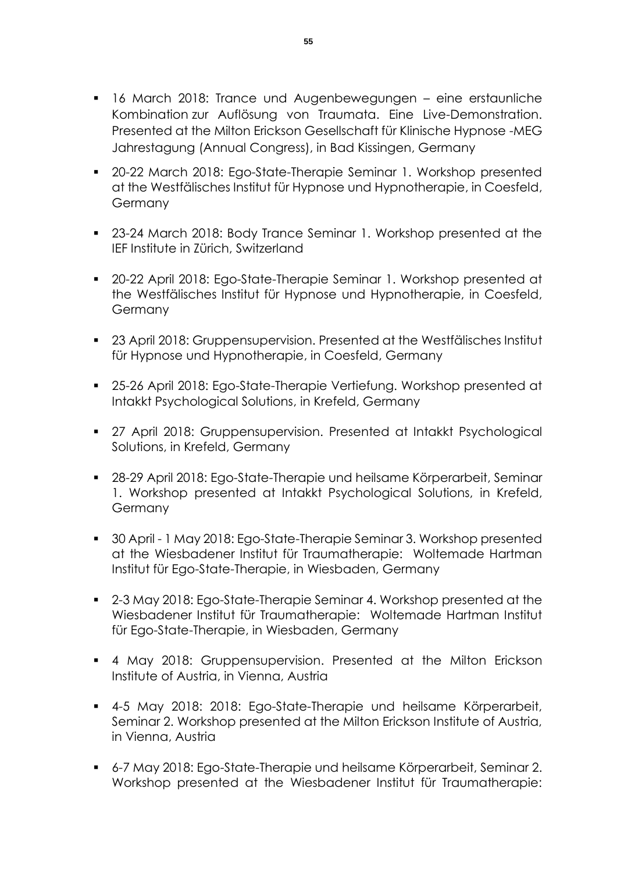- 16 March 2018: Trance und Augenbewegungen eine erstaunliche Kombination zur Auflösung von Traumata. Eine Live-Demonstration. Presented at the Milton Erickson Gesellschaft für Klinische Hypnose -MEG Jahrestagung (Annual Congress), in Bad Kissingen, Germany
- 20-22 March 2018: Ego-State-Therapie Seminar 1. Workshop presented at the Westfälisches Institut für Hypnose und Hypnotherapie, in Coesfeld, **Germany**
- 23-24 March 2018: Body Trance Seminar 1. Workshop presented at the IEF Institute in Zürich, Switzerland
- 20-22 April 2018: Ego-State-Therapie Seminar 1. Workshop presented at the Westfälisches Institut für Hypnose und Hypnotherapie, in Coesfeld, Germany
- 23 April 2018: Gruppensupervision. Presented at the Westfälisches Institut für Hypnose und Hypnotherapie, in Coesfeld, Germany
- 25-26 April 2018: Ego-State-Therapie Vertiefung. Workshop presented at Intakkt Psychological Solutions, in Krefeld, Germany
- 27 April 2018: Gruppensupervision. Presented at Intakkt Psychological Solutions, in Krefeld, Germany
- 28-29 April 2018: Ego-State-Therapie und heilsame Körperarbeit, Seminar 1. Workshop presented at Intakkt Psychological Solutions, in Krefeld, Germany
- 30 April 1 May 2018: Ego-State-Therapie Seminar 3. Workshop presented at the Wiesbadener Institut für Traumatherapie: Woltemade Hartman Institut für Ego-State-Therapie, in Wiesbaden, Germany
- 2-3 May 2018: Ego-State-Therapie Seminar 4. Workshop presented at the Wiesbadener Institut für Traumatherapie: Woltemade Hartman Institut für Ego-State-Therapie, in Wiesbaden, Germany
- 4 May 2018: Gruppensupervision. Presented at the Milton Erickson Institute of Austria, in Vienna, Austria
- 4-5 May 2018: 2018: Ego-State-Therapie und heilsame Körperarbeit, Seminar 2. Workshop presented at the Milton Erickson Institute of Austria, in Vienna, Austria
- 6-7 May 2018: Ego-State-Therapie und heilsame Körperarbeit, Seminar 2. Workshop presented at the Wiesbadener Institut für Traumatherapie: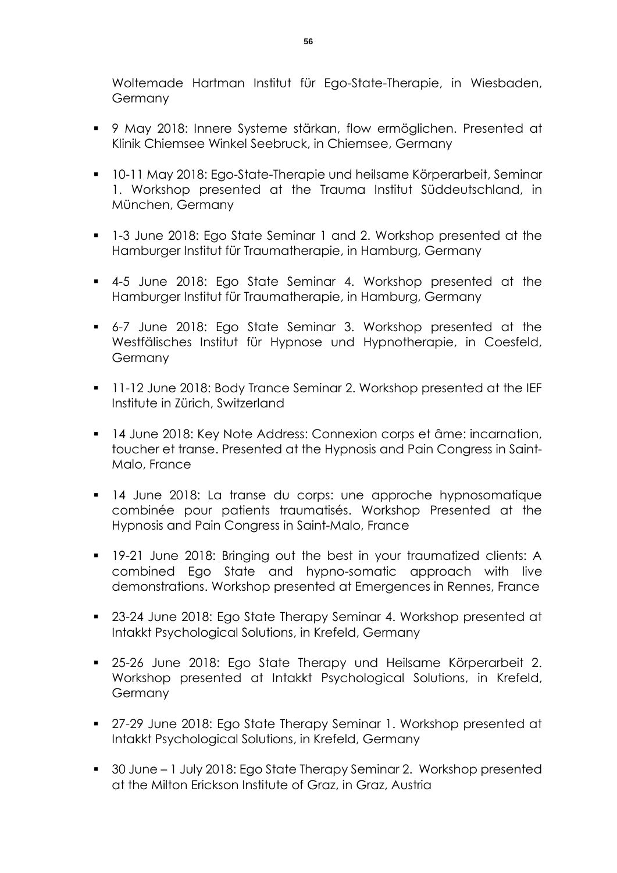Woltemade Hartman Institut für Ego-State-Therapie, in Wiesbaden, Germany

- 9 May 2018: Innere Systeme stärkan, flow ermöglichen. Presented at Klinik Chiemsee Winkel Seebruck, in Chiemsee, Germany
- 10-11 May 2018: Ego-State-Therapie und heilsame Körperarbeit, Seminar 1. Workshop presented at the Trauma Institut Süddeutschland, in München, Germany
- 1-3 June 2018: Ego State Seminar 1 and 2. Workshop presented at the Hamburger Institut für Traumatherapie, in Hamburg, Germany
- 4-5 June 2018: Ego State Seminar 4. Workshop presented at the Hamburger Institut für Traumatherapie, in Hamburg, Germany
- 6-7 June 2018: Ego State Seminar 3. Workshop presented at the Westfälisches Institut für Hypnose und Hypnotherapie, in Coesfeld, Germany
- **11-12 June 2018: Body Trance Seminar 2. Workshop presented at the IEF** Institute in Zürich, Switzerland
- 14 June 2018: Key Note Address: Connexion corps et âme: incarnation, toucher et transe. Presented at the Hypnosis and Pain Congress in Saint-Malo, France
- 14 June 2018: La transe du corps: une approche hypnosomatique combinée pour patients traumatisés. Workshop Presented at the Hypnosis and Pain Congress in Saint-Malo, France
- **19-21 June 2018: Bringing out the best in your traumatized clients: A** combined Ego State and hypno-somatic approach with live demonstrations. Workshop presented at Emergences in Rennes, France
- 23-24 June 2018: Ego State Therapy Seminar 4. Workshop presented at Intakkt Psychological Solutions, in Krefeld, Germany
- 25-26 June 2018: Ego State Therapy und Heilsame Körperarbeit 2. Workshop presented at Intakkt Psychological Solutions, in Krefeld, **Germany**
- 27-29 June 2018: Ego State Therapy Seminar 1. Workshop presented at Intakkt Psychological Solutions, in Krefeld, Germany
- 30 June 1 July 2018: Ego State Therapy Seminar 2. Workshop presented at the Milton Erickson Institute of Graz, in Graz, Austria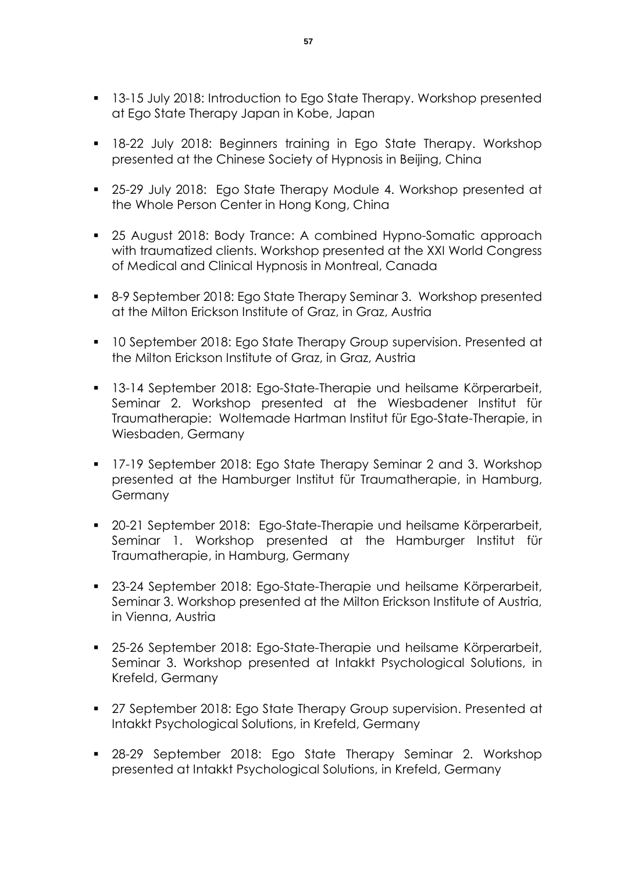- **13-15 July 2018: Introduction to Ego State Therapy. Workshop presented** at Ego State Therapy Japan in Kobe, Japan
- 18-22 July 2018: Beginners training in Ego State Therapy. Workshop presented at the Chinese Society of Hypnosis in Beijing, China
- 25-29 July 2018: Ego State Therapy Module 4. Workshop presented at the Whole Person Center in Hong Kong, China
- 25 August 2018: Body Trance: A combined Hypno-Somatic approach with traumatized clients. Workshop presented at the XXI World Congress of Medical and Clinical Hypnosis in Montreal, Canada
- 8-9 September 2018: Ego State Therapy Seminar 3. Workshop presented at the Milton Erickson Institute of Graz, in Graz, Austria
- **10 September 2018: Ego State Therapy Group supervision. Presented at** the Milton Erickson Institute of Graz, in Graz, Austria
- 13-14 September 2018: Ego-State-Therapie und heilsame Körperarbeit, Seminar 2. Workshop presented at the Wiesbadener Institut für Traumatherapie: Woltemade Hartman Institut für Ego-State-Therapie, in Wiesbaden, Germany
- **17-19 September 2018: Ego State Therapy Seminar 2 and 3. Workshop** presented at the Hamburger Institut für Traumatherapie, in Hamburg, **Germany**
- 20-21 September 2018: Ego-State-Therapie und heilsame Körperarbeit, Seminar 1. Workshop presented at the Hamburger Institut für Traumatherapie, in Hamburg, Germany
- 23-24 September 2018: Ego-State-Therapie und heilsame Körperarbeit, Seminar 3. Workshop presented at the Milton Erickson Institute of Austria, in Vienna, Austria
- 25-26 September 2018: Ego-State-Therapie und heilsame Körperarbeit, Seminar 3. Workshop presented at Intakkt Psychological Solutions, in Krefeld, Germany
- 27 September 2018: Ego State Therapy Group supervision. Presented at Intakkt Psychological Solutions, in Krefeld, Germany
- 28-29 September 2018: Ego State Therapy Seminar 2. Workshop presented at Intakkt Psychological Solutions, in Krefeld, Germany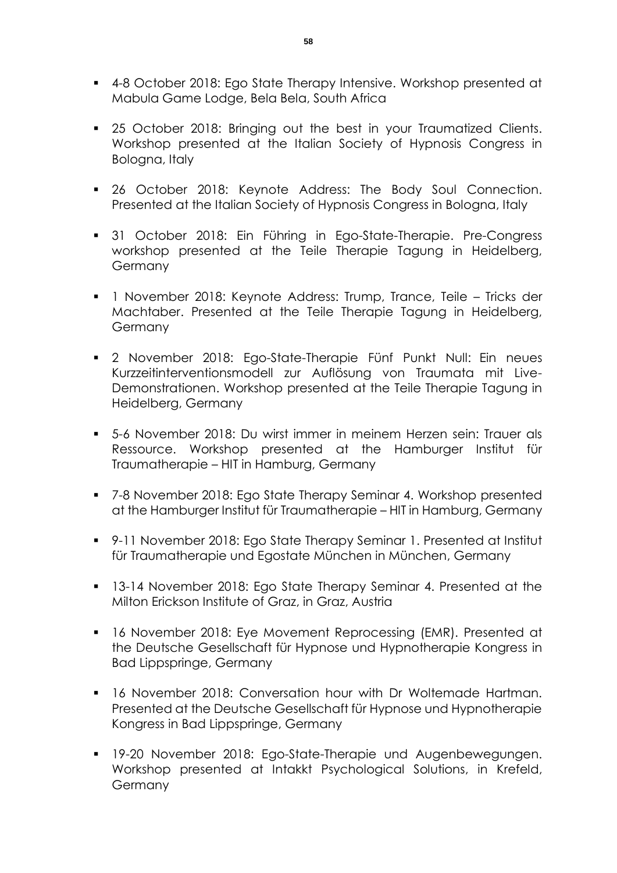- 4-8 October 2018: Ego State Therapy Intensive. Workshop presented at Mabula Game Lodge, Bela Bela, South Africa
- **25 October 2018: Bringing out the best in your Traumatized Clients.** Workshop presented at the Italian Society of Hypnosis Congress in Bologna, Italy
- **26 October 2018: Keynote Address: The Body Soul Connection.** Presented at the Italian Society of Hypnosis Congress in Bologna, Italy
- 31 October 2018: Ein Führing in Ego-State-Therapie. Pre-Congress workshop presented at the Teile Therapie Tagung in Heidelberg, **Germany**
- 1 November 2018: Keynote Address: Trump, Trance, Teile Tricks der Machtaber. Presented at the Teile Therapie Tagung in Heidelberg, **Germany**
- 2 November 2018: Ego-State-Therapie Fünf Punkt Null: Ein neues Kurzzeitinterventionsmodell zur Auflösung von Traumata mit Live-Demonstrationen. Workshop presented at the Teile Therapie Tagung in Heidelberg, Germany
- 5-6 November 2018: Du wirst immer in meinem Herzen sein: Trauer als Ressource. Workshop presented at the Hamburger Institut für Traumatherapie – HIT in Hamburg, Germany
- 7-8 November 2018: Ego State Therapy Seminar 4. Workshop presented at the Hamburger Institut für Traumatherapie – HIT in Hamburg, Germany
- 9-11 November 2018: Ego State Therapy Seminar 1. Presented at Institut für Traumatherapie und Egostate München in München, Germany
- **13-14 November 2018: Ego State Therapy Seminar 4. Presented at the** Milton Erickson Institute of Graz, in Graz, Austria
- 16 November 2018: Eye Movement Reprocessing (EMR). Presented at the Deutsche Gesellschaft für Hypnose und Hypnotherapie Kongress in Bad Lippspringe, Germany
- 16 November 2018: Conversation hour with Dr Woltemade Hartman. Presented at the Deutsche Gesellschaft für Hypnose und Hypnotherapie Kongress in Bad Lippspringe, Germany
- **19-20 November 2018: Ego-State-Therapie und Augenbewegungen.** Workshop presented at Intakkt Psychological Solutions, in Krefeld, Germany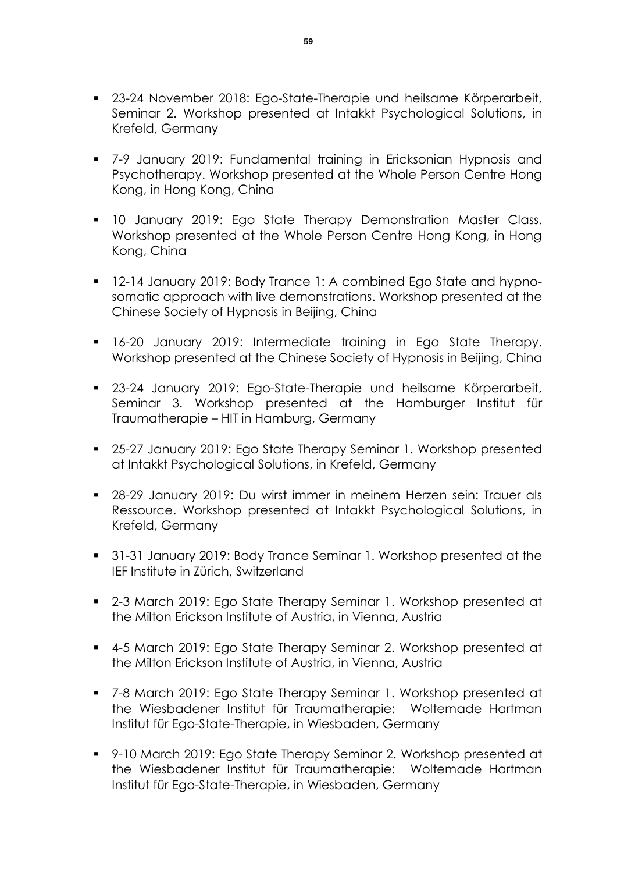- 23-24 November 2018: Ego-State-Therapie und heilsame Körperarbeit, Seminar 2. Workshop presented at Intakkt Psychological Solutions, in Krefeld, Germany
- 7-9 January 2019: Fundamental training in Ericksonian Hypnosis and Psychotherapy. Workshop presented at the Whole Person Centre Hong Kong, in Hong Kong, China
- **10 January 2019: Ego State Therapy Demonstration Master Class.** Workshop presented at the Whole Person Centre Hong Kong, in Hong Kong, China
- <sup>12-14</sup> January 2019: Body Trance 1: A combined Ego State and hypnosomatic approach with live demonstrations. Workshop presented at the Chinese Society of Hypnosis in Beijing, China
- **16-20 January 2019: Intermediate training in Ego State Therapy.** Workshop presented at the Chinese Society of Hypnosis in Beijing, China
- 23-24 January 2019: Ego-State-Therapie und heilsame Körperarbeit, Seminar 3. Workshop presented at the Hamburger Institut für Traumatherapie – HIT in Hamburg, Germany
- **25-27 January 2019: Ego State Therapy Seminar 1. Workshop presented** at Intakkt Psychological Solutions, in Krefeld, Germany
- 28-29 January 2019: Du wirst immer in meinem Herzen sein: Trauer als Ressource. Workshop presented at Intakkt Psychological Solutions, in Krefeld, Germany
- **31-31 January 2019: Body Trance Seminar 1. Workshop presented at the** IEF Institute in Zürich, Switzerland
- 2-3 March 2019: Ego State Therapy Seminar 1. Workshop presented at the Milton Erickson Institute of Austria, in Vienna, Austria
- 4-5 March 2019: Ego State Therapy Seminar 2. Workshop presented at the Milton Erickson Institute of Austria, in Vienna, Austria
- 7-8 March 2019: Ego State Therapy Seminar 1. Workshop presented at the Wiesbadener Institut für Traumatherapie: Woltemade Hartman Institut für Ego-State-Therapie, in Wiesbaden, Germany
- 9-10 March 2019: Ego State Therapy Seminar 2. Workshop presented at the Wiesbadener Institut für Traumatherapie: Woltemade Hartman Institut für Ego-State-Therapie, in Wiesbaden, Germany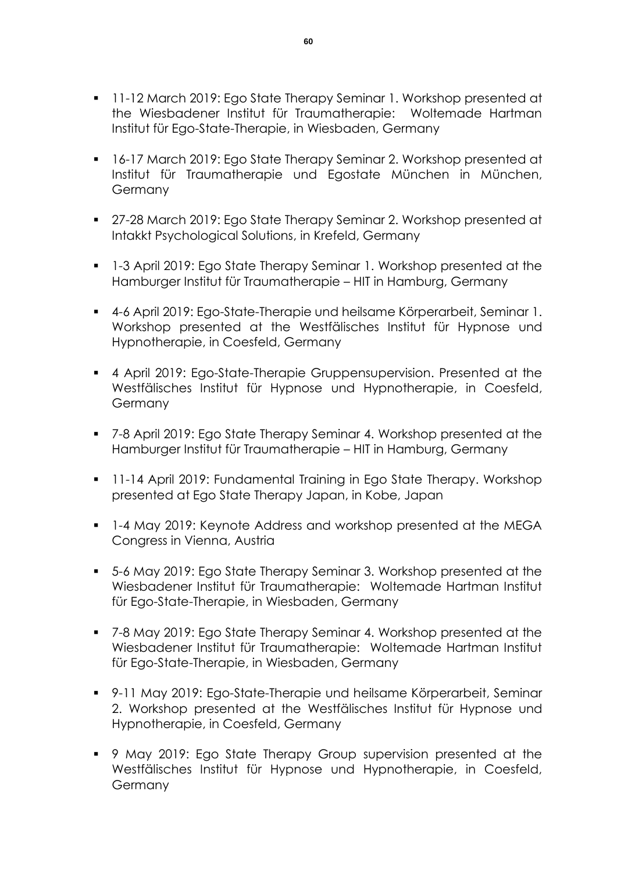- **11-12 March 2019: Ego State Therapy Seminar 1. Workshop presented at** the Wiesbadener Institut für Traumatherapie: Woltemade Hartman Institut für Ego-State-Therapie, in Wiesbaden, Germany
- 16-17 March 2019: Ego State Therapy Seminar 2. Workshop presented at Institut für Traumatherapie und Egostate München in München, **Germany**
- 27-28 March 2019: Ego State Therapy Seminar 2. Workshop presented at Intakkt Psychological Solutions, in Krefeld, Germany
- 1-3 April 2019: Ego State Therapy Seminar 1. Workshop presented at the Hamburger Institut für Traumatherapie – HIT in Hamburg, Germany
- 4-6 April 2019: Ego-State-Therapie und heilsame Körperarbeit, Seminar 1. Workshop presented at the Westfälisches Institut für Hypnose und Hypnotherapie, in Coesfeld, Germany
- 4 April 2019: Ego-State-Therapie Gruppensupervision. Presented at the Westfälisches Institut für Hypnose und Hypnotherapie, in Coesfeld, Germany
- 7-8 April 2019: Ego State Therapy Seminar 4. Workshop presented at the Hamburger Institut für Traumatherapie – HIT in Hamburg, Germany
- 11-14 April 2019: Fundamental Training in Ego State Therapy. Workshop presented at Ego State Therapy Japan, in Kobe, Japan
- 1-4 May 2019: Keynote Address and workshop presented at the MEGA Congress in Vienna, Austria
- 5-6 May 2019: Ego State Therapy Seminar 3. Workshop presented at the Wiesbadener Institut für Traumatherapie: Woltemade Hartman Institut für Ego-State-Therapie, in Wiesbaden, Germany
- 7-8 May 2019: Ego State Therapy Seminar 4. Workshop presented at the Wiesbadener Institut für Traumatherapie: Woltemade Hartman Institut für Ego-State-Therapie, in Wiesbaden, Germany
- 9-11 May 2019: Ego-State-Therapie und heilsame Körperarbeit, Seminar 2. Workshop presented at the Westfälisches Institut für Hypnose und Hypnotherapie, in Coesfeld, Germany
- 9 May 2019: Ego State Therapy Group supervision presented at the Westfälisches Institut für Hypnose und Hypnotherapie, in Coesfeld, Germany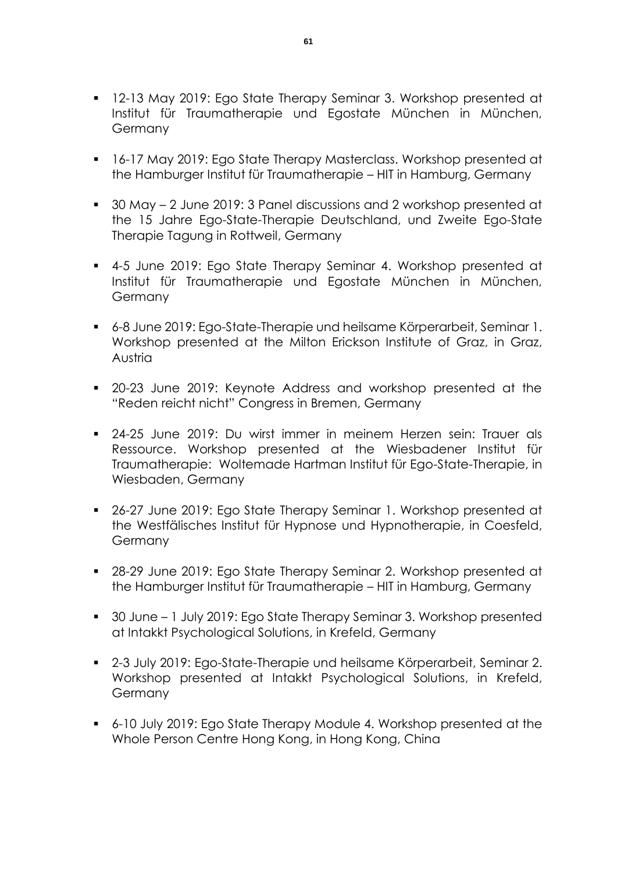- 12-13 May 2019: Ego State Therapy Seminar 3. Workshop presented at Institut für Traumatherapie und Egostate München in München, Germany
- 16-17 May 2019: Ego State Therapy Masterclass. Workshop presented at the Hamburger Institut für Traumatherapie – HIT in Hamburg, Germany
- 30 May 2 June 2019: 3 Panel discussions and 2 workshop presented at the 15 Jahre Ego-State-Therapie Deutschland, und Zweite Ego-State Therapie Tagung in Rottweil, Germany
- 4-5 June 2019: Ego State Therapy Seminar 4. Workshop presented at Institut für Traumatherapie und Egostate München in München, **Germany**
- 6-8 June 2019: Ego-State-Therapie und heilsame Körperarbeit, Seminar 1. Workshop presented at the Milton Erickson Institute of Graz, in Graz, Austria
- 20-23 June 2019: Keynote Address and workshop presented at the "Reden reicht nicht" Congress in Bremen, Germany
- 24-25 June 2019: Du wirst immer in meinem Herzen sein: Trauer als Ressource. Workshop presented at the Wiesbadener Institut für Traumatherapie: Woltemade Hartman Institut für Ego-State-Therapie, in Wiesbaden, Germany
- 26-27 June 2019: Ego State Therapy Seminar 1. Workshop presented at the Westfälisches Institut für Hypnose und Hypnotherapie, in Coesfeld, Germany
- 28-29 June 2019: Ego State Therapy Seminar 2. Workshop presented at the Hamburger Institut für Traumatherapie – HIT in Hamburg, Germany
- 30 June 1 July 2019: Ego State Therapy Seminar 3. Workshop presented at Intakkt Psychological Solutions, in Krefeld, Germany
- 2-3 July 2019: Ego-State-Therapie und heilsame Körperarbeit, Seminar 2. Workshop presented at Intakkt Psychological Solutions, in Krefeld, **Germany**
- 6-10 July 2019: Ego State Therapy Module 4. Workshop presented at the Whole Person Centre Hong Kong, in Hong Kong, China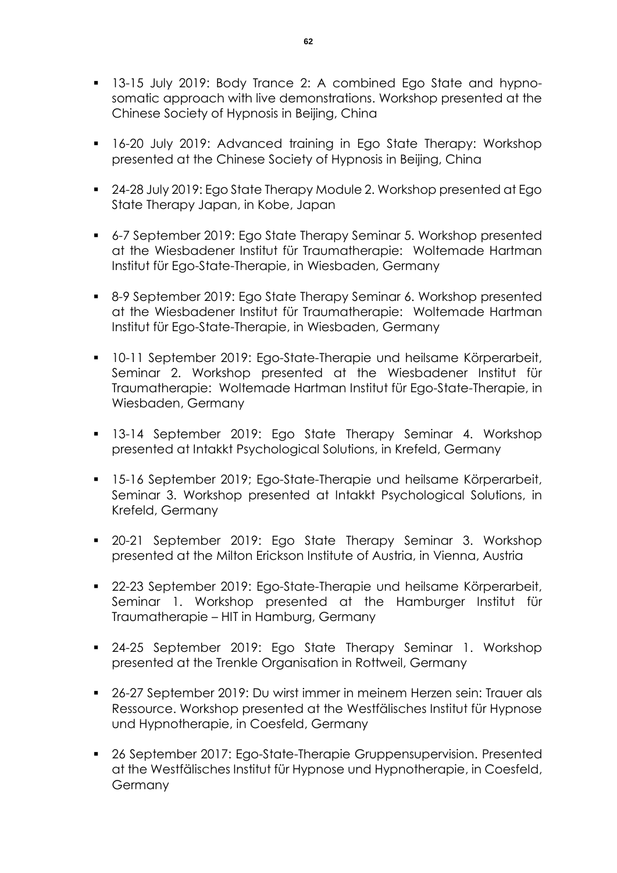- 13-15 July 2019: Body Trance 2: A combined Ego State and hypnosomatic approach with live demonstrations. Workshop presented at the Chinese Society of Hypnosis in Beijing, China
- 16-20 July 2019: Advanced training in Ego State Therapy: Workshop presented at the Chinese Society of Hypnosis in Beijing, China
- 24-28 July 2019: Ego State Therapy Module 2. Workshop presented at Ego State Therapy Japan, in Kobe, Japan
- 6-7 September 2019: Ego State Therapy Seminar 5. Workshop presented at the Wiesbadener Institut für Traumatherapie: Woltemade Hartman Institut für Ego-State-Therapie, in Wiesbaden, Germany
- 8-9 September 2019: Ego State Therapy Seminar 6. Workshop presented at the Wiesbadener Institut für Traumatherapie: Woltemade Hartman Institut für Ego-State-Therapie, in Wiesbaden, Germany
- 10-11 September 2019: Ego-State-Therapie und heilsame Körperarbeit, Seminar 2. Workshop presented at the Wiesbadener Institut für Traumatherapie: Woltemade Hartman Institut für Ego-State-Therapie, in Wiesbaden, Germany
- 13-14 September 2019: Ego State Therapy Seminar 4. Workshop presented at Intakkt Psychological Solutions, in Krefeld, Germany
- 15-16 September 2019; Ego-State-Therapie und heilsame Körperarbeit, Seminar 3. Workshop presented at Intakkt Psychological Solutions, in Krefeld, Germany
- 20-21 September 2019: Ego State Therapy Seminar 3. Workshop presented at the Milton Erickson Institute of Austria, in Vienna, Austria
- 22-23 September 2019: Ego-State-Therapie und heilsame Körperarbeit, Seminar 1. Workshop presented at the Hamburger Institut für Traumatherapie – HIT in Hamburg, Germany
- 24-25 September 2019: Ego State Therapy Seminar 1. Workshop presented at the Trenkle Organisation in Rottweil, Germany
- 26-27 September 2019: Du wirst immer in meinem Herzen sein: Trauer als Ressource. Workshop presented at the Westfälisches Institut für Hypnose und Hypnotherapie, in Coesfeld, Germany
- 26 September 2017: Ego-State-Therapie Gruppensupervision. Presented at the Westfälisches Institut für Hypnose und Hypnotherapie, in Coesfeld, Germany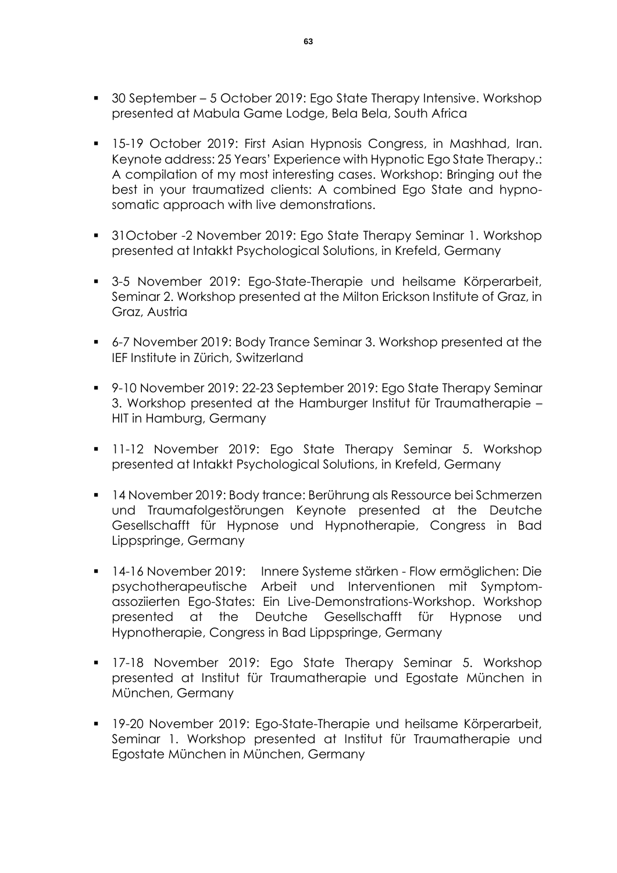- 30 September 5 October 2019: Ego State Therapy Intensive. Workshop presented at Mabula Game Lodge, Bela Bela, South Africa
- **15-19 October 2019: First Asian Hypnosis Congress, in Mashhad, Iran.** Keynote address: 25 Years' Experience with Hypnotic Ego State Therapy.: A compilation of my most interesting cases. Workshop: Bringing out the best in your traumatized clients: A combined Ego State and hypnosomatic approach with live demonstrations.
- 31October -2 November 2019: Ego State Therapy Seminar 1. Workshop presented at Intakkt Psychological Solutions, in Krefeld, Germany
- 3-5 November 2019: Ego-State-Therapie und heilsame Körperarbeit, Seminar 2. Workshop presented at the Milton Erickson Institute of Graz, in Graz, Austria
- 6-7 November 2019: Body Trance Seminar 3. Workshop presented at the IEF Institute in Zürich, Switzerland
- 9-10 November 2019: 22-23 September 2019: Ego State Therapy Seminar 3. Workshop presented at the Hamburger Institut für Traumatherapie – HIT in Hamburg, Germany
- **11-12 November 2019: Ego State Therapy Seminar 5. Workshop** presented at Intakkt Psychological Solutions, in Krefeld, Germany
- 14 November 2019: Body trance: Berührung als Ressource bei Schmerzen und Traumafolgestörungen Keynote presented at the Deutche Gesellschafft für Hypnose und Hypnotherapie, Congress in Bad Lippspringe, Germany
- 14-16 November 2019: Innere Systeme stärken Flow ermöglichen: Die psychotherapeutische Arbeit und Interventionen mit Symptomassoziierten Ego-States: Ein Live-Demonstrations-Workshop. Workshop presented at the Deutche Gesellschafft für Hypnose und Hypnotherapie, Congress in Bad Lippspringe, Germany
- 17-18 November 2019: Ego State Therapy Seminar 5. Workshop presented at Institut für Traumatherapie und Egostate München in München, Germany
- 19-20 November 2019: Ego-State-Therapie und heilsame Körperarbeit, Seminar 1. Workshop presented at Institut für Traumatherapie und Egostate München in München, Germany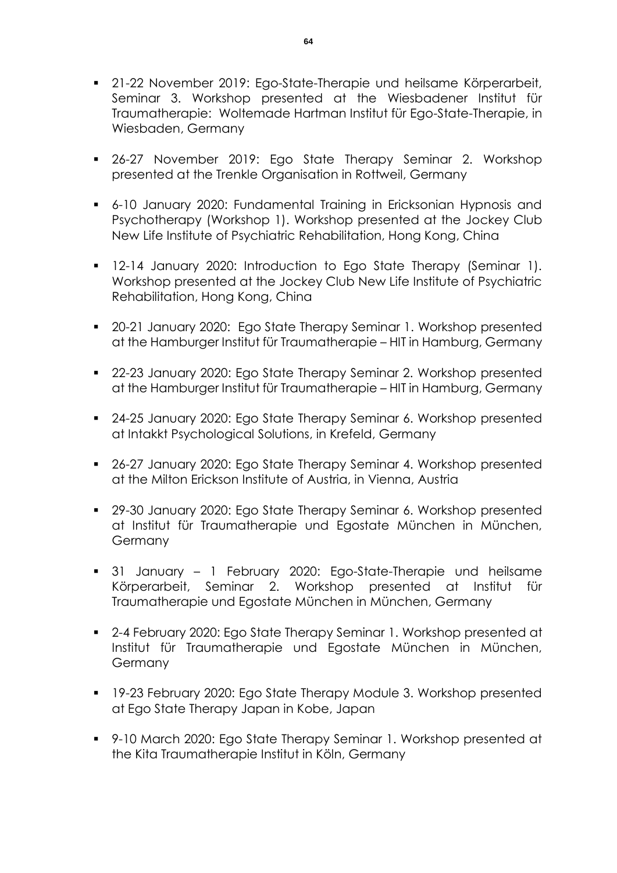- **21-22 November 2019: Ego-State-Therapie und heilsame Körperarbeit,** Seminar 3. Workshop presented at the Wiesbadener Institut für Traumatherapie: Woltemade Hartman Institut für Ego-State-Therapie, in Wiesbaden, Germany
- 26-27 November 2019: Ego State Therapy Seminar 2. Workshop presented at the Trenkle Organisation in Rottweil, Germany
- 6-10 January 2020: Fundamental Training in Ericksonian Hypnosis and Psychotherapy (Workshop 1). Workshop presented at the Jockey Club New Life Institute of Psychiatric Rehabilitation, Hong Kong, China
- 12-14 January 2020: Introduction to Ego State Therapy (Seminar 1). Workshop presented at the Jockey Club New Life Institute of Psychiatric Rehabilitation, Hong Kong, China
- **20-21 January 2020: Ego State Therapy Seminar 1. Workshop presented** at the Hamburger Institut für Traumatherapie – HIT in Hamburg, Germany
- 22-23 January 2020: Ego State Therapy Seminar 2. Workshop presented at the Hamburger Institut für Traumatherapie – HIT in Hamburg, Germany
- 24-25 January 2020: Ego State Therapy Seminar 6. Workshop presented at Intakkt Psychological Solutions, in Krefeld, Germany
- 26-27 January 2020: Ego State Therapy Seminar 4. Workshop presented at the Milton Erickson Institute of Austria, in Vienna, Austria
- 29-30 January 2020: Ego State Therapy Seminar 6. Workshop presented at Institut für Traumatherapie und Egostate München in München, **Germany**
- 31 January 1 February 2020: Ego-State-Therapie und heilsame Körperarbeit, Seminar 2. Workshop presented at Institut für Traumatherapie und Egostate München in München, Germany
- 2-4 February 2020: Ego State Therapy Seminar 1. Workshop presented at Institut für Traumatherapie und Egostate München in München, **Germany**
- 19-23 February 2020: Ego State Therapy Module 3. Workshop presented at Ego State Therapy Japan in Kobe, Japan
- 9-10 March 2020: Ego State Therapy Seminar 1. Workshop presented at the Kita Traumatherapie Institut in Köln, Germany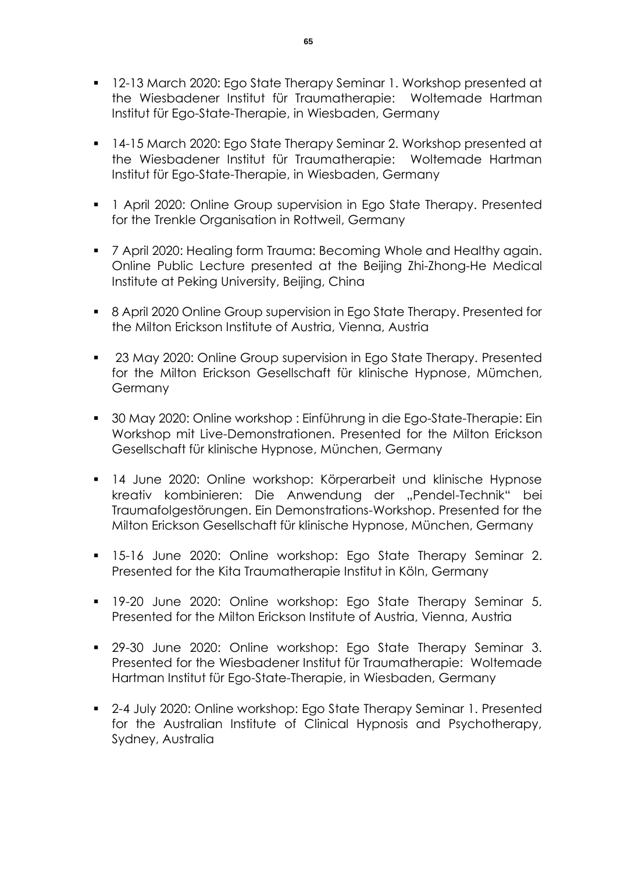- **12-13 March 2020: Ego State Therapy Seminar 1. Workshop presented at** the Wiesbadener Institut für Traumatherapie: Woltemade Hartman Institut für Ego-State-Therapie, in Wiesbaden, Germany
- 14-15 March 2020: Ego State Therapy Seminar 2. Workshop presented at the Wiesbadener Institut für Traumatherapie: Woltemade Hartman Institut für Ego-State-Therapie, in Wiesbaden, Germany
- **1** April 2020: Online Group supervision in Ego State Therapy. Presented for the Trenkle Organisation in Rottweil, Germany
- **7** April 2020: Healing form Trauma: Becoming Whole and Healthy again. Online Public Lecture presented at the Beijing Zhi-Zhong-He Medical Institute at Peking University, Beijing, China
- 8 April 2020 Online Group supervision in Ego State Therapy. Presented for the Milton Erickson Institute of Austria, Vienna, Austria
- 23 May 2020: Online Group supervision in Ego State Therapy. Presented for the Milton Erickson Gesellschaft für klinische Hypnose, Mümchen, Germany
- 30 May 2020: Online workshop : Einführung in die Ego-State-Therapie: Ein Workshop mit Live-Demonstrationen. Presented for the Milton Erickson Gesellschaft für klinische Hypnose, München, Germany
- 14 June 2020: Online workshop: Körperarbeit und klinische Hypnose kreativ kombinieren: Die Anwendung der "Pendel-Technik" bei Traumafolgestörungen. Ein Demonstrations-Workshop. Presented for the Milton Erickson Gesellschaft für klinische Hypnose, München, Germany
- **15-16 June 2020: Online workshop: Ego State Therapy Seminar 2.** Presented for the Kita Traumatherapie Institut in Köln, Germany
- 19-20 June 2020: Online workshop: Ego State Therapy Seminar 5. Presented for the Milton Erickson Institute of Austria, Vienna, Austria
- 29-30 June 2020: Online workshop: Ego State Therapy Seminar 3. Presented for the Wiesbadener Institut für Traumatherapie: Woltemade Hartman Institut für Ego-State-Therapie, in Wiesbaden, Germany
- 2-4 July 2020: Online workshop: Ego State Therapy Seminar 1. Presented for the Australian Institute of Clinical Hypnosis and Psychotherapy, Sydney, Australia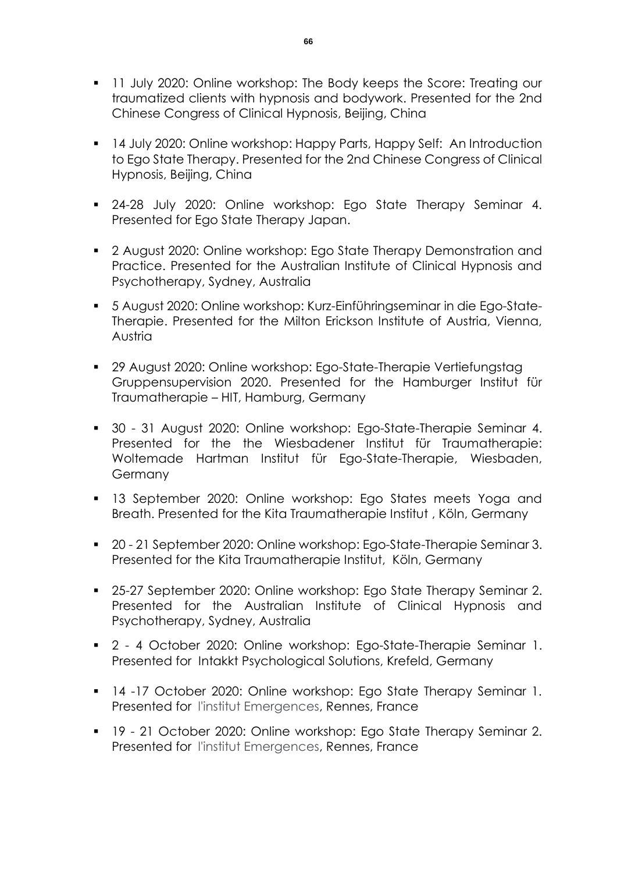- **11 July 2020: Online workshop: The Body keeps the Score: Treating our** traumatized clients with hypnosis and bodywork. Presented for the 2nd Chinese Congress of Clinical Hypnosis, Beijing, China
- 14 July 2020: Online workshop: Happy Parts, Happy Self: An Introduction to Ego State Therapy. Presented for the 2nd Chinese Congress of Clinical Hypnosis, Beijing, China
- **24-28 July 2020: Online workshop: Ego State Therapy Seminar 4.** Presented for Ego State Therapy Japan.
- **2** August 2020: Online workshop: Ego State Therapy Demonstration and Practice. Presented for the Australian Institute of Clinical Hypnosis and Psychotherapy, Sydney, Australia
- 5 August 2020: Online workshop: Kurz-Einführingseminar in die Ego-State-Therapie. Presented for the Milton Erickson Institute of Austria, Vienna, Austria
- 29 August 2020: Online workshop: Ego-State-Therapie Vertiefungstag Gruppensupervision 2020. Presented for the Hamburger Institut für Traumatherapie – HIT, Hamburg, Germany
- 30 31 August 2020: Online workshop: Ego-State-Therapie Seminar 4. Presented for the the Wiesbadener Institut für Traumatherapie: Woltemade Hartman Institut für Ego-State-Therapie, Wiesbaden, Germany
- **13 September 2020: Online workshop: Ego States meets Yoga and** Breath. Presented for the Kita Traumatherapie Institut , Köln, Germany
- 20 21 September 2020: Online workshop: Ego-State-Therapie Seminar 3. Presented for the Kita Traumatherapie Institut, Köln, Germany
- 25-27 September 2020: Online workshop: Ego State Therapy Seminar 2. Presented for the Australian Institute of Clinical Hypnosis and Psychotherapy, Sydney, Australia
- 2 4 October 2020: Online workshop: Ego-State-Therapie Seminar 1. Presented for Intakkt Psychological Solutions, Krefeld, Germany
- 14 -17 October 2020: Online workshop: Ego State Therapy Seminar 1. Presented for l'institut Emergences, Rennes, France
- **19 21 October 2020: Online workshop: Ego State Therapy Seminar 2.** Presented for l'institut Emergences, Rennes, France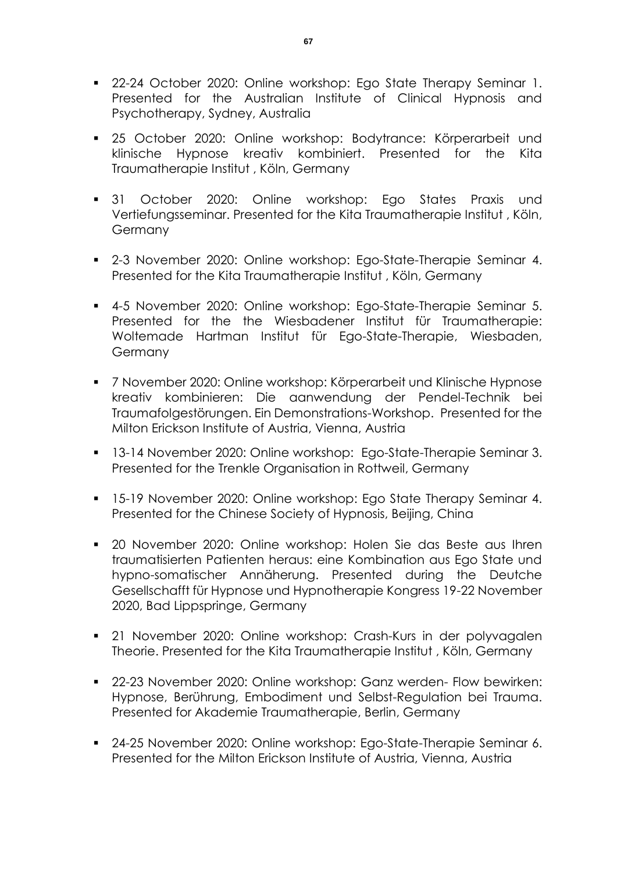- **22-24 October 2020: Online workshop: Ego State Therapy Seminar 1.** Presented for the Australian Institute of Clinical Hypnosis and Psychotherapy, Sydney, Australia
- 25 October 2020: Online workshop: Bodytrance: Körperarbeit und klinische Hypnose kreativ kombiniert. Presented for the Kita Traumatherapie Institut , Köln, Germany
- 31 October 2020: Online workshop: Ego States Praxis und Vertiefungsseminar. Presented for the Kita Traumatherapie Institut , Köln, Germany
- 2-3 November 2020: Online workshop: Ego-State-Therapie Seminar 4. Presented for the Kita Traumatherapie Institut , Köln, Germany
- 4-5 November 2020: Online workshop: Ego-State-Therapie Seminar 5. Presented for the the Wiesbadener Institut für Traumatherapie: Woltemade Hartman Institut für Ego-State-Therapie, Wiesbaden, Germany
- 7 November 2020: Online workshop: Körperarbeit und Klinische Hypnose kreativ kombinieren: Die aanwendung der Pendel-Technik bei Traumafolgestörungen. Ein Demonstrations-Workshop. Presented for the Milton Erickson Institute of Austria, Vienna, Austria
- 13-14 November 2020: Online workshop: Ego-State-Therapie Seminar 3. Presented for the Trenkle Organisation in Rottweil, Germany
- **15-19 November 2020: Online workshop: Ego State Therapy Seminar 4.** Presented for the Chinese Society of Hypnosis, Beijing, China
- 20 November 2020: Online workshop: Holen Sie das Beste aus Ihren traumatisierten Patienten heraus: eine Kombination aus Ego State und hypno-somatischer Annäherung. Presented during the Deutche Gesellschafft für Hypnose und Hypnotherapie Kongress 19-22 November 2020, Bad Lippspringe, Germany
- 21 November 2020: Online workshop: Crash-Kurs in der polyvagalen Theorie. Presented for the Kita Traumatherapie Institut , Köln, Germany
- 22-23 November 2020: Online workshop: Ganz werden- Flow bewirken: Hypnose, Berührung, Embodiment und Selbst-Regulation bei Trauma. Presented for Akademie Traumatherapie, Berlin, Germany
- 24-25 November 2020: Online workshop: Ego-State-Therapie Seminar 6. Presented for the Milton Erickson Institute of Austria, Vienna, Austria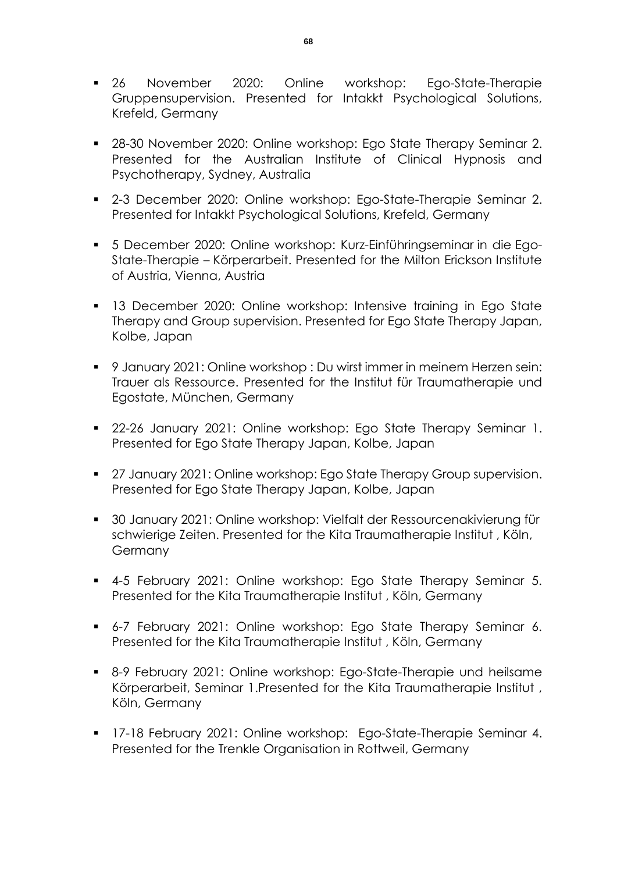- 26 November 2020: Online workshop: Ego-State-Therapie Gruppensupervision. Presented for Intakkt Psychological Solutions, Krefeld, Germany
- 28-30 November 2020: Online workshop: Ego State Therapy Seminar 2. Presented for the Australian Institute of Clinical Hypnosis and Psychotherapy, Sydney, Australia
- 2-3 December 2020: Online workshop: Ego-State-Therapie Seminar 2. Presented for Intakkt Psychological Solutions, Krefeld, Germany
- 5 December 2020: Online workshop: Kurz-Einführingseminar in die Ego-State-Therapie – Körperarbeit. Presented for the Milton Erickson Institute of Austria, Vienna, Austria
- **13 December 2020: Online workshop: Intensive training in Ego State** Therapy and Group supervision. Presented for Ego State Therapy Japan, Kolbe, Japan
- 9 January 2021: Online workshop : Du wirst immer in meinem Herzen sein: Trauer als Ressource. Presented for the Institut für Traumatherapie und Egostate, München, Germany
- 22-26 January 2021: Online workshop: Ego State Therapy Seminar 1. Presented for Ego State Therapy Japan, Kolbe, Japan
- 27 January 2021: Online workshop: Ego State Therapy Group supervision. Presented for Ego State Therapy Japan, Kolbe, Japan
- 30 January 2021: Online workshop: Vielfalt der Ressourcenakivierung für schwierige Zeiten. Presented for the Kita Traumatherapie Institut , Köln, **Germany**
- 4-5 February 2021: Online workshop: Ego State Therapy Seminar 5. Presented for the Kita Traumatherapie Institut , Köln, Germany
- 6-7 February 2021: Online workshop: Ego State Therapy Seminar 6. Presented for the Kita Traumatherapie Institut , Köln, Germany
- 8-9 February 2021: Online workshop: Ego-State-Therapie und heilsame Körperarbeit, Seminar 1.Presented for the Kita Traumatherapie Institut , Köln, Germany
- **17-18 February 2021: Online workshop: Ego-State-Therapie Seminar 4.** Presented for the Trenkle Organisation in Rottweil, Germany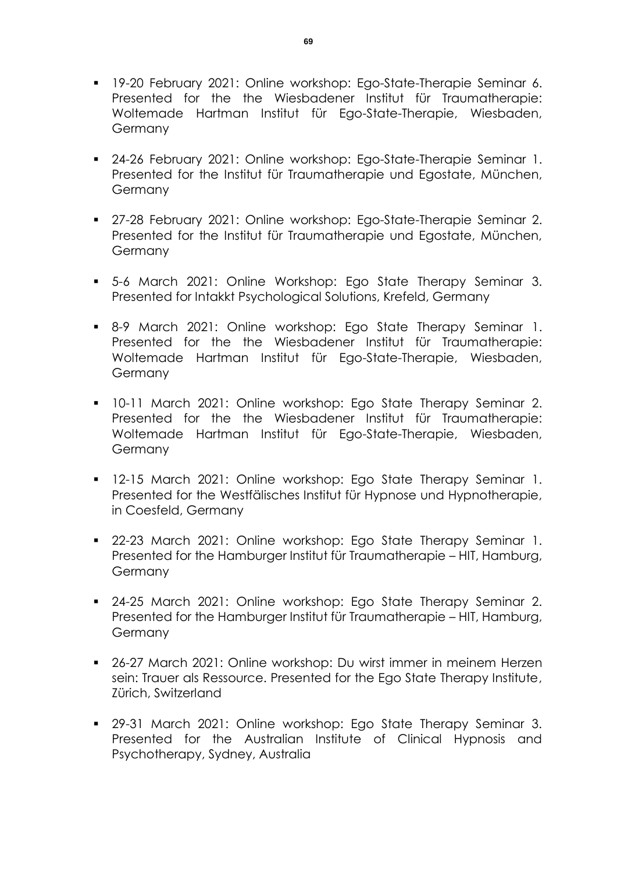- **19-20 February 2021: Online workshop: Ego-State-Therapie Seminar 6.** Presented for the the Wiesbadener Institut für Traumatherapie: Woltemade Hartman Institut für Ego-State-Therapie, Wiesbaden, Germany
- 24-26 February 2021: Online workshop: Ego-State-Therapie Seminar 1. Presented for the Institut für Traumatherapie und Egostate, München, **Germany**
- **27-28 February 2021: Online workshop: Ego-State-Therapie Seminar 2.** Presented for the Institut für Traumatherapie und Egostate, München, Germany
- 5-6 March 2021: Online Workshop: Ego State Therapy Seminar 3. Presented for Intakkt Psychological Solutions, Krefeld, Germany
- 8-9 March 2021: Online workshop: Ego State Therapy Seminar 1. Presented for the the Wiesbadener Institut für Traumatherapie: Woltemade Hartman Institut für Ego-State-Therapie, Wiesbaden, **Germany**
- 10-11 March 2021: Online workshop: Ego State Therapy Seminar 2. Presented for the the Wiesbadener Institut für Traumatherapie: Woltemade Hartman Institut für Ego-State-Therapie, Wiesbaden, Germany
- 12-15 March 2021: Online workshop: Ego State Therapy Seminar 1. Presented for the Westfälisches Institut für Hypnose und Hypnotherapie, in Coesfeld, Germany
- 22-23 March 2021: Online workshop: Ego State Therapy Seminar 1. Presented for the Hamburger Institut für Traumatherapie – HIT, Hamburg, **Germany**
- 24-25 March 2021: Online workshop: Ego State Therapy Seminar 2. Presented for the Hamburger Institut für Traumatherapie – HIT, Hamburg, **Germany**
- 26-27 March 2021: Online workshop: Du wirst immer in meinem Herzen sein: Trauer als Ressource. Presented for the Ego State Therapy Institute, Zürich, Switzerland
- 29-31 March 2021: Online workshop: Ego State Therapy Seminar 3. Presented for the Australian Institute of Clinical Hypnosis and Psychotherapy, Sydney, Australia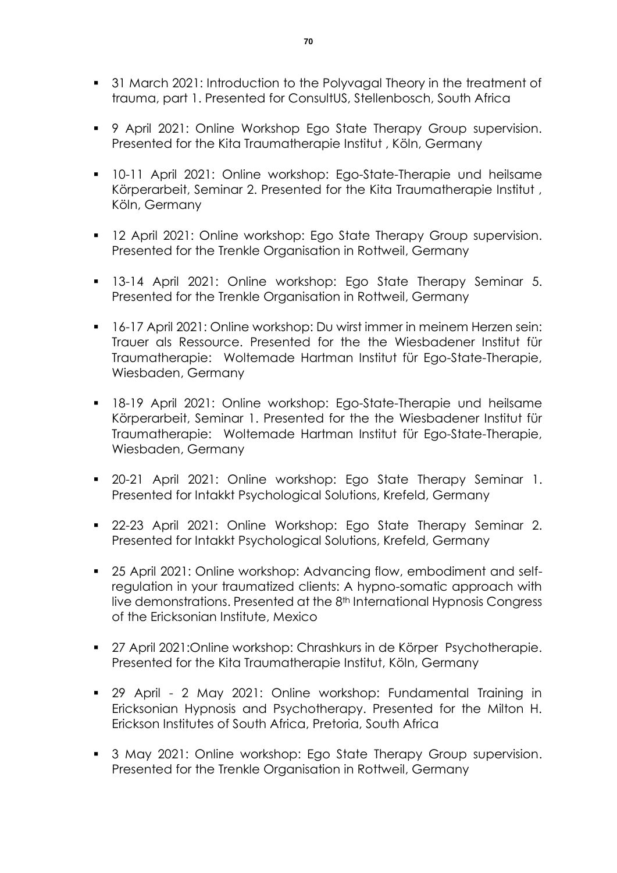- **31 March 2021: Introduction to the Polyvagal Theory in the treatment of** trauma, part 1. Presented for ConsultUS, Stellenbosch, South Africa
- 9 April 2021: Online Workshop Ego State Therapy Group supervision. Presented for the Kita Traumatherapie Institut , Köln, Germany
- 10-11 April 2021: Online workshop: Ego-State-Therapie und heilsame Körperarbeit, Seminar 2. Presented for the Kita Traumatherapie Institut , Köln, Germany
- **12 April 2021: Online workshop: Ego State Therapy Group supervision.** Presented for the Trenkle Organisation in Rottweil, Germany
- 13-14 April 2021: Online workshop: Ego State Therapy Seminar 5. Presented for the Trenkle Organisation in Rottweil, Germany
- 16-17 April 2021: Online workshop: Du wirst immer in meinem Herzen sein: Trauer als Ressource. Presented for the the Wiesbadener Institut für Traumatherapie: Woltemade Hartman Institut für Ego-State-Therapie, Wiesbaden, Germany
- 18-19 April 2021: Online workshop: Ego-State-Therapie und heilsame Körperarbeit, Seminar 1. Presented for the the Wiesbadener Institut für Traumatherapie: Woltemade Hartman Institut für Ego-State-Therapie, Wiesbaden, Germany
- 20-21 April 2021: Online workshop: Ego State Therapy Seminar 1. Presented for Intakkt Psychological Solutions, Krefeld, Germany
- 22-23 April 2021: Online Workshop: Ego State Therapy Seminar 2. Presented for Intakkt Psychological Solutions, Krefeld, Germany
- 25 April 2021: Online workshop: Advancing flow, embodiment and selfregulation in your traumatized clients: A hypno-somatic approach with live demonstrations. Presented at the 8th International Hypnosis Congress of the Ericksonian Institute, Mexico
- 27 April 2021:Online workshop: Chrashkurs in de Körper Psychotherapie. Presented for the Kita Traumatherapie Institut, Köln, Germany
- 29 April 2 May 2021: Online workshop: Fundamental Training in Ericksonian Hypnosis and Psychotherapy. Presented for the Milton H. Erickson Institutes of South Africa, Pretoria, South Africa
- 3 May 2021: Online workshop: Ego State Therapy Group supervision. Presented for the Trenkle Organisation in Rottweil, Germany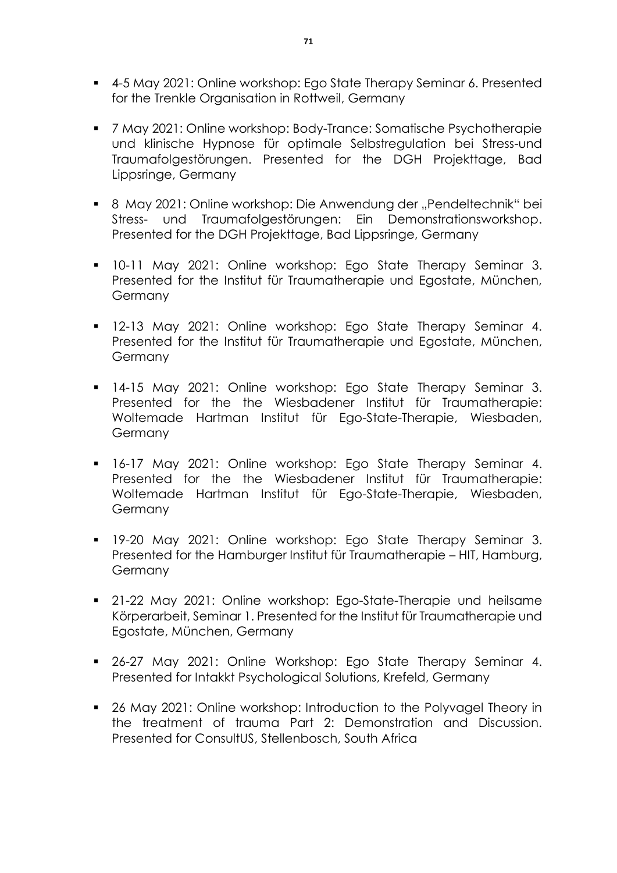- 4-5 May 2021: Online workshop: Ego State Therapy Seminar 6. Presented for the Trenkle Organisation in Rottweil, Germany
- 7 May 2021: Online workshop: Body-Trance: Somatische Psychotherapie und klinische Hypnose für optimale Selbstregulation bei Stress-und Traumafolgestörungen. Presented for the DGH Projekttage, Bad Lippsringe, Germany
- 8 May 2021: Online workshop: Die Anwendung der "Pendeltechnik" bei Stress- und Traumafolgestörungen: Ein Demonstrationsworkshop. Presented for the DGH Projekttage, Bad Lippsringe, Germany
- 10-11 May 2021: Online workshop: Ego State Therapy Seminar 3. Presented for the Institut für Traumatherapie und Egostate, München, **Germany**
- **12-13 May 2021: Online workshop: Ego State Therapy Seminar 4.** Presented for the Institut für Traumatherapie und Egostate, München, Germany
- **14-15 May 2021: Online workshop: Ego State Therapy Seminar 3.** Presented for the the Wiesbadener Institut für Traumatherapie: Woltemade Hartman Institut für Ego-State-Therapie, Wiesbaden, Germany
- **-** 16-17 May 2021: Online workshop: Ego State Therapy Seminar 4. Presented for the the Wiesbadener Institut für Traumatherapie: Woltemade Hartman Institut für Ego-State-Therapie, Wiesbaden, Germany
- 19-20 May 2021: Online workshop: Ego State Therapy Seminar 3. Presented for the Hamburger Institut für Traumatherapie – HIT, Hamburg, **Germany**
- 21-22 May 2021: Online workshop: Ego-State-Therapie und heilsame Körperarbeit, Seminar 1. Presented for the Institut für Traumatherapie und Egostate, München, Germany
- **26-27 May 2021: Online Workshop: Ego State Therapy Seminar 4.** Presented for Intakkt Psychological Solutions, Krefeld, Germany
- 26 May 2021: Online workshop: Introduction to the Polyvagel Theory in the treatment of trauma Part 2: Demonstration and Discussion. Presented for ConsultUS, Stellenbosch, South Africa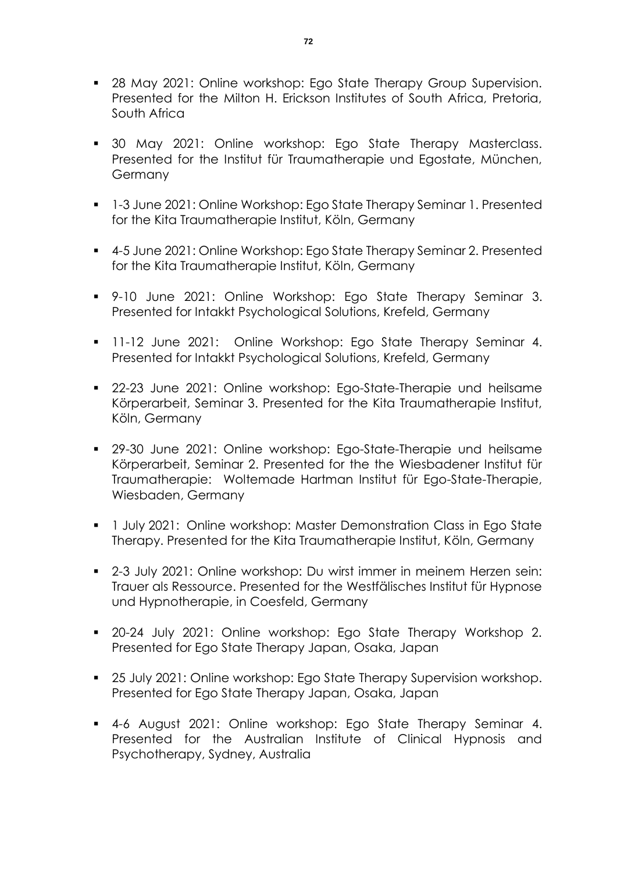- **28 May 2021: Online workshop: Ego State Therapy Group Supervision.** Presented for the Milton H. Erickson Institutes of South Africa, Pretoria, South Africa
- 30 May 2021: Online workshop: Ego State Therapy Masterclass. Presented for the Institut für Traumatherapie und Egostate, München, Germany
- **1** 1-3 June 2021: Online Workshop: Ego State Therapy Seminar 1. Presented for the Kita Traumatherapie Institut, Köln, Germany
- 4-5 June 2021: Online Workshop: Ego State Therapy Seminar 2. Presented for the Kita Traumatherapie Institut, Köln, Germany
- 9-10 June 2021: Online Workshop: Ego State Therapy Seminar 3. Presented for Intakkt Psychological Solutions, Krefeld, Germany
- **11-12 June 2021: Online Workshop: Ego State Therapy Seminar 4.** Presented for Intakkt Psychological Solutions, Krefeld, Germany
- **22-23 June 2021: Online workshop: Ego-State-Therapie und heilsame** Körperarbeit, Seminar 3. Presented for the Kita Traumatherapie Institut, Köln, Germany
- 29-30 June 2021: Online workshop: Ego-State-Therapie und heilsame Körperarbeit, Seminar 2. Presented for the the Wiesbadener Institut für Traumatherapie: Woltemade Hartman Institut für Ego-State-Therapie, Wiesbaden, Germany
- **1 July 2021: Online workshop: Master Demonstration Class in Ego State** Therapy. Presented for the Kita Traumatherapie Institut, Köln, Germany
- 2-3 July 2021: Online workshop: Du wirst immer in meinem Herzen sein: Trauer als Ressource. Presented for the Westfälisches Institut für Hypnose und Hypnotherapie, in Coesfeld, Germany
- 20-24 July 2021: Online workshop: Ego State Therapy Workshop 2. Presented for Ego State Therapy Japan, Osaka, Japan
- **25 July 2021: Online workshop: Ego State Therapy Supervision workshop.** Presented for Ego State Therapy Japan, Osaka, Japan
- 4-6 August 2021: Online workshop: Ego State Therapy Seminar 4. Presented for the Australian Institute of Clinical Hypnosis and Psychotherapy, Sydney, Australia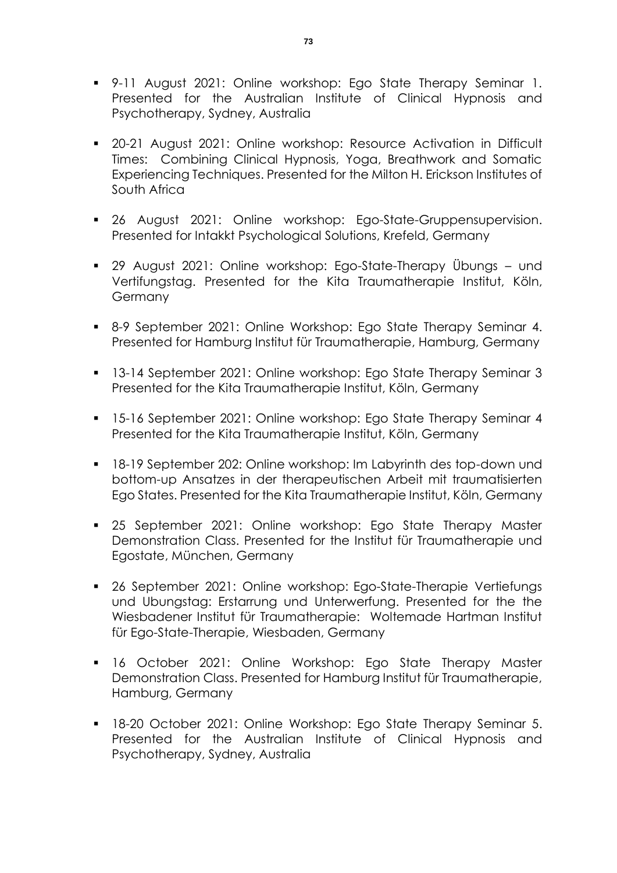- 9-11 August 2021: Online workshop: Ego State Therapy Seminar 1. Presented for the Australian Institute of Clinical Hypnosis and Psychotherapy, Sydney, Australia
- 20-21 August 2021: Online workshop: Resource Activation in Difficult Times: Combining Clinical Hypnosis, Yoga, Breathwork and Somatic Experiencing Techniques. Presented for the Milton H. Erickson Institutes of South Africa
- 26 August 2021: Online workshop: Ego-State-Gruppensupervision. Presented for Intakkt Psychological Solutions, Krefeld, Germany
- 29 August 2021: Online workshop: Ego-State-Therapy Übungs und Vertifungstag. Presented for the Kita Traumatherapie Institut, Köln, Germany
- 8-9 September 2021: Online Workshop: Ego State Therapy Seminar 4. Presented for Hamburg Institut für Traumatherapie, Hamburg, Germany
- 13-14 September 2021: Online workshop: Ego State Therapy Seminar 3 Presented for the Kita Traumatherapie Institut, Köln, Germany
- 15-16 September 2021: Online workshop: Ego State Therapy Seminar 4 Presented for the Kita Traumatherapie Institut, Köln, Germany
- 18-19 September 202: Online workshop: Im Labyrinth des top-down und bottom-up Ansatzes in der therapeutischen Arbeit mit traumatisierten Ego States. Presented for the Kita Traumatherapie Institut, Köln, Germany
- 25 September 2021: Online workshop: Ego State Therapy Master Demonstration Class. Presented for the Institut für Traumatherapie und Egostate, München, Germany
- 26 September 2021: Online workshop: Ego-State-Therapie Vertiefungs und Ubungstag: Erstarrung und Unterwerfung. Presented for the the Wiesbadener Institut für Traumatherapie: Woltemade Hartman Institut für Ego-State-Therapie, Wiesbaden, Germany
- **16 October 2021: Online Workshop: Ego State Therapy Master** Demonstration Class. Presented for Hamburg Institut für Traumatherapie, Hamburg, Germany
- 18-20 October 2021: Online Workshop: Ego State Therapy Seminar 5. Presented for the Australian Institute of Clinical Hypnosis and Psychotherapy, Sydney, Australia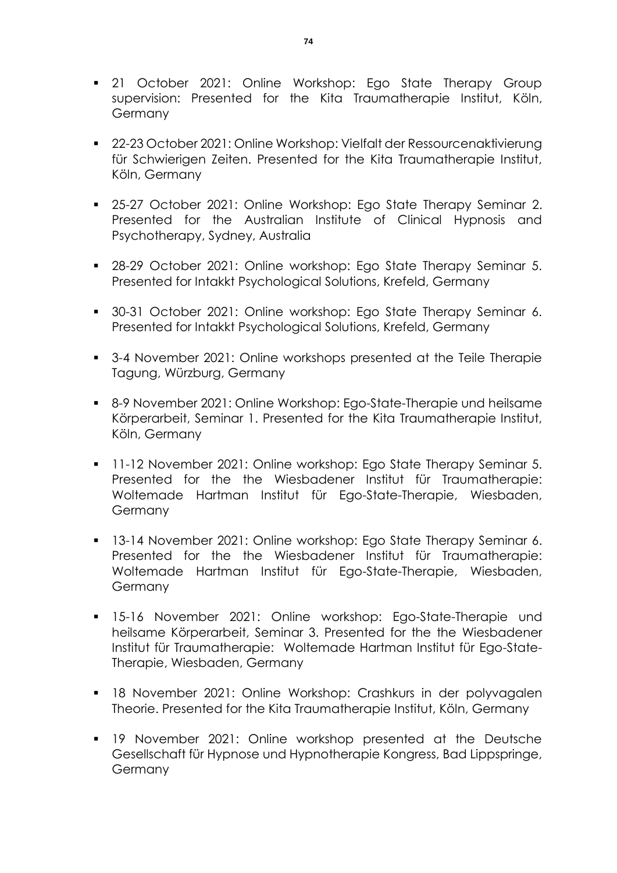- **21 October 2021: Online Workshop: Ego State Therapy Group** supervision: Presented for the Kita Traumatherapie Institut, Köln, **Germany**
- 22-23 October 2021: Online Workshop: Vielfalt der Ressourcenaktivierung für Schwierigen Zeiten. Presented for the Kita Traumatherapie Institut, Köln, Germany
- **25-27 October 2021: Online Workshop: Ego State Therapy Seminar 2.** Presented for the Australian Institute of Clinical Hypnosis and Psychotherapy, Sydney, Australia
- 28-29 October 2021: Online workshop: Ego State Therapy Seminar 5. Presented for Intakkt Psychological Solutions, Krefeld, Germany
- 30-31 October 2021: Online workshop: Ego State Therapy Seminar 6. Presented for Intakkt Psychological Solutions, Krefeld, Germany
- 3-4 November 2021: Online workshops presented at the Teile Therapie Tagung, Würzburg, Germany
- 8-9 November 2021: Online Workshop: Ego-State-Therapie und heilsame Körperarbeit, Seminar 1. Presented for the Kita Traumatherapie Institut, Köln, Germany
- **11-12 November 2021: Online workshop: Ego State Therapy Seminar 5.** Presented for the the Wiesbadener Institut für Traumatherapie: Woltemade Hartman Institut für Ego-State-Therapie, Wiesbaden, **Germany**
- **13-14 November 2021: Online workshop: Ego State Therapy Seminar 6.** Presented for the the Wiesbadener Institut für Traumatherapie: Woltemade Hartman Institut für Ego-State-Therapie, Wiesbaden, **Germany**
- 15-16 November 2021: Online workshop: Ego-State-Therapie und heilsame Körperarbeit, Seminar 3. Presented for the the Wiesbadener Institut für Traumatherapie: Woltemade Hartman Institut für Ego-State-Therapie, Wiesbaden, Germany
- 18 November 2021: Online Workshop: Crashkurs in der polyvagalen Theorie. Presented for the Kita Traumatherapie Institut, Köln, Germany
- 19 November 2021: Online workshop presented at the Deutsche Gesellschaft für Hypnose und Hypnotherapie Kongress, Bad Lippspringe, **Germany**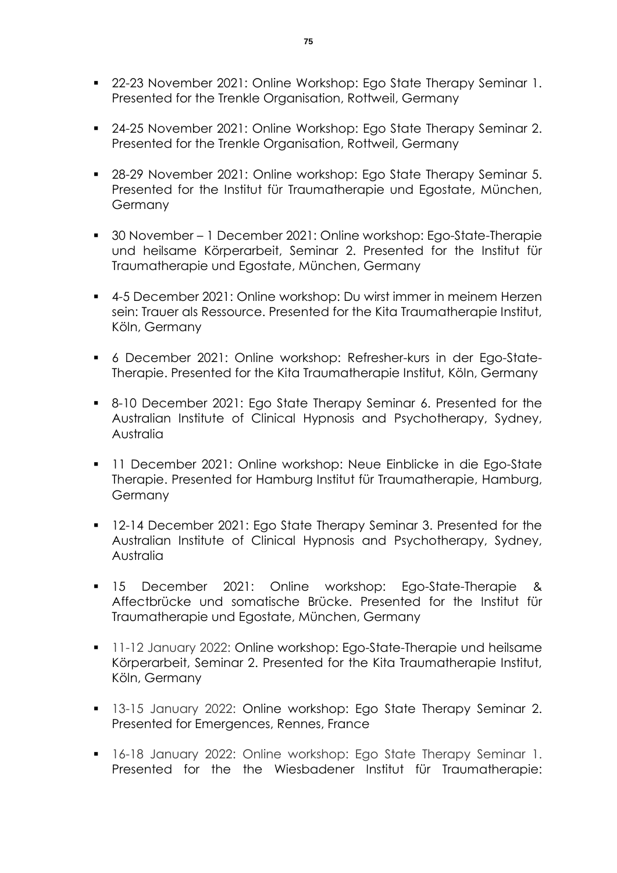- **22-23 November 2021: Online Workshop: Ego State Therapy Seminar 1.** Presented for the Trenkle Organisation, Rottweil, Germany
- 24-25 November 2021: Online Workshop: Ego State Therapy Seminar 2. Presented for the Trenkle Organisation, Rottweil, Germany
- **28-29 November 2021: Online workshop: Ego State Therapy Seminar 5.** Presented for the Institut für Traumatherapie und Egostate, München, Germany
- 30 November 1 December 2021: Online workshop: Ego-State-Therapie und heilsame Körperarbeit, Seminar 2. Presented for the Institut für Traumatherapie und Egostate, München, Germany
- 4-5 December 2021: Online workshop: Du wirst immer in meinem Herzen sein: Trauer als Ressource. Presented for the Kita Traumatherapie Institut, Köln, Germany
- 6 December 2021: Online workshop: Refresher-kurs in der Ego-State-Therapie. Presented for the Kita Traumatherapie Institut, Köln, Germany
- 8-10 December 2021: Ego State Therapy Seminar 6. Presented for the Australian Institute of Clinical Hypnosis and Psychotherapy, Sydney, Australia
- 11 December 2021: Online workshop: Neue Einblicke in die Ego-State Therapie. Presented for Hamburg Institut für Traumatherapie, Hamburg, Germany
- **12-14 December 2021: Ego State Therapy Seminar 3. Presented for the** Australian Institute of Clinical Hypnosis and Psychotherapy, Sydney, Australia
- 15 December 2021: Online workshop: Ego-State-Therapie & Affectbrücke und somatische Brücke. Presented for the Institut für Traumatherapie und Egostate, München, Germany
- **11-12 January 2022: Online workshop: Ego-State-Therapie und heilsame** Körperarbeit, Seminar 2. Presented for the Kita Traumatherapie Institut, Köln, Germany
- **13-15 January 2022: Online workshop: Ego State Therapy Seminar 2.** Presented for Emergences, Rennes, France
- 16-18 January 2022: Online workshop: Ego State Therapy Seminar 1. Presented for the the Wiesbadener Institut für Traumatherapie: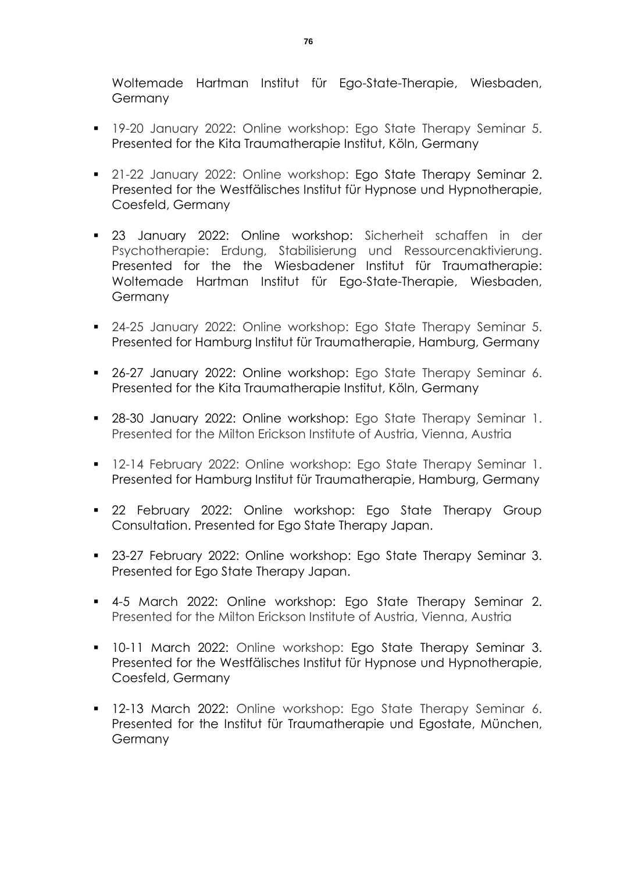Woltemade Hartman Institut für Ego-State-Therapie, Wiesbaden, Germany

- **19-20 January 2022: Online workshop: Ego State Therapy Seminar 5.** Presented for the Kita Traumatherapie Institut, Köln, Germany
- **21-22 January 2022: Online workshop: Ego State Therapy Seminar 2.** Presented for the Westfälisches Institut für Hypnose und Hypnotherapie, Coesfeld, Germany
- 23 January 2022: Online workshop: Sicherheit schaffen in der Psychotherapie: Erdung, Stabilisierung und Ressourcenaktivierung. Presented for the the Wiesbadener Institut für Traumatherapie: Woltemade Hartman Institut für Ego-State-Therapie, Wiesbaden, Germany
- 24-25 January 2022: Online workshop: Ego State Therapy Seminar 5. Presented for Hamburg Institut für Traumatherapie, Hamburg, Germany
- 26-27 January 2022: Online workshop: Ego State Therapy Seminar 6. Presented for the Kita Traumatherapie Institut, Köln, Germany
- 28-30 January 2022: Online workshop: Ego State Therapy Seminar 1. Presented for the Milton Erickson Institute of Austria, Vienna, Austria
- **12-14 February 2022: Online workshop: Ego State Therapy Seminar 1.** Presented for Hamburg Institut für Traumatherapie, Hamburg, Germany
- **22 February 2022: Online workshop: Ego State Therapy Group** Consultation. Presented for Ego State Therapy Japan.
- **23-27 February 2022: Online workshop: Ego State Therapy Seminar 3.** Presented for Ego State Therapy Japan.
- 4-5 March 2022: Online workshop: Ego State Therapy Seminar 2. Presented for the Milton Erickson Institute of Austria, Vienna, Austria
- 10-11 March 2022: Online workshop: Ego State Therapy Seminar 3. Presented for the Westfälisches Institut für Hypnose und Hypnotherapie, Coesfeld, Germany
- **12-13 March 2022: Online workshop: Ego State Therapy Seminar 6.** Presented for the Institut für Traumatherapie und Egostate, München, Germany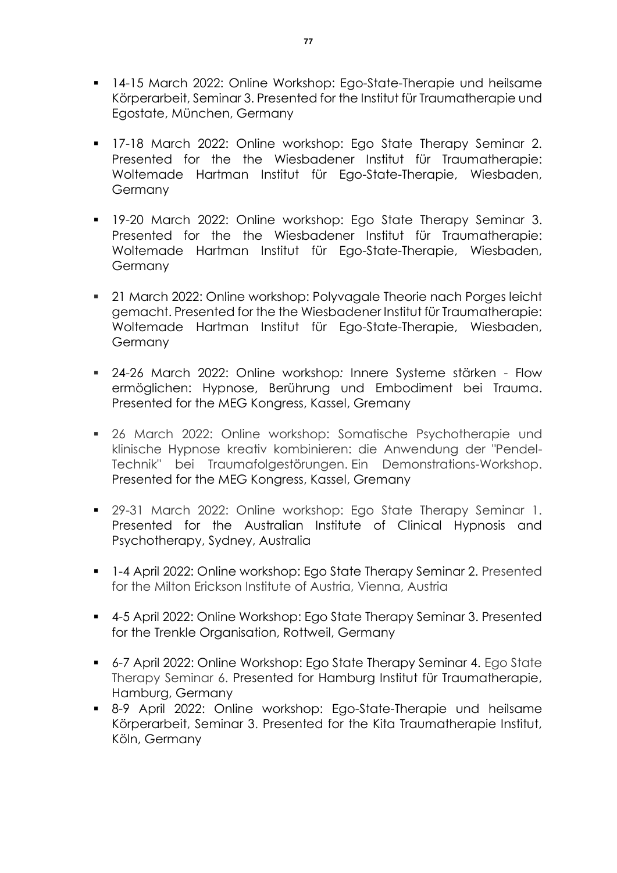- 14-15 March 2022: Online Workshop: Ego-State-Therapie und heilsame Körperarbeit, Seminar 3. Presented for the Institut für Traumatherapie und Egostate, München, Germany
- **17-18 March 2022: Online workshop: Ego State Therapy Seminar 2.** Presented for the the Wiesbadener Institut für Traumatherapie: Woltemade Hartman Institut für Ego-State-Therapie, Wiesbaden, **Germany**
- **19-20 March 2022: Online workshop: Ego State Therapy Seminar 3.** Presented for the the Wiesbadener Institut für Traumatherapie: Woltemade Hartman Institut für Ego-State-Therapie, Wiesbaden, **Germany**
- 21 March 2022: Online workshop: Polyvagale Theorie nach Porges leicht gemacht. Presented for the the Wiesbadener Institut für Traumatherapie: Woltemade Hartman Institut für Ego-State-Therapie, Wiesbaden, Germany
- 24-26 March 2022: Online workshop*:* Innere Systeme stärken Flow ermöglichen: Hypnose, Berührung und Embodiment bei Trauma. Presented for the MEG Kongress, Kassel, Gremany
- 26 March 2022: Online workshop: Somatische Psychotherapie und klinische Hypnose kreativ kombinieren: die Anwendung der "Pendel-Technik" bei Traumafolgestörungen. Ein Demonstrations-Workshop. Presented for the MEG Kongress, Kassel, Gremany
- **29-31 March 2022: Online workshop: Ego State Therapy Seminar 1.** Presented for the Australian Institute of Clinical Hypnosis and Psychotherapy, Sydney, Australia
- 1-4 April 2022: Online workshop: Ego State Therapy Seminar 2. Presented for the Milton Erickson Institute of Austria, Vienna, Austria
- 4-5 April 2022: Online Workshop: Ego State Therapy Seminar 3. Presented for the Trenkle Organisation, Rottweil, Germany
- 6-7 April 2022: Online Workshop: Ego State Therapy Seminar 4. Ego State Therapy Seminar 6. Presented for Hamburg Institut für Traumatherapie, Hamburg, Germany
- 8-9 April 2022: Online workshop: Ego-State-Therapie und heilsame Körperarbeit, Seminar 3. Presented for the Kita Traumatherapie Institut, Köln, Germany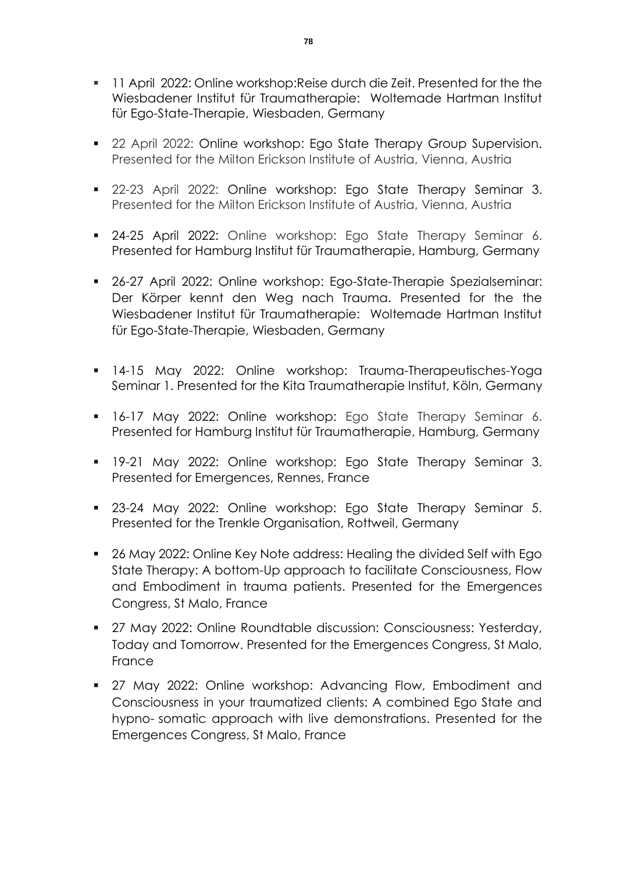- **11 April 2022: Online workshop: Reise durch die Zeit. Presented for the the** Wiesbadener Institut für Traumatherapie: Woltemade Hartman Institut für Ego-State-Therapie, Wiesbaden, Germany
- 22 April 2022: Online workshop: Ego State Therapy Group Supervision. Presented for the Milton Erickson Institute of Austria, Vienna, Austria
- 22-23 April 2022: Online workshop: Ego State Therapy Seminar 3. Presented for the Milton Erickson Institute of Austria, Vienna, Austria
- 24-25 April 2022: Online workshop: Ego State Therapy Seminar 6. Presented for Hamburg Institut für Traumatherapie, Hamburg, Germany
- 26-27 April 2022: Online workshop: Ego-State-Therapie Spezialseminar: Der Körper kennt den Weg nach Trauma. Presented for the the Wiesbadener Institut für Traumatherapie: Woltemade Hartman Institut für Ego-State-Therapie, Wiesbaden, Germany
- 14-15 May 2022: Online workshop: Trauma-Therapeutisches-Yoga Seminar 1. Presented for the Kita Traumatherapie Institut, Köln, Germany
- 16-17 May 2022: Online workshop: Ego State Therapy Seminar 6. Presented for Hamburg Institut für Traumatherapie, Hamburg, Germany
- 19-21 May 2022: Online workshop: Ego State Therapy Seminar 3. Presented for Emergences, Rennes, France
- **23-24 May 2022: Online workshop: Ego State Therapy Seminar 5.** Presented for the Trenkle Organisation, Rottweil, Germany
- 26 May 2022: Online Key Note address: Healing the divided Self with Ego State Therapy: A bottom-Up approach to facilitate Consciousness, Flow and Embodiment in trauma patients. Presented for the Emergences Congress, St Malo, France
- 27 May 2022: Online Roundtable discussion: Consciousness: Yesterday, Today and Tomorrow. Presented for the Emergences Congress, St Malo, **France**
- 27 May 2022: Online workshop: Advancing Flow, Embodiment and Consciousness in your traumatized clients: A combined Ego State and hypno- somatic approach with live demonstrations. Presented for the Emergences Congress, St Malo, France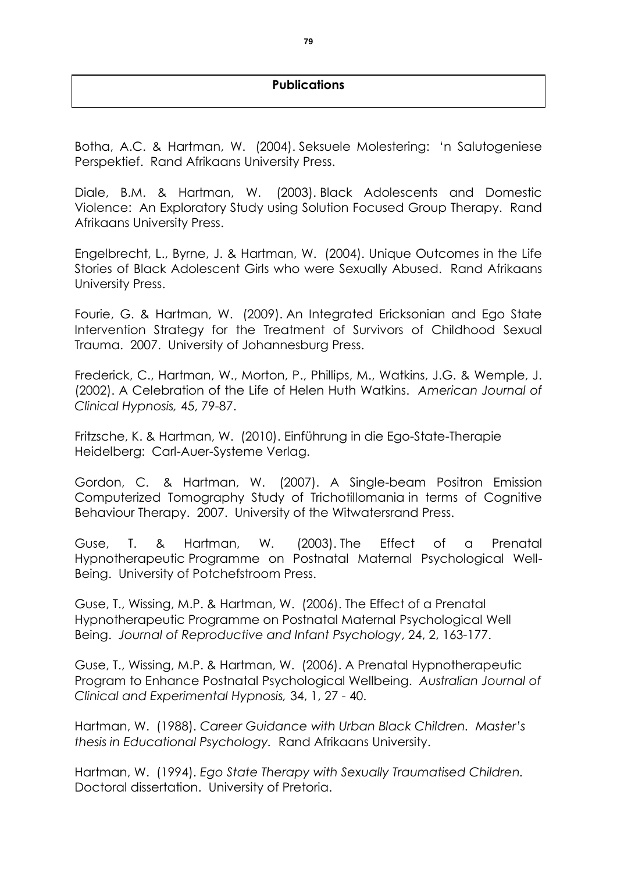## **Publications**

Botha, A.C. & Hartman, W. (2004). Seksuele Molestering: 'n Salutogeniese Perspektief. Rand Afrikaans University Press.

Diale, B.M. & Hartman, W. (2003). Black Adolescents and Domestic Violence: An Exploratory Study using Solution Focused Group Therapy. Rand Afrikaans University Press.

Engelbrecht, L., Byrne, J. & Hartman, W. (2004). Unique Outcomes in the Life Stories of Black Adolescent Girls who were Sexually Abused. Rand Afrikaans University Press.

Fourie, G. & Hartman, W. (2009). An Integrated Ericksonian and Ego State Intervention Strategy for the Treatment of Survivors of Childhood Sexual Trauma. 2007. University of Johannesburg Press.

Frederick, C., Hartman, W., Morton, P., Phillips, M., Watkins, J.G. & Wemple, J. (2002). A Celebration of the Life of Helen Huth Watkins. *American Journal of Clinical Hypnosis,* 45, 79-87.

Fritzsche, K. & Hartman, W. (2010). Einführung in die Ego-State-Therapie Heidelberg: Carl-Auer-Systeme Verlag.

Gordon, C. & Hartman, W. (2007). A Single-beam Positron Emission Computerized Tomography Study of Trichotillomania in terms of Cognitive Behaviour Therapy. 2007. University of the Witwatersrand Press.

Guse, T. & Hartman, W. (2003). The Effect of a Prenatal Hypnotherapeutic Programme on Postnatal Maternal Psychological Well-Being. University of Potchefstroom Press.

Guse, T., Wissing, M.P. & Hartman, W. (2006). The Effect of a Prenatal Hypnotherapeutic Programme on Postnatal Maternal Psychological Well Being. *Journal of Reproductive and Infant Psychology*, 24, 2, 163-177.

Guse, T., Wissing, M.P. & Hartman, W. (2006). A Prenatal Hypnotherapeutic Program to Enhance Postnatal Psychological Wellbeing. *Australian Journal of Clinical and Experimental Hypnosis,* 34, 1, 27 - 40.

Hartman, W. (1988). *Career Guidance with Urban Black Children. Master's thesis in Educational Psychology.* Rand Afrikaans University.

Hartman, W. (1994). *Ego State Therapy with Sexually Traumatised Children.*  Doctoral dissertation. University of Pretoria.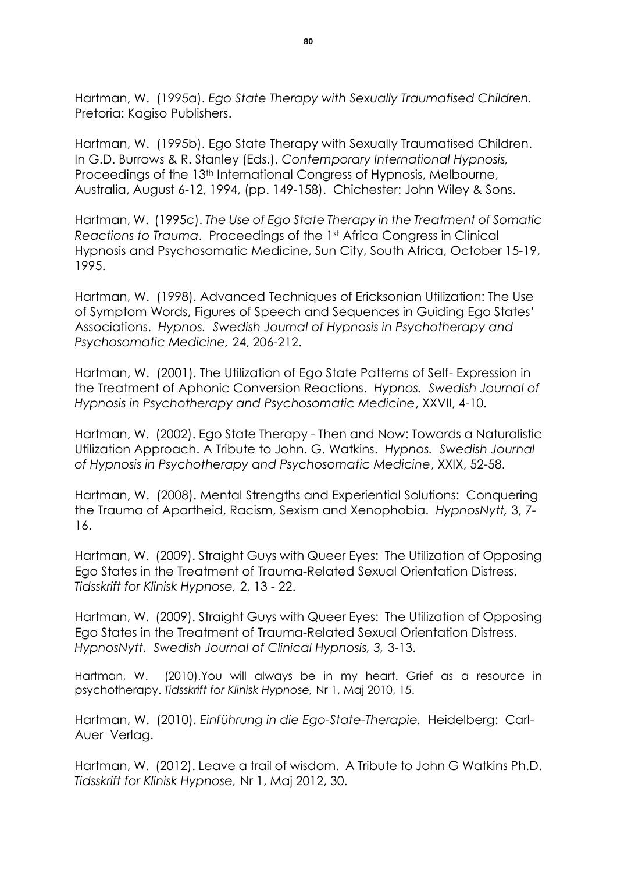Hartman, W. (1995a). *Ego State Therapy with Sexually Traumatised Children.*  Pretoria: Kagiso Publishers.

Hartman, W. (1995b). Ego State Therapy with Sexually Traumatised Children. In G.D. Burrows & R. Stanley (Eds.), *Contemporary International Hypnosis,*  Proceedings of the 13<sup>th</sup> International Congress of Hypnosis, Melbourne, Australia, August 6-12, 1994, (pp. 149-158). Chichester: John Wiley & Sons.

Hartman, W. (1995c). *The Use of Ego State Therapy in the Treatment of Somatic Reactions to Trauma*. Proceedings of the 1st Africa Congress in Clinical Hypnosis and Psychosomatic Medicine, Sun City, South Africa, October 15-19, 1995.

Hartman, W. (1998). Advanced Techniques of Ericksonian Utilization: The Use of Symptom Words, Figures of Speech and Sequences in Guiding Ego States' Associations. *Hypnos. Swedish Journal of Hypnosis in Psychotherapy and Psychosomatic Medicine,* 24, 206-212.

Hartman, W. (2001). The Utilization of Ego State Patterns of Self- Expression in the Treatment of Aphonic Conversion Reactions. *Hypnos. Swedish Journal of Hypnosis in Psychotherapy and Psychosomatic Medicine*, XXVII, 4-10.

Hartman, W. (2002). Ego State Therapy - Then and Now: Towards a Naturalistic Utilization Approach. A Tribute to John. G. Watkins. *Hypnos. Swedish Journal of Hypnosis in Psychotherapy and Psychosomatic Medicine*, XXIX, 52-58.

Hartman, W. (2008). Mental Strengths and Experiential Solutions: Conquering the Trauma of Apartheid, Racism, Sexism and Xenophobia. *HypnosNytt,* 3, 7- 16.

Hartman, W. (2009). Straight Guys with Queer Eyes: The Utilization of Opposing Ego States in the Treatment of Trauma-Related Sexual Orientation Distress. *Tidsskrift for Klinisk Hypnose,* 2, 13 - 22.

Hartman, W. (2009). Straight Guys with Queer Eyes: The Utilization of Opposing Ego States in the Treatment of Trauma-Related Sexual Orientation Distress. *HypnosNytt. Swedish Journal of Clinical Hypnosis, 3,* 3-13.

Hartman, W. (2010).You will always be in my heart. Grief as a resource in psychotherapy. *Tidsskrift for Klinisk Hypnose,* Nr 1, Maj 2010, 15.

Hartman, W. (2010). *Einführung in die Ego-State-Therapie.* Heidelberg: Carl-Auer Verlag.

Hartman, W. (2012). Leave a trail of wisdom. A Tribute to John G Watkins Ph.D. *Tidsskrift for Klinisk Hypnose,* Nr 1, Maj 2012, 30.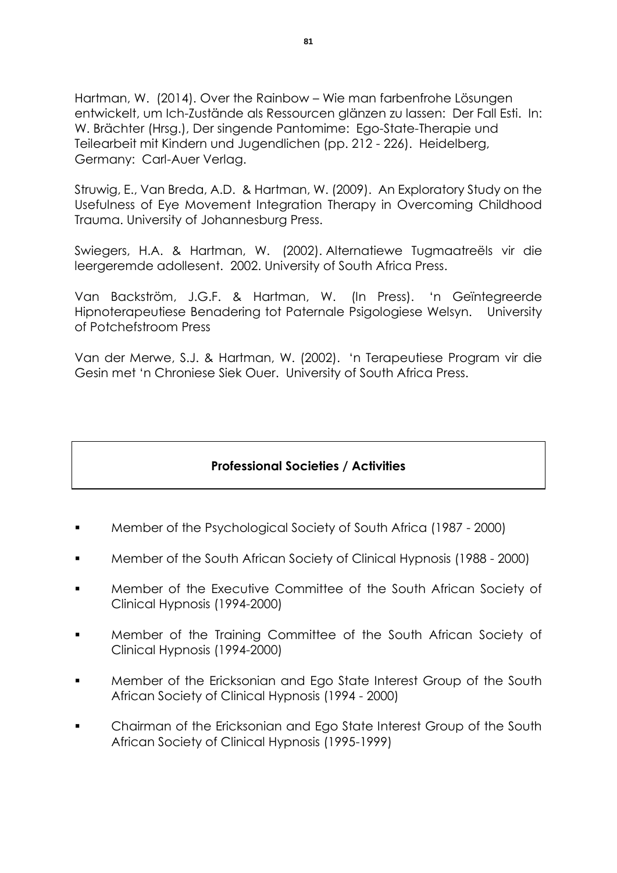Hartman, W. (2014). Over the Rainbow – Wie man farbenfrohe Lösungen entwickelt, um Ich-Zustände als Ressourcen glänzen zu lassen: Der Fall Esti. In: W. Brächter (Hrsg.), Der singende Pantomime: Ego-State-Therapie und Teilearbeit mit Kindern und Jugendlichen (pp. 212 - 226). Heidelberg, Germany: Carl-Auer Verlag.

Struwig, E., Van Breda, A.D. & Hartman, W. (2009). An Exploratory Study on the Usefulness of Eye Movement Integration Therapy in Overcoming Childhood Trauma. University of Johannesburg Press.

Swiegers, H.A. & Hartman, W. (2002). Alternatiewe Tugmaatreëls vir die leergeremde adollesent. 2002. University of South Africa Press.

Van Backström, J.G.F. & Hartman, W. (In Press). 'n Geïntegreerde Hipnoterapeutiese Benadering tot Paternale Psigologiese Welsyn. University of Potchefstroom Press

Van der Merwe, S.J. & Hartman, W. (2002). 'n Terapeutiese Program vir die Gesin met 'n Chroniese Siek Ouer. University of South Africa Press.

## **Professional Societies / Activities**

- Member of the Psychological Society of South Africa (1987 2000)
- Member of the South African Society of Clinical Hypnosis (1988 2000)
- Member of the Executive Committee of the South African Society of Clinical Hypnosis (1994-2000)
- Member of the Training Committee of the South African Society of Clinical Hypnosis (1994-2000)
- Member of the Ericksonian and Ego State Interest Group of the South African Society of Clinical Hypnosis (1994 - 2000)
- Chairman of the Ericksonian and Ego State Interest Group of the South African Society of Clinical Hypnosis (1995-1999)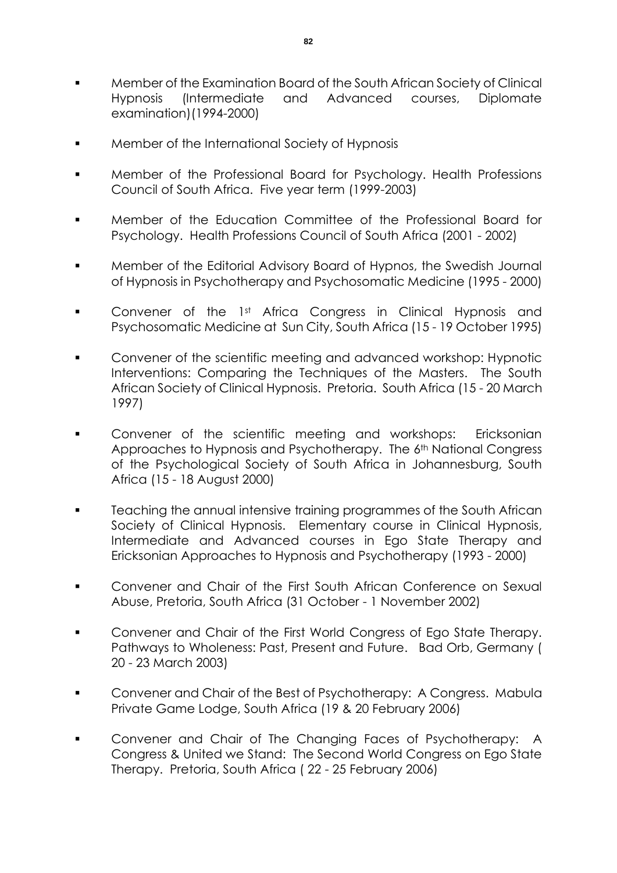- Member of the Examination Board of the South African Society of Clinical Hypnosis (Intermediate and Advanced courses, Diplomate examination)(1994-2000)
- Member of the International Society of Hypnosis
- Member of the Professional Board for Psychology. Health Professions Council of South Africa. Five year term (1999-2003)
- Member of the Education Committee of the Professional Board for Psychology. Health Professions Council of South Africa (2001 - 2002)
- Member of the Editorial Advisory Board of Hypnos, the Swedish Journal of Hypnosis in Psychotherapy and Psychosomatic Medicine (1995 - 2000)
- **•** Convener of the 1st Africa Congress in Clinical Hypnosis and Psychosomatic Medicine at Sun City, South Africa (15 - 19 October 1995)
- Convener of the scientific meeting and advanced workshop: Hypnotic Interventions: Comparing the Techniques of the Masters. The South African Society of Clinical Hypnosis. Pretoria. South Africa (15 - 20 March 1997)
- Convener of the scientific meeting and workshops: Ericksonian Approaches to Hypnosis and Psychotherapy. The 6<sup>th</sup> National Congress of the Psychological Society of South Africa in Johannesburg, South Africa (15 - 18 August 2000)
- Teaching the annual intensive training programmes of the South African Society of Clinical Hypnosis. Elementary course in Clinical Hypnosis, Intermediate and Advanced courses in Ego State Therapy and Ericksonian Approaches to Hypnosis and Psychotherapy (1993 - 2000)
- Convener and Chair of the First South African Conference on Sexual Abuse, Pretoria, South Africa (31 October - 1 November 2002)
- Convener and Chair of the First World Congress of Ego State Therapy. Pathways to Wholeness: Past, Present and Future. Bad Orb, Germany ( 20 - 23 March 2003)
- **Convener and Chair of the Best of Psychotherapy: A Congress. Mabula** Private Game Lodge, South Africa (19 & 20 February 2006)
- Convener and Chair of The Changing Faces of Psychotherapy: A Congress & United we Stand: The Second World Congress on Ego State Therapy. Pretoria, South Africa ( 22 - 25 February 2006)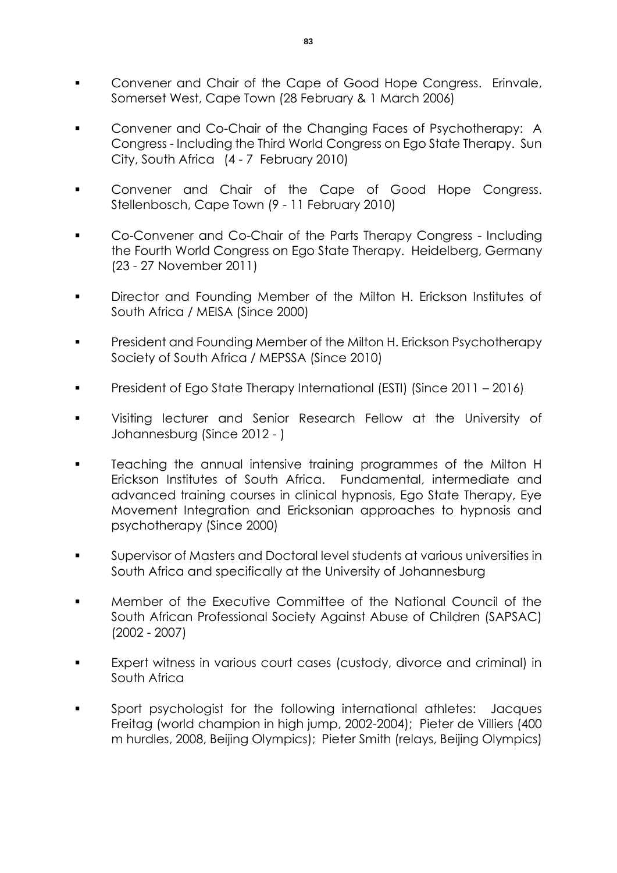- **Convener and Chair of the Cape of Good Hope Congress. Erinvale,** Somerset West, Cape Town (28 February & 1 March 2006)
- Convener and Co-Chair of the Changing Faces of Psychotherapy: A Congress - Including the Third World Congress on Ego State Therapy. Sun City, South Africa (4 - 7 February 2010)
- Convener and Chair of the Cape of Good Hope Congress. Stellenbosch, Cape Town (9 - 11 February 2010)
- Co-Convener and Co-Chair of the Parts Therapy Congress Including the Fourth World Congress on Ego State Therapy. Heidelberg, Germany (23 - 27 November 2011)
- Director and Founding Member of the Milton H. Erickson Institutes of South Africa / MEISA (Since 2000)
- President and Founding Member of the Milton H. Erickson Psychotherapy Society of South Africa / MEPSSA (Since 2010)
- President of Ego State Therapy International (ESTI) (Since 2011 2016)
- Visiting lecturer and Senior Research Fellow at the University of Johannesburg (Since 2012 - )
- **EXEC** Teaching the annual intensive training programmes of the Milton H Erickson Institutes of South Africa. Fundamental, intermediate and advanced training courses in clinical hypnosis, Ego State Therapy, Eye Movement Integration and Ericksonian approaches to hypnosis and psychotherapy (Since 2000)
- Supervisor of Masters and Doctoral level students at various universities in South Africa and specifically at the University of Johannesburg
- Member of the Executive Committee of the National Council of the South African Professional Society Against Abuse of Children (SAPSAC) (2002 - 2007)
- Expert witness in various court cases (custody, divorce and criminal) in South Africa
- Sport psychologist for the following international athletes: Jacques Freitag (world champion in high jump, 2002-2004); Pieter de Villiers (400 m hurdles, 2008, Beijing Olympics); Pieter Smith (relays, Beijing Olympics)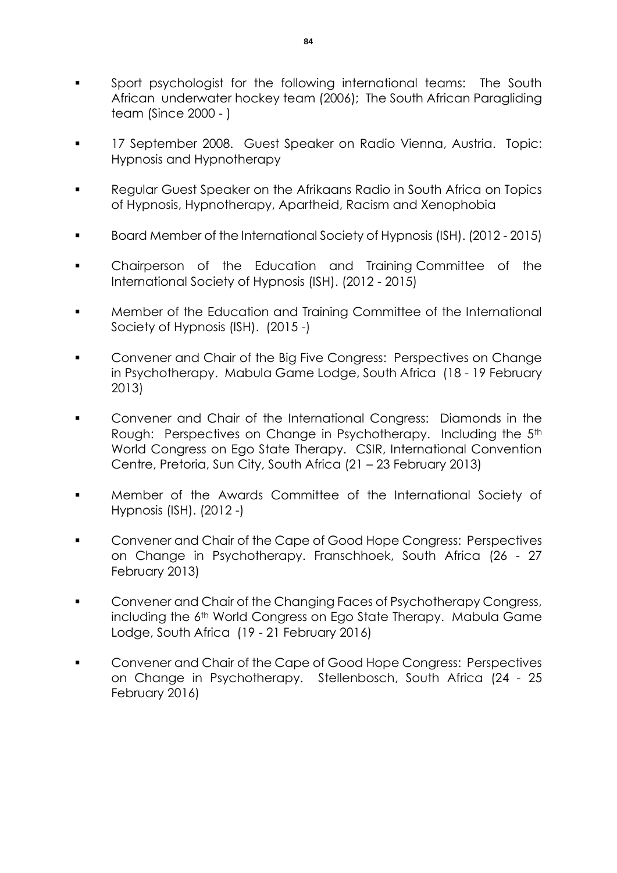- Sport psychologist for the following international teams: The South African underwater hockey team (2006); The South African Paragliding team (Since 2000 - )
- 17 September 2008. Guest Speaker on Radio Vienna, Austria. Topic: Hypnosis and Hypnotherapy
- Regular Guest Speaker on the Afrikaans Radio in South Africa on Topics of Hypnosis, Hypnotherapy, Apartheid, Racism and Xenophobia
- Board Member of the International Society of Hypnosis (ISH). (2012 2015)
- Chairperson of the Education and Training Committee of the International Society of Hypnosis (ISH). (2012 - 2015)
- Member of the Education and Training Committee of the International Society of Hypnosis (ISH). (2015 -)
- Convener and Chair of the Big Five Congress: Perspectives on Change in Psychotherapy. Mabula Game Lodge, South Africa (18 - 19 February 2013)
- Convener and Chair of the International Congress: Diamonds in the Rough: Perspectives on Change in Psychotherapy. Including the 5<sup>th</sup> World Congress on Ego State Therapy. CSIR, International Convention Centre, Pretoria, Sun City, South Africa (21 – 23 February 2013)
- Member of the Awards Committee of the International Society of Hypnosis (ISH). (2012 -)
- Convener and Chair of the Cape of Good Hope Congress: Perspectives on Change in Psychotherapy. Franschhoek, South Africa (26 - 27 February 2013)
- **Convener and Chair of the Changing Faces of Psychotherapy Congress,** including the 6<sup>th</sup> World Congress on Ego State Therapy. Mabula Game Lodge, South Africa (19 - 21 February 2016)
- Convener and Chair of the Cape of Good Hope Congress: Perspectives on Change in Psychotherapy. Stellenbosch, South Africa (24 - 25 February 2016)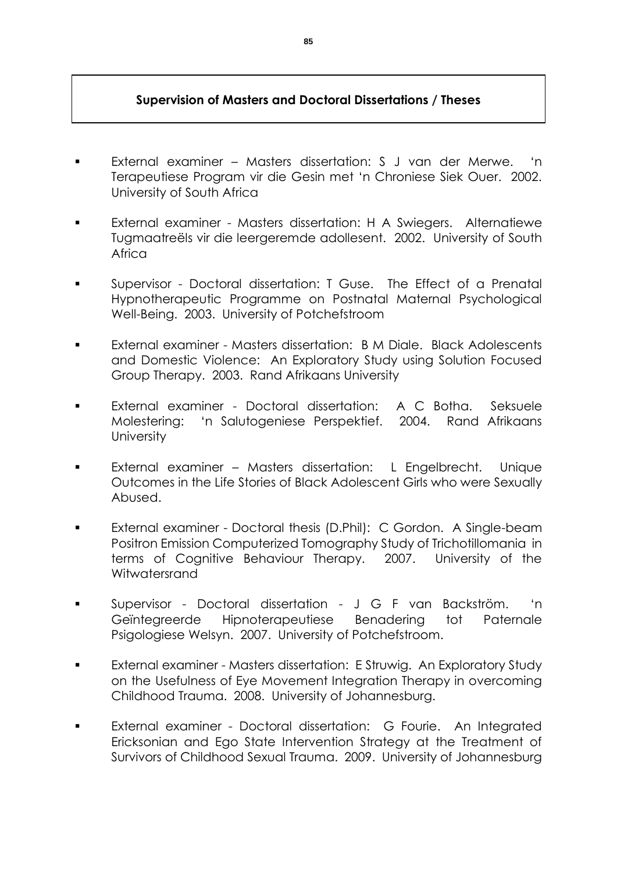## **Supervision of Masters and Doctoral Dissertations / Theses**

- External examiner Masters dissertation: S J van der Merwe. 'n Terapeutiese Program vir die Gesin met 'n Chroniese Siek Ouer. 2002. University of South Africa
- External examiner Masters dissertation: H A Swiegers. Alternatiewe Tugmaatreëls vir die leergeremde adollesent. 2002. University of South Africa
- Supervisor Doctoral dissertation: T Guse. The Effect of a Prenatal Hypnotherapeutic Programme on Postnatal Maternal Psychological Well-Being. 2003. University of Potchefstroom
- **External examiner Masters dissertation: B M Diale. Black Adolescents** and Domestic Violence: An Exploratory Study using Solution Focused Group Therapy. 2003. Rand Afrikaans University
- External examiner Doctoral dissertation: A C Botha. Seksuele Molestering: 'n Salutogeniese Perspektief. 2004. Rand Afrikaans **University**
- External examiner Masters dissertation: L Engelbrecht. Unique Outcomes in the Life Stories of Black Adolescent Girls who were Sexually Abused.
- External examiner Doctoral thesis (D.Phil): C Gordon. A Single-beam Positron Emission Computerized Tomography Study of Trichotillomania in terms of Cognitive Behaviour Therapy. 2007. University of the Witwatersrand
- Supervisor Doctoral dissertation J G F van Backström. 'n Geïntegreerde Hipnoterapeutiese Benadering tot Paternale Psigologiese Welsyn. 2007. University of Potchefstroom.
- External examiner Masters dissertation: E Struwig. An Exploratory Study on the Usefulness of Eye Movement Integration Therapy in overcoming Childhood Trauma. 2008. University of Johannesburg.
- External examiner Doctoral dissertation: G Fourie. An Integrated Ericksonian and Ego State Intervention Strategy at the Treatment of Survivors of Childhood Sexual Trauma. 2009. University of Johannesburg